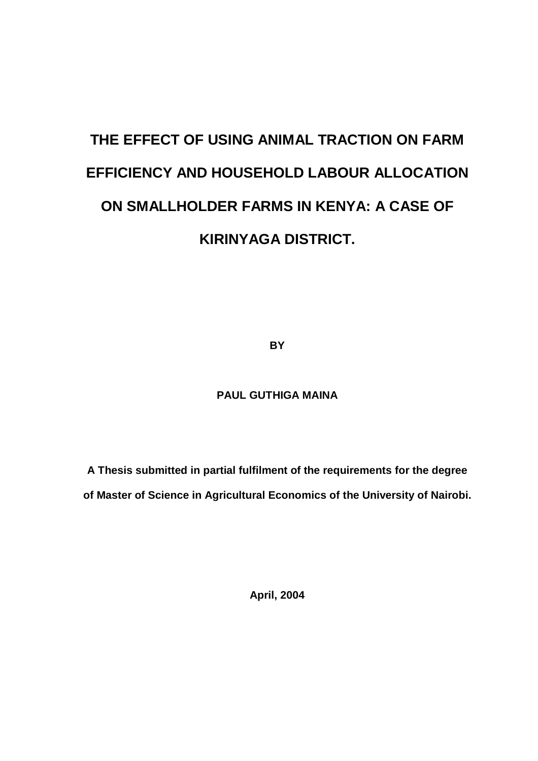# **THE EFFECT OF USING ANIMAL TRACTION ON FARM EFFICIENCY AND HOUSEHOLD LABOUR ALLOCATION ON SMALLHOLDER FARMS IN KENYA: A CASE OF KIRINYAGA DISTRICT.**

**BY**

# **PAUL GUTHIGA MAINA**

**A Thesis submitted in partial fulfilment of the requirements for the degree of Master of Science in Agricultural Economics of the University of Nairobi.**

**April, 2004**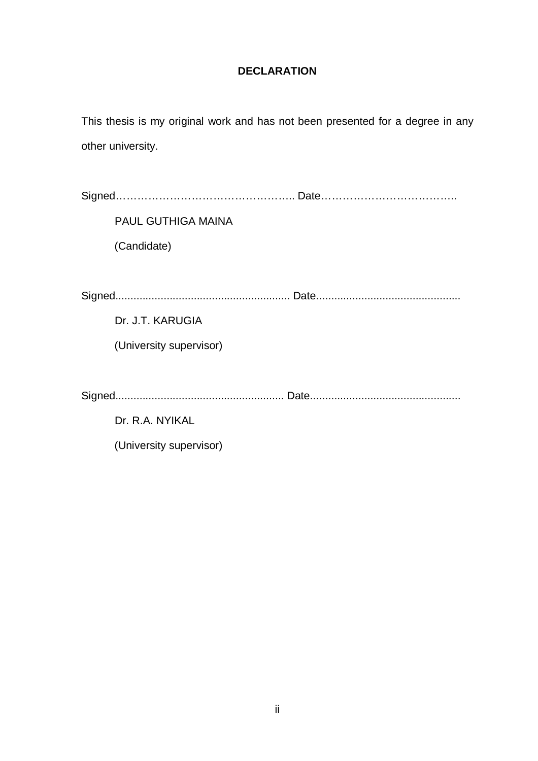# **DECLARATION**

This thesis is my original work and has not been presented for a degree in any other university.

| <b>PAUL GUTHIGA MAINA</b> |  |
|---------------------------|--|
| (Candidate)               |  |
|                           |  |
|                           |  |
| Dr. J.T. KARUGIA          |  |
| (University supervisor)   |  |
|                           |  |
|                           |  |
| Dr. R.A. NYIKAL           |  |
| (University supervisor)   |  |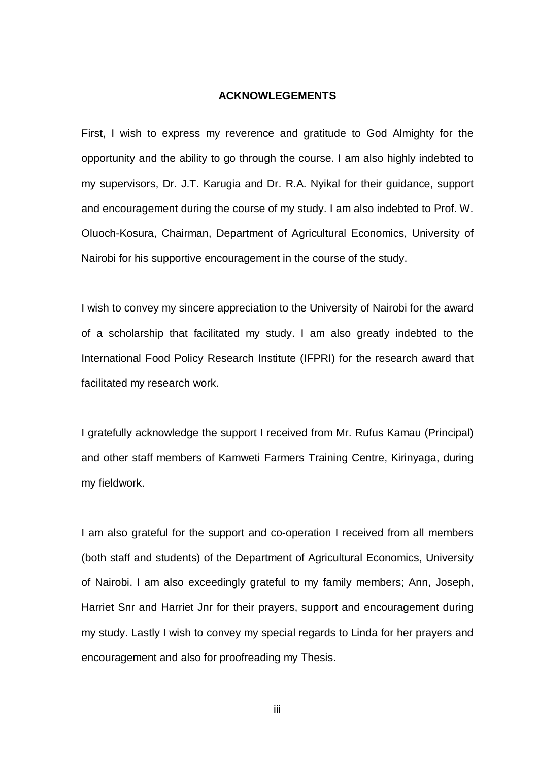#### **ACKNOWLEGEMENTS**

First, I wish to express my reverence and gratitude to God Almighty for the opportunity and the ability to go through the course. I am also highly indebted to my supervisors, Dr. J.T. Karugia and Dr. R.A. Nyikal for their guidance, support and encouragement during the course of my study. I am also indebted to Prof. W. Oluoch-Kosura, Chairman, Department of Agricultural Economics, University of Nairobi for his supportive encouragement in the course of the study.

I wish to convey my sincere appreciation to the University of Nairobi for the award of a scholarship that facilitated my study. I am also greatly indebted to the International Food Policy Research Institute (IFPRI) for the research award that facilitated my research work.

I gratefully acknowledge the support I received from Mr. Rufus Kamau (Principal) and other staff members of Kamweti Farmers Training Centre, Kirinyaga, during my fieldwork.

I am also grateful for the support and co-operation I received from all members (both staff and students) of the Department of Agricultural Economics, University of Nairobi. I am also exceedingly grateful to my family members; Ann, Joseph, Harriet Snr and Harriet Jnr for their prayers, support and encouragement during my study. Lastly I wish to convey my special regards to Linda for her prayers and encouragement and also for proofreading my Thesis.

iii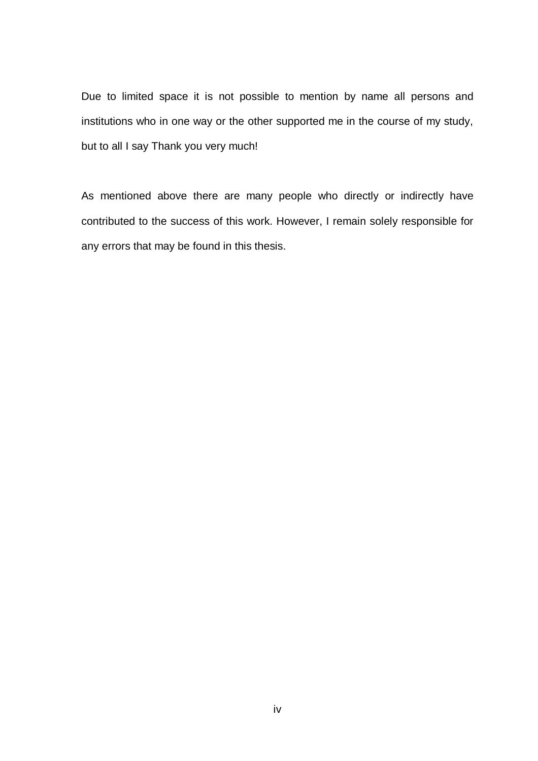Due to limited space it is not possible to mention by name all persons and institutions who in one way or the other supported me in the course of my study, but to all I say Thank you very much!

As mentioned above there are many people who directly or indirectly have contributed to the success of this work. However, I remain solely responsible for any errors that may be found in this thesis.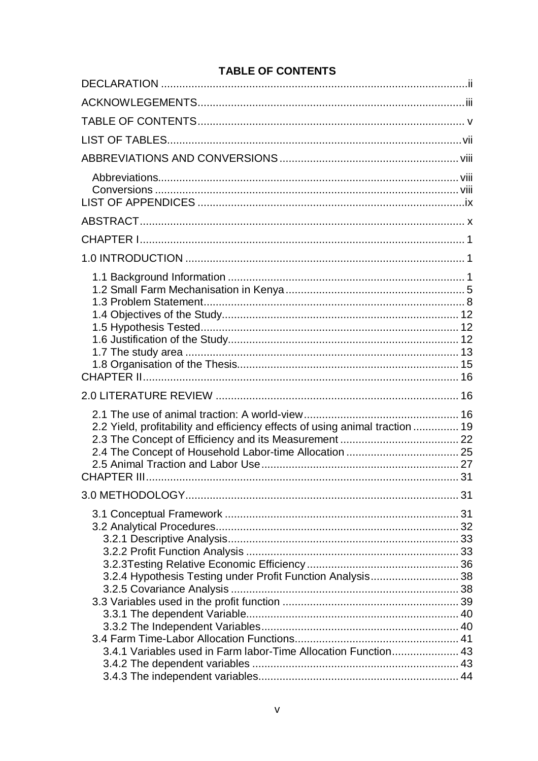# **TABLE OF CONTENTS**

| DEE OF GONTENTS                                                                                                              |      |
|------------------------------------------------------------------------------------------------------------------------------|------|
|                                                                                                                              |      |
|                                                                                                                              |      |
|                                                                                                                              |      |
|                                                                                                                              |      |
|                                                                                                                              |      |
|                                                                                                                              |      |
|                                                                                                                              |      |
|                                                                                                                              |      |
|                                                                                                                              |      |
|                                                                                                                              |      |
| 2.2 Yield, profitability and efficiency effects of using animal traction  19<br>CHAPTER III                                  | . 31 |
|                                                                                                                              |      |
| 3.2.4 Hypothesis Testing under Profit Function Analysis 38<br>3.4.1 Variables used in Farm labor-Time Allocation Function 43 |      |
|                                                                                                                              |      |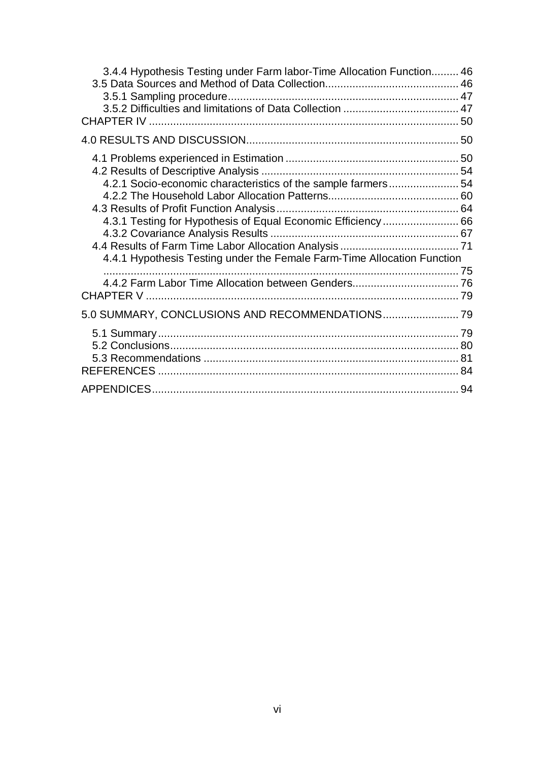| 3.4.4 Hypothesis Testing under Farm labor-Time Allocation Function 46                                                                                                                                    |          |
|----------------------------------------------------------------------------------------------------------------------------------------------------------------------------------------------------------|----------|
|                                                                                                                                                                                                          |          |
| 4.2.1 Socio-economic characteristics of the sample farmers 54<br>4.3.1 Testing for Hypothesis of Equal Economic Efficiency 66<br>4.4.1 Hypothesis Testing under the Female Farm-Time Allocation Function |          |
|                                                                                                                                                                                                          |          |
| 5.0 SUMMARY, CONCLUSIONS AND RECOMMENDATIONS 79                                                                                                                                                          |          |
|                                                                                                                                                                                                          | 81<br>84 |
|                                                                                                                                                                                                          |          |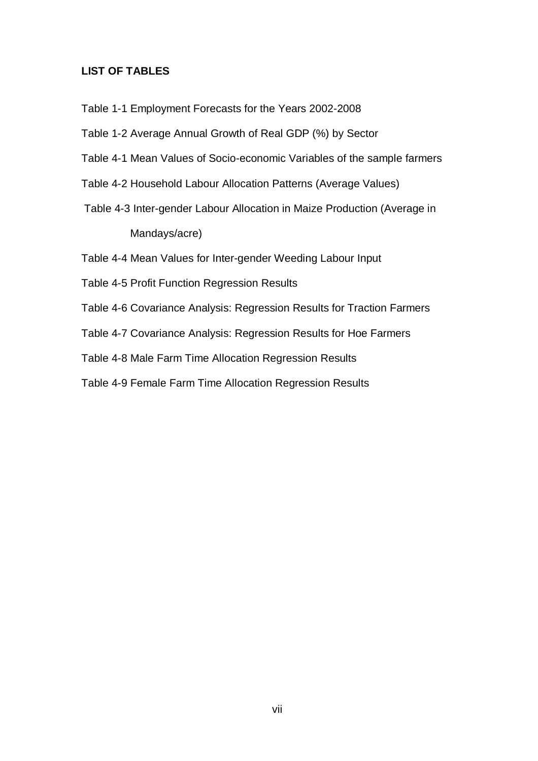#### **LIST OF TABLES**

- Table 1-1 Employment Forecasts for the Years 2002-2008
- Table 1-2 Average Annual Growth of Real GDP (%) by Sector
- Table 4-1 Mean Values of Socio-economic Variables of the sample farmers
- Table 4-2 Household Labour Allocation Patterns (Average Values)
- Table 4-3 Inter-gender Labour Allocation in Maize Production (Average in Mandays/acre)
- Table 4-4 Mean Values for Inter-gender Weeding Labour Input
- Table 4-5 Profit Function Regression Results
- Table 4-6 Covariance Analysis: Regression Results for Traction Farmers
- Table 4-7 Covariance Analysis: Regression Results for Hoe Farmers
- Table 4-8 Male Farm Time Allocation Regression Results
- Table 4-9 Female Farm Time Allocation Regression Results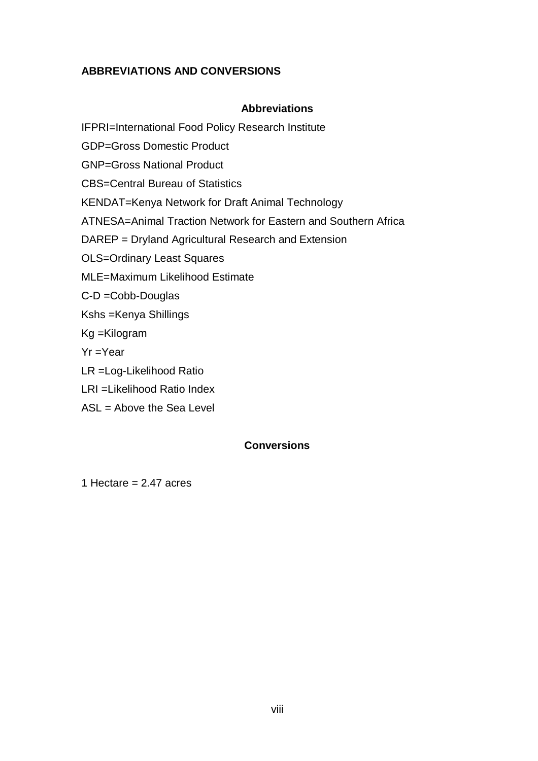# **ABBREVIATIONS AND CONVERSIONS**

# **Abbreviations**

IFPRI=International Food Policy Research Institute

GDP=Gross Domestic Product

GNP=Gross National Product

CBS=Central Bureau of Statistics

KENDAT=Kenya Network for Draft Animal Technology

ATNESA=Animal Traction Network for Eastern and Southern Africa

DAREP = Dryland Agricultural Research and Extension

OLS=Ordinary Least Squares

- MLE=Maximum Likelihood Estimate
- C-D =Cobb-Douglas
- Kshs =Kenya Shillings
- Kg =Kilogram
- Yr =Year
- LR =Log-Likelihood Ratio
- LRI =Likelihood Ratio Index
- ASL = Above the Sea Level

# **Conversions**

1 Hectare  $= 2.47$  acres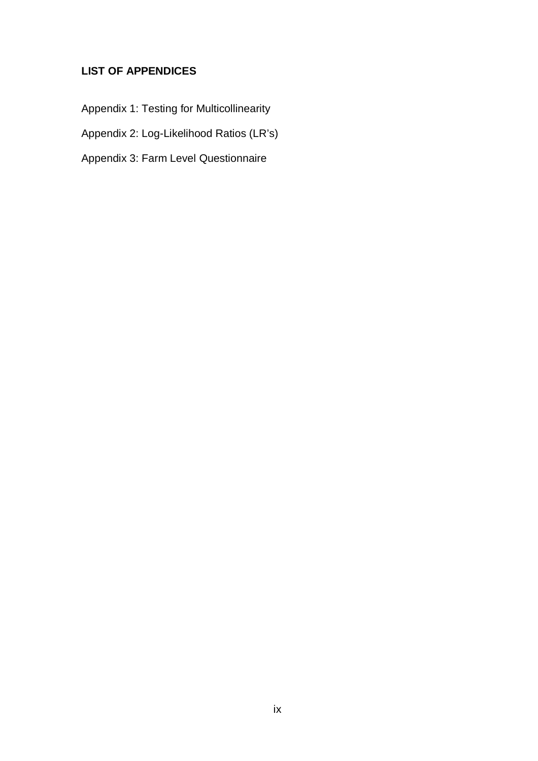# **LIST OF APPENDICES**

Appendix 1: Testing for Multicollinearity

Appendix 2: Log-Likelihood Ratios (LR's)

Appendix 3: Farm Level Questionnaire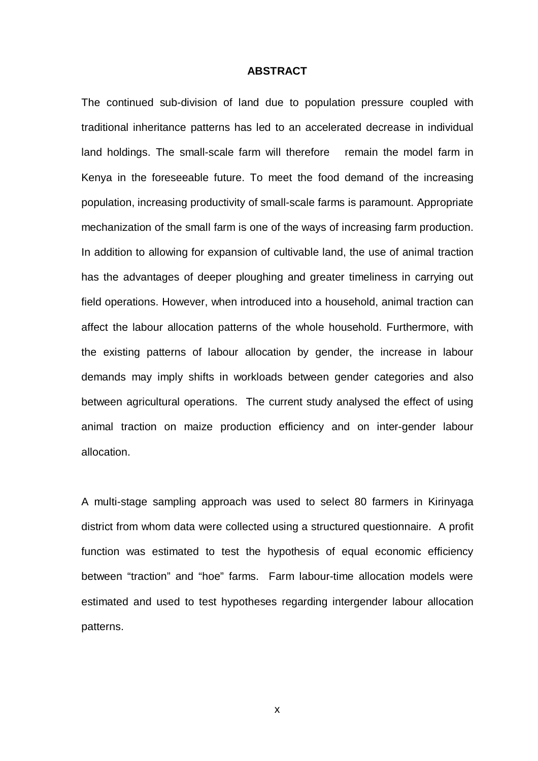#### **ABSTRACT**

The continued sub-division of land due to population pressure coupled with traditional inheritance patterns has led to an accelerated decrease in individual land holdings. The small-scale farm will therefore remain the model farm in Kenya in the foreseeable future. To meet the food demand of the increasing population, increasing productivity of small-scale farms is paramount. Appropriate mechanization of the small farm is one of the ways of increasing farm production. In addition to allowing for expansion of cultivable land, the use of animal traction has the advantages of deeper ploughing and greater timeliness in carrying out field operations. However, when introduced into a household, animal traction can affect the labour allocation patterns of the whole household. Furthermore, with the existing patterns of labour allocation by gender, the increase in labour demands may imply shifts in workloads between gender categories and also between agricultural operations. The current study analysed the effect of using animal traction on maize production efficiency and on inter-gender labour allocation.

A multi-stage sampling approach was used to select 80 farmers in Kirinyaga district from whom data were collected using a structured questionnaire. A profit function was estimated to test the hypothesis of equal economic efficiency between "traction" and "hoe" farms. Farm labour-time allocation models were estimated and used to test hypotheses regarding intergender labour allocation patterns.

x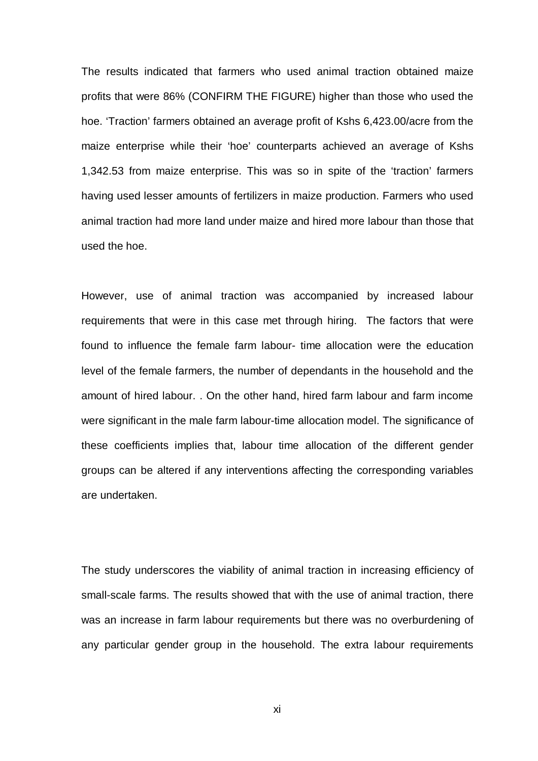The results indicated that farmers who used animal traction obtained maize profits that were 86% (CONFIRM THE FIGURE) higher than those who used the hoe. 'Traction' farmers obtained an average profit of Kshs 6,423.00/acre from the maize enterprise while their 'hoe' counterparts achieved an average of Kshs 1,342.53 from maize enterprise. This was so in spite of the 'traction' farmers having used lesser amounts of fertilizers in maize production. Farmers who used animal traction had more land under maize and hired more labour than those that used the hoe.

However, use of animal traction was accompanied by increased labour requirements that were in this case met through hiring. The factors that were found to influence the female farm labour- time allocation were the education level of the female farmers, the number of dependants in the household and the amount of hired labour. . On the other hand, hired farm labour and farm income were significant in the male farm labour-time allocation model. The significance of these coefficients implies that, labour time allocation of the different gender groups can be altered if any interventions affecting the corresponding variables are undertaken.

The study underscores the viability of animal traction in increasing efficiency of small-scale farms. The results showed that with the use of animal traction, there was an increase in farm labour requirements but there was no overburdening of any particular gender group in the household. The extra labour requirements

xi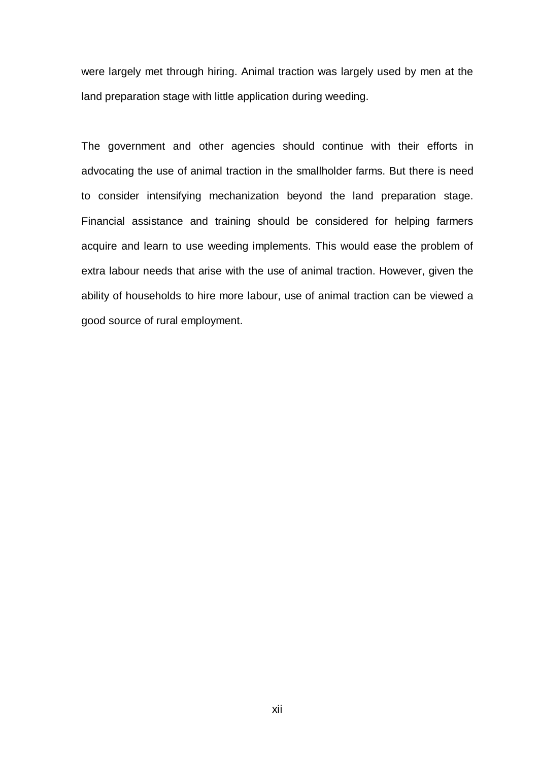were largely met through hiring. Animal traction was largely used by men at the land preparation stage with little application during weeding.

The government and other agencies should continue with their efforts in advocating the use of animal traction in the smallholder farms. But there is need to consider intensifying mechanization beyond the land preparation stage. Financial assistance and training should be considered for helping farmers acquire and learn to use weeding implements. This would ease the problem of extra labour needs that arise with the use of animal traction. However, given the ability of households to hire more labour, use of animal traction can be viewed a good source of rural employment.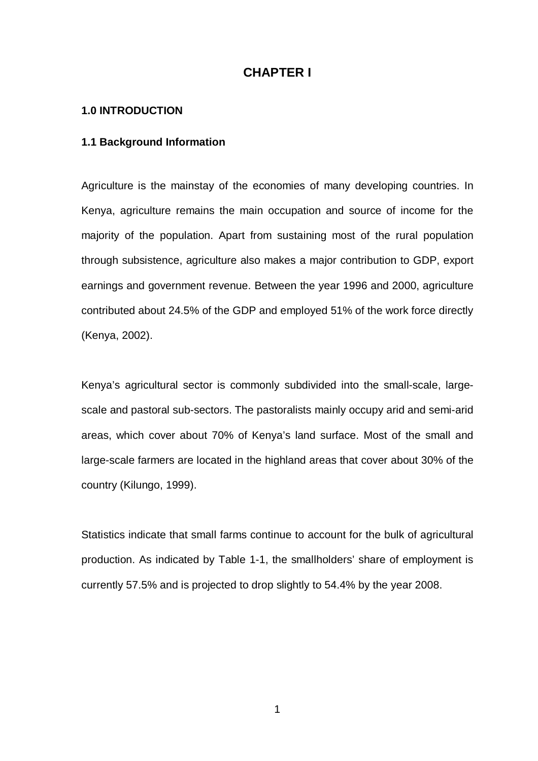# **CHAPTER I**

#### **1.0 INTRODUCTION**

#### **1.1 Background Information**

Agriculture is the mainstay of the economies of many developing countries. In Kenya, agriculture remains the main occupation and source of income for the majority of the population. Apart from sustaining most of the rural population through subsistence, agriculture also makes a major contribution to GDP, export earnings and government revenue. Between the year 1996 and 2000, agriculture contributed about 24.5% of the GDP and employed 51% of the work force directly (Kenya, 2002).

Kenya's agricultural sector is commonly subdivided into the small-scale, largescale and pastoral sub-sectors. The pastoralists mainly occupy arid and semi-arid areas, which cover about 70% of Kenya's land surface. Most of the small and large-scale farmers are located in the highland areas that cover about 30% of the country (Kilungo, 1999).

Statistics indicate that small farms continue to account for the bulk of agricultural production. As indicated by Table 1-1, the smallholders' share of employment is currently 57.5% and is projected to drop slightly to 54.4% by the year 2008.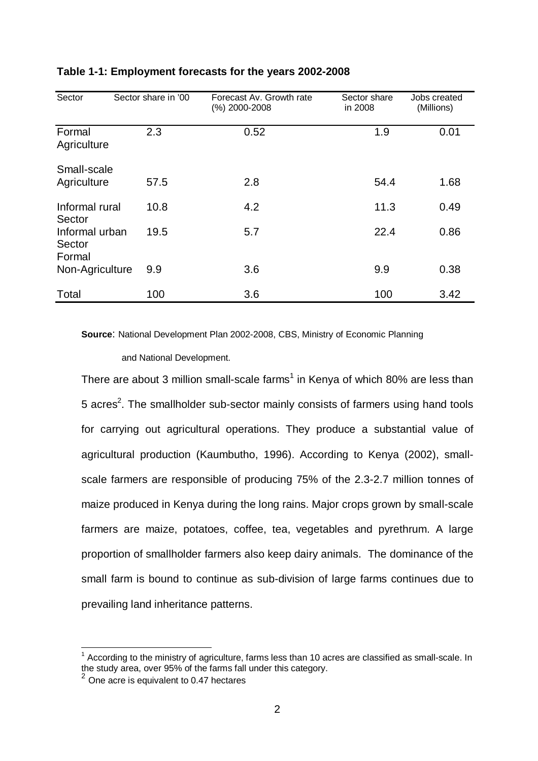| Sector                                       | Sector share in '00 | Forecast Av. Growth rate<br>(%) 2000-2008 | Sector share<br>in 2008 | Jobs created<br>(Millions) |
|----------------------------------------------|---------------------|-------------------------------------------|-------------------------|----------------------------|
| Formal<br>Agriculture                        | 2.3                 | 0.52                                      | 1.9                     | 0.01                       |
| Small-scale<br>Agriculture                   | 57.5                | 2.8                                       | 54.4                    | 1.68                       |
| Informal rural                               | 10.8                | 4.2                                       | 11.3                    | 0.49                       |
| Sector<br>Informal urban<br>Sector<br>Formal | 19.5                | 5.7                                       | 22.4                    | 0.86                       |
| Non-Agriculture                              | 9.9                 | 3.6                                       | 9.9                     | 0.38                       |
| Total                                        | 100                 | 3.6                                       | 100                     | 3.42                       |

# **Table 1-1: Employment forecasts for the years 2002-2008**

**Source**: National Development Plan 2002-2008, CBS, Ministry of Economic Planning

and National Development.

There are about 3 million small-scale farms<sup>1</sup> in Kenya of which 80% are less than 5 acres<sup>2</sup>. The smallholder sub-sector mainly consists of farmers using hand tools for carrying out agricultural operations. They produce a substantial value of agricultural production (Kaumbutho, 1996). According to Kenya (2002), smallscale farmers are responsible of producing 75% of the 2.3-2.7 million tonnes of maize produced in Kenya during the long rains. Major crops grown by small-scale farmers are maize, potatoes, coffee, tea, vegetables and pyrethrum. A large proportion of smallholder farmers also keep dairy animals. The dominance of the small farm is bound to continue as sub-division of large farms continues due to prevailing land inheritance patterns.

  $1$  According to the ministry of agriculture, farms less than 10 acres are classified as small-scale. In the study area, over 95% of the farms fall under this category.

 $2$  One acre is equivalent to 0.47 hectares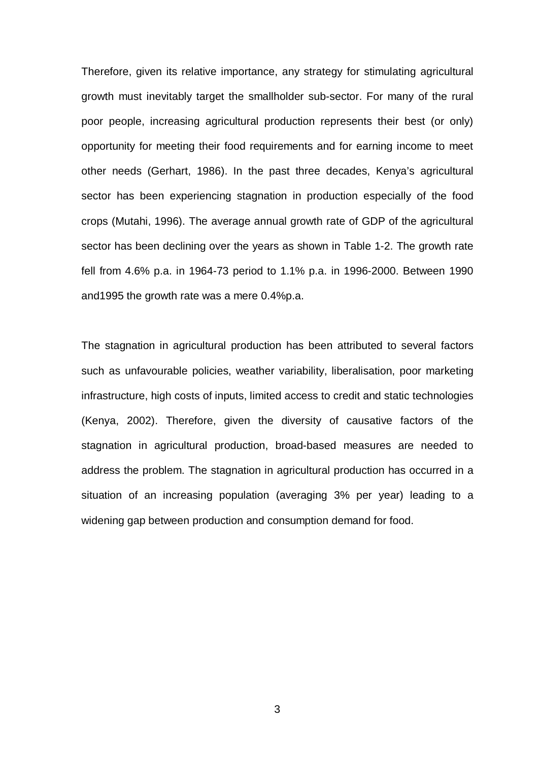Therefore, given its relative importance, any strategy for stimulating agricultural growth must inevitably target the smallholder sub-sector. For many of the rural poor people, increasing agricultural production represents their best (or only) opportunity for meeting their food requirements and for earning income to meet other needs (Gerhart, 1986). In the past three decades, Kenya's agricultural sector has been experiencing stagnation in production especially of the food crops (Mutahi, 1996). The average annual growth rate of GDP of the agricultural sector has been declining over the years as shown in Table 1-2. The growth rate fell from 4.6% p.a. in 1964-73 period to 1.1% p.a. in 1996-2000. Between 1990 and1995 the growth rate was a mere 0.4%p.a.

The stagnation in agricultural production has been attributed to several factors such as unfavourable policies, weather variability, liberalisation, poor marketing infrastructure, high costs of inputs, limited access to credit and static technologies (Kenya, 2002). Therefore, given the diversity of causative factors of the stagnation in agricultural production, broad-based measures are needed to address the problem. The stagnation in agricultural production has occurred in a situation of an increasing population (averaging 3% per year) leading to a widening gap between production and consumption demand for food.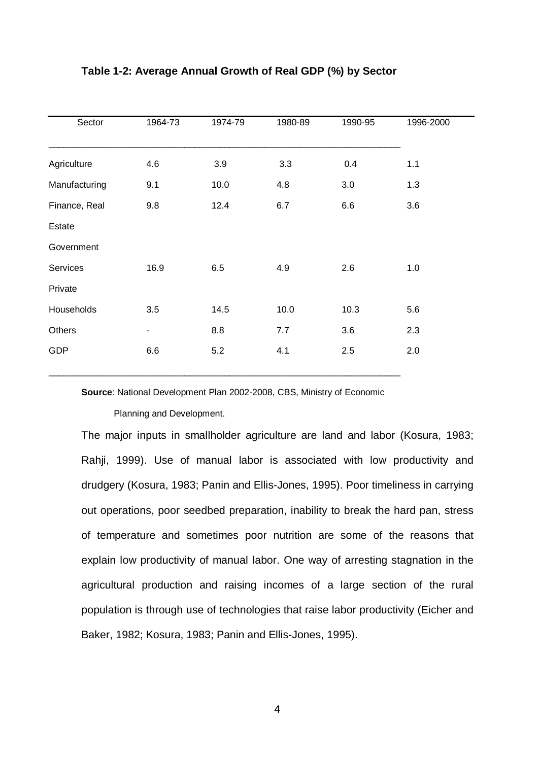| Sector        | 1964-73 | 1974-79 | 1980-89 | 1990-95 | 1996-2000 |
|---------------|---------|---------|---------|---------|-----------|
|               |         |         |         |         |           |
| Agriculture   | 4.6     | 3.9     | 3.3     | 0.4     | 1.1       |
| Manufacturing | 9.1     | 10.0    | 4.8     | 3.0     | 1.3       |
| Finance, Real | 9.8     | 12.4    | 6.7     | 6.6     | 3.6       |
| Estate        |         |         |         |         |           |
| Government    |         |         |         |         |           |
| Services      | 16.9    | 6.5     | 4.9     | 2.6     | 1.0       |
| Private       |         |         |         |         |           |
| Households    | 3.5     | 14.5    | 10.0    | 10.3    | 5.6       |
| Others        | ۰       | 8.8     | 7.7     | 3.6     | 2.3       |
| <b>GDP</b>    | 6.6     | 5.2     | 4.1     | 2.5     | 2.0       |
|               |         |         |         |         |           |

#### **Table 1-2: Average Annual Growth of Real GDP (%) by Sector**

**Source**: National Development Plan 2002-2008, CBS, Ministry of Economic

Planning and Development.

The major inputs in smallholder agriculture are land and labor (Kosura, 1983; Rahji, 1999). Use of manual labor is associated with low productivity and drudgery (Kosura, 1983; Panin and Ellis-Jones, 1995). Poor timeliness in carrying out operations, poor seedbed preparation, inability to break the hard pan, stress of temperature and sometimes poor nutrition are some of the reasons that explain low productivity of manual labor. One way of arresting stagnation in the agricultural production and raising incomes of a large section of the rural population is through use of technologies that raise labor productivity (Eicher and Baker, 1982; Kosura, 1983; Panin and Ellis-Jones, 1995).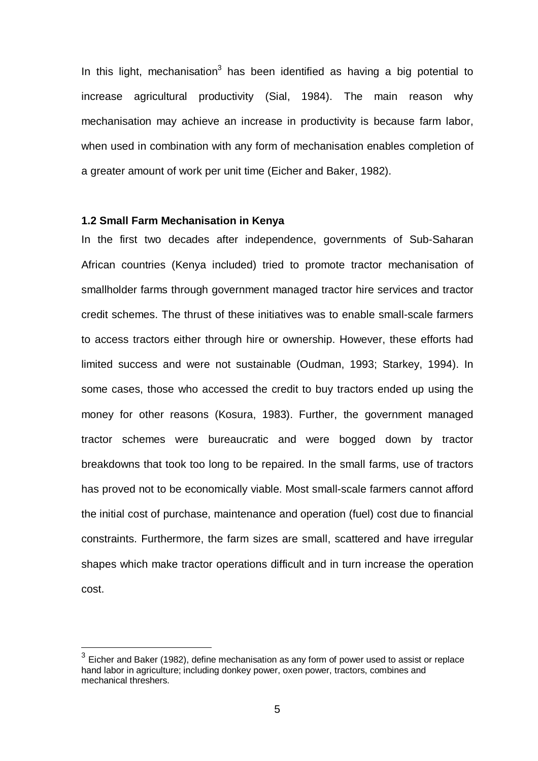In this light, mechanisation<sup>3</sup> has been identified as having a big potential to increase agricultural productivity (Sial, 1984). The main reason why mechanisation may achieve an increase in productivity is because farm labor, when used in combination with any form of mechanisation enables completion of a greater amount of work per unit time (Eicher and Baker, 1982).

#### **1.2 Small Farm Mechanisation in Kenya**

 $\overline{a}$ 

In the first two decades after independence, governments of Sub-Saharan African countries (Kenya included) tried to promote tractor mechanisation of smallholder farms through government managed tractor hire services and tractor credit schemes. The thrust of these initiatives was to enable small-scale farmers to access tractors either through hire or ownership. However, these efforts had limited success and were not sustainable (Oudman, 1993; Starkey, 1994). In some cases, those who accessed the credit to buy tractors ended up using the money for other reasons (Kosura, 1983). Further, the government managed tractor schemes were bureaucratic and were bogged down by tractor breakdowns that took too long to be repaired. In the small farms, use of tractors has proved not to be economically viable. Most small-scale farmers cannot afford the initial cost of purchase, maintenance and operation (fuel) cost due to financial constraints. Furthermore, the farm sizes are small, scattered and have irregular shapes which make tractor operations difficult and in turn increase the operation cost.

 $^3$  Eicher and Baker (1982), define mechanisation as any form of power used to assist or replace hand labor in agriculture; including donkey power, oxen power, tractors, combines and mechanical threshers.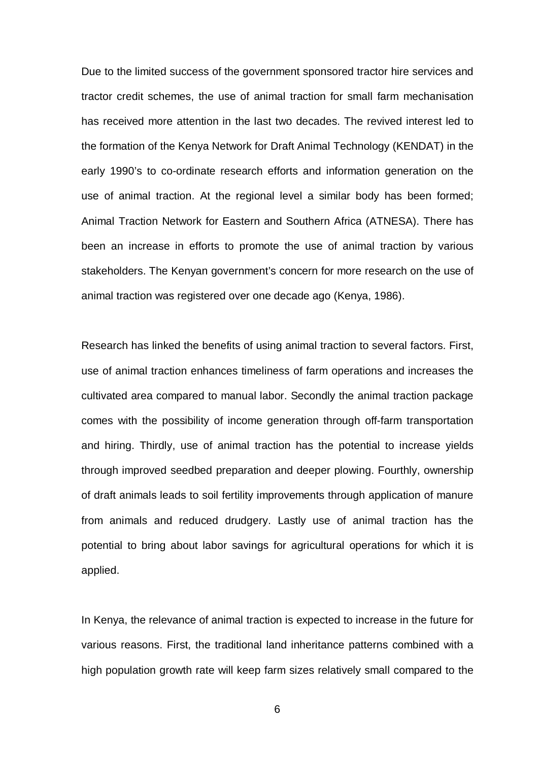Due to the limited success of the government sponsored tractor hire services and tractor credit schemes, the use of animal traction for small farm mechanisation has received more attention in the last two decades. The revived interest led to the formation of the Kenya Network for Draft Animal Technology (KENDAT) in the early 1990's to co-ordinate research efforts and information generation on the use of animal traction. At the regional level a similar body has been formed; Animal Traction Network for Eastern and Southern Africa (ATNESA). There has been an increase in efforts to promote the use of animal traction by various stakeholders. The Kenyan government's concern for more research on the use of animal traction was registered over one decade ago (Kenya, 1986).

Research has linked the benefits of using animal traction to several factors. First, use of animal traction enhances timeliness of farm operations and increases the cultivated area compared to manual labor. Secondly the animal traction package comes with the possibility of income generation through off-farm transportation and hiring. Thirdly, use of animal traction has the potential to increase yields through improved seedbed preparation and deeper plowing. Fourthly, ownership of draft animals leads to soil fertility improvements through application of manure from animals and reduced drudgery. Lastly use of animal traction has the potential to bring about labor savings for agricultural operations for which it is applied.

In Kenya, the relevance of animal traction is expected to increase in the future for various reasons. First, the traditional land inheritance patterns combined with a high population growth rate will keep farm sizes relatively small compared to the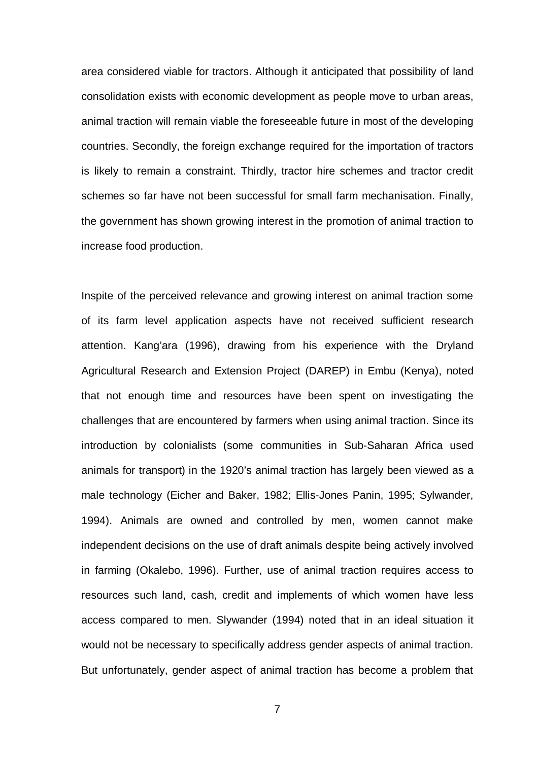area considered viable for tractors. Although it anticipated that possibility of land consolidation exists with economic development as people move to urban areas, animal traction will remain viable the foreseeable future in most of the developing countries. Secondly, the foreign exchange required for the importation of tractors is likely to remain a constraint. Thirdly, tractor hire schemes and tractor credit schemes so far have not been successful for small farm mechanisation. Finally, the government has shown growing interest in the promotion of animal traction to increase food production.

Inspite of the perceived relevance and growing interest on animal traction some of its farm level application aspects have not received sufficient research attention. Kang'ara (1996), drawing from his experience with the Dryland Agricultural Research and Extension Project (DAREP) in Embu (Kenya), noted that not enough time and resources have been spent on investigating the challenges that are encountered by farmers when using animal traction. Since its introduction by colonialists (some communities in Sub-Saharan Africa used animals for transport) in the 1920's animal traction has largely been viewed as a male technology (Eicher and Baker, 1982; Ellis-Jones Panin, 1995; Sylwander, 1994). Animals are owned and controlled by men, women cannot make independent decisions on the use of draft animals despite being actively involved in farming (Okalebo, 1996). Further, use of animal traction requires access to resources such land, cash, credit and implements of which women have less access compared to men. Slywander (1994) noted that in an ideal situation it would not be necessary to specifically address gender aspects of animal traction. But unfortunately, gender aspect of animal traction has become a problem that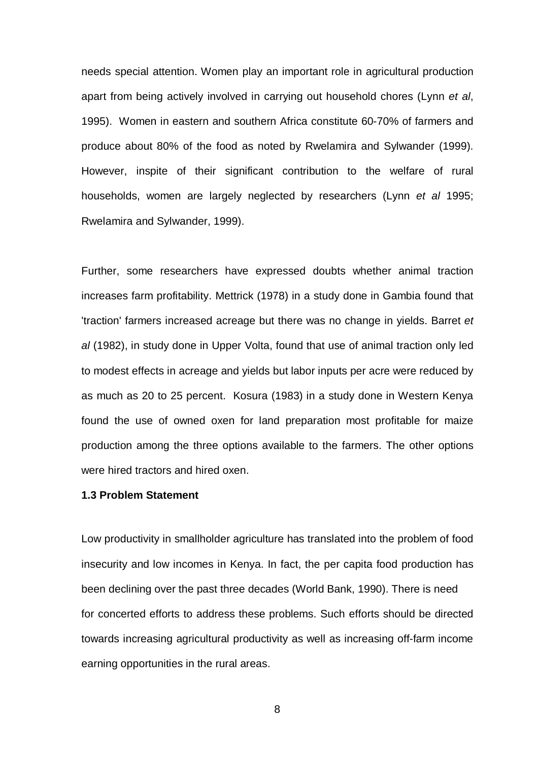needs special attention. Women play an important role in agricultural production apart from being actively involved in carrying out household chores (Lynn *et al*, 1995). Women in eastern and southern Africa constitute 60-70% of farmers and produce about 80% of the food as noted by Rwelamira and Sylwander (1999). However, inspite of their significant contribution to the welfare of rural households, women are largely neglected by researchers (Lynn *et al* 1995; Rwelamira and Sylwander, 1999).

Further, some researchers have expressed doubts whether animal traction increases farm profitability. Mettrick (1978) in a study done in Gambia found that 'traction' farmers increased acreage but there was no change in yields. Barret *et al* (1982), in study done in Upper Volta, found that use of animal traction only led to modest effects in acreage and yields but labor inputs per acre were reduced by as much as 20 to 25 percent. Kosura (1983) in a study done in Western Kenya found the use of owned oxen for land preparation most profitable for maize production among the three options available to the farmers. The other options were hired tractors and hired oxen.

#### **1.3 Problem Statement**

Low productivity in smallholder agriculture has translated into the problem of food insecurity and low incomes in Kenya. In fact, the per capita food production has been declining over the past three decades (World Bank, 1990). There is need for concerted efforts to address these problems. Such efforts should be directed towards increasing agricultural productivity as well as increasing off-farm income earning opportunities in the rural areas.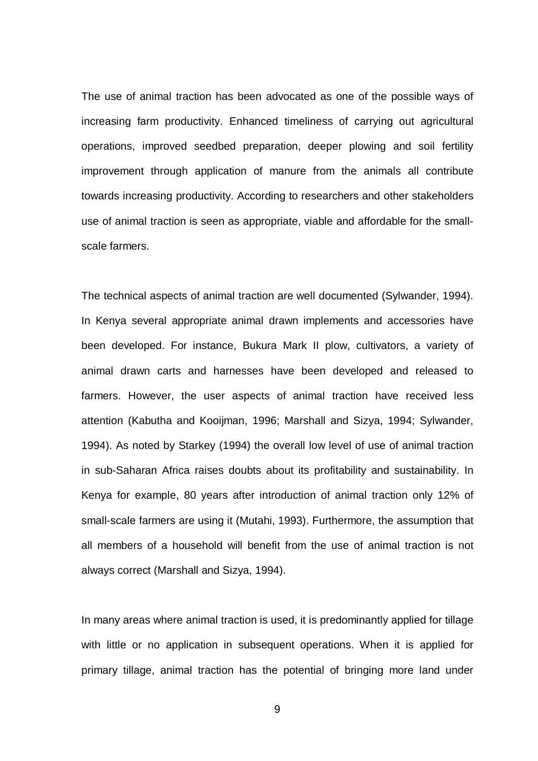The use of animal traction has been advocated as one of the possible ways of increasing farm productivity. Enhanced timeliness of carrying out agricultural operations, improved seedbed preparation, deeper plowing and soil fertility improvement through application of manure from the animals all contribute towards increasing productivity. According to researchers and other stakeholders use of animal traction is seen as appropriate, viable and affordable for the smallscale farmers.

The technical aspects of animal traction are well documented (Sylwander, 1994). In Kenya several appropriate animal drawn implements and accessories have been developed. For instance, Bukura Mark II plow, cultivators, a variety of animal drawn carts and harnesses have been developed and released to farmers. However, the user aspects of animal traction have received less attention (Kabutha and Kooijman, 1996; Marshall and Sizya, 1994; Sylwander, 1994). As noted by Starkey (1994) the overall low level of use of animal traction in sub-Saharan Africa raises doubts about its profitability and sustainability. In Kenya for example, 80 years after introduction of animal traction only 12% of small-scale farmers are using it (Mutahi, 1993). Furthermore, the assumption that all members of a household will benefit from the use of animal traction is not always correct (Marshall and Sizya, 1994).

In many areas where animal traction is used, it is predominantly applied for tillage with little or no application in subsequent operations. When it is applied for primary tillage, animal traction has the potential of bringing more land under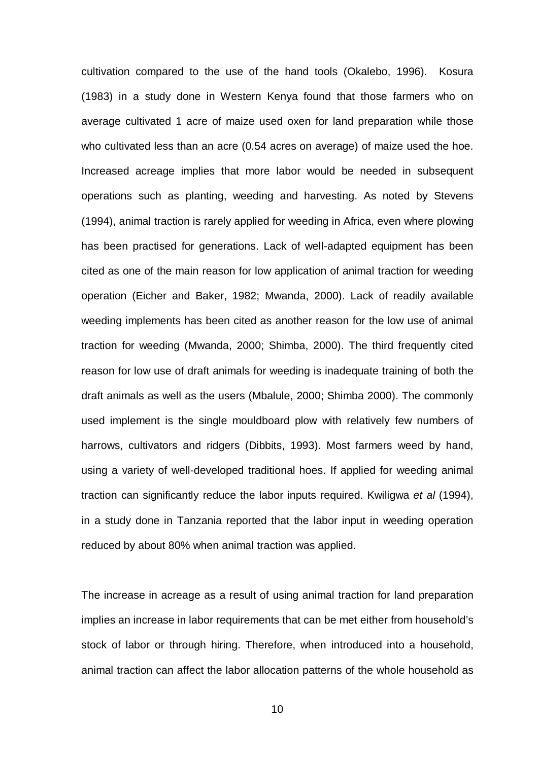cultivation compared to the use of the hand tools (Okalebo, 1996). Kosura (1983) in a study done in Western Kenya found that those farmers who on average cultivated 1 acre of maize used oxen for land preparation while those who cultivated less than an acre (0.54 acres on average) of maize used the hoe. Increased acreage implies that more labor would be needed in subsequent operations such as planting, weeding and harvesting. As noted by Stevens (1994), animal traction is rarely applied for weeding in Africa, even where plowing has been practised for generations. Lack of well-adapted equipment has been cited as one of the main reason for low application of animal traction for weeding operation (Eicher and Baker, 1982; Mwanda, 2000). Lack of readily available weeding implements has been cited as another reason for the low use of animal traction for weeding (Mwanda, 2000; Shimba, 2000). The third frequently cited reason for low use of draft animals for weeding is inadequate training of both the draft animals as well as the users (Mbalule, 2000; Shimba 2000). The commonly used implement is the single mouldboard plow with relatively few numbers of harrows, cultivators and ridgers (Dibbits, 1993). Most farmers weed by hand, using a variety of well-developed traditional hoes. If applied for weeding animal traction can significantly reduce the labor inputs required. Kwiligwa *et al* (1994), in a study done in Tanzania reported that the labor input in weeding operation reduced by about 80% when animal traction was applied.

The increase in acreage as a result of using animal traction for land preparation implies an increase in labor requirements that can be met either from household's stock of labor or through hiring. Therefore, when introduced into a household, animal traction can affect the labor allocation patterns of the whole household as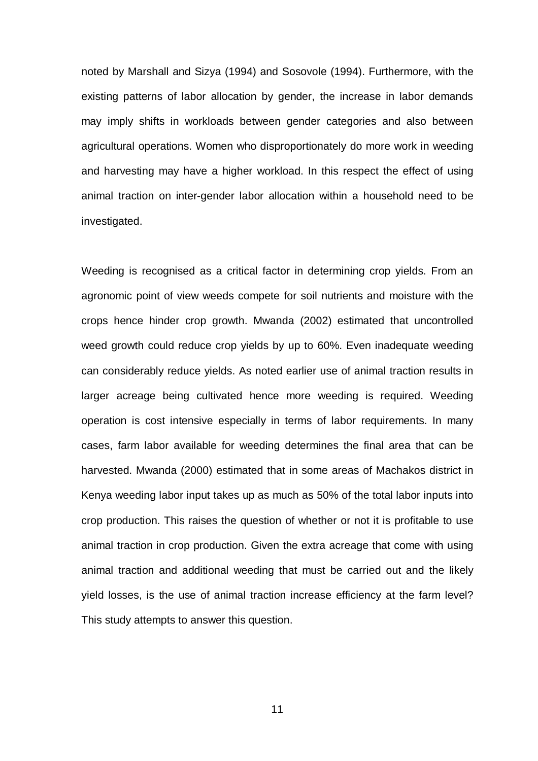noted by Marshall and Sizya (1994) and Sosovole (1994). Furthermore, with the existing patterns of labor allocation by gender, the increase in labor demands may imply shifts in workloads between gender categories and also between agricultural operations. Women who disproportionately do more work in weeding and harvesting may have a higher workload. In this respect the effect of using animal traction on inter-gender labor allocation within a household need to be investigated.

Weeding is recognised as a critical factor in determining crop yields. From an agronomic point of view weeds compete for soil nutrients and moisture with the crops hence hinder crop growth. Mwanda (2002) estimated that uncontrolled weed growth could reduce crop yields by up to 60%. Even inadequate weeding can considerably reduce yields. As noted earlier use of animal traction results in larger acreage being cultivated hence more weeding is required. Weeding operation is cost intensive especially in terms of labor requirements. In many cases, farm labor available for weeding determines the final area that can be harvested. Mwanda (2000) estimated that in some areas of Machakos district in Kenya weeding labor input takes up as much as 50% of the total labor inputs into crop production. This raises the question of whether or not it is profitable to use animal traction in crop production. Given the extra acreage that come with using animal traction and additional weeding that must be carried out and the likely yield losses, is the use of animal traction increase efficiency at the farm level? This study attempts to answer this question.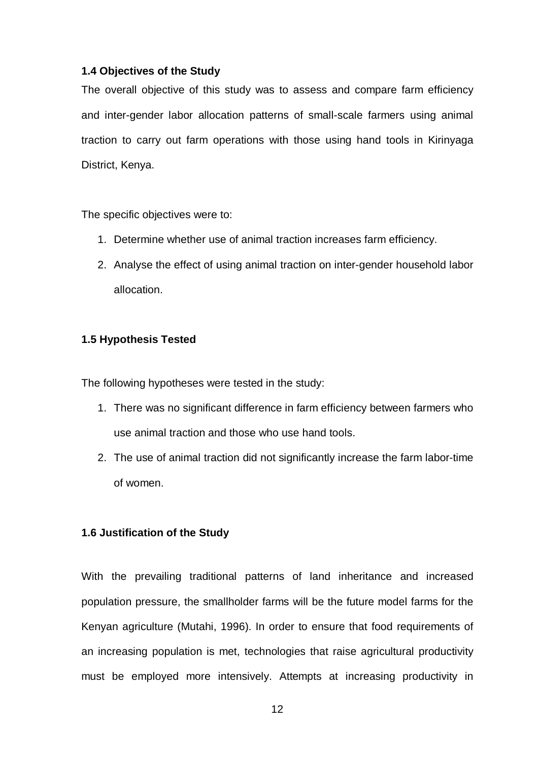## **1.4 Objectives of the Study**

The overall objective of this study was to assess and compare farm efficiency and inter-gender labor allocation patterns of small-scale farmers using animal traction to carry out farm operations with those using hand tools in Kirinyaga District, Kenya.

The specific objectives were to:

- 1. Determine whether use of animal traction increases farm efficiency.
- 2. Analyse the effect of using animal traction on inter-gender household labor allocation.

## **1.5 Hypothesis Tested**

The following hypotheses were tested in the study:

- 1. There was no significant difference in farm efficiency between farmers who use animal traction and those who use hand tools.
- 2. The use of animal traction did not significantly increase the farm labor-time of women.

#### **1.6 Justification of the Study**

With the prevailing traditional patterns of land inheritance and increased population pressure, the smallholder farms will be the future model farms for the Kenyan agriculture (Mutahi, 1996). In order to ensure that food requirements of an increasing population is met, technologies that raise agricultural productivity must be employed more intensively. Attempts at increasing productivity in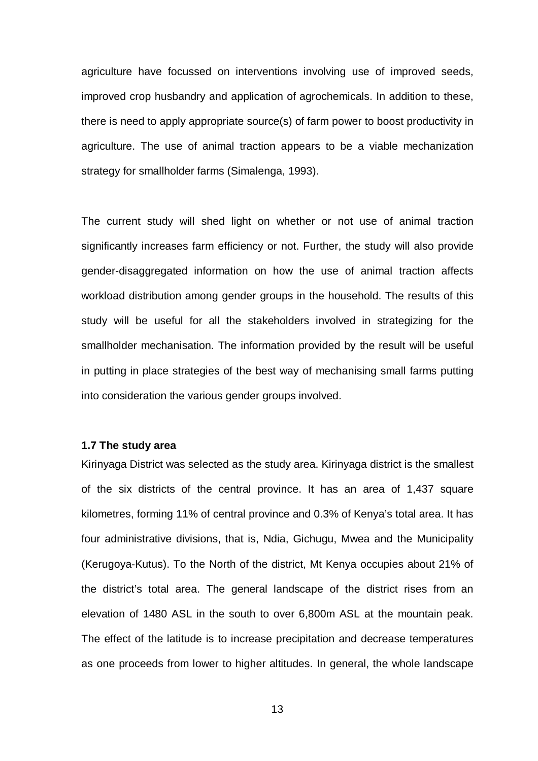agriculture have focussed on interventions involving use of improved seeds, improved crop husbandry and application of agrochemicals. In addition to these, there is need to apply appropriate source(s) of farm power to boost productivity in agriculture. The use of animal traction appears to be a viable mechanization strategy for smallholder farms (Simalenga, 1993).

The current study will shed light on whether or not use of animal traction significantly increases farm efficiency or not. Further, the study will also provide gender-disaggregated information on how the use of animal traction affects workload distribution among gender groups in the household. The results of this study will be useful for all the stakeholders involved in strategizing for the smallholder mechanisation. The information provided by the result will be useful in putting in place strategies of the best way of mechanising small farms putting into consideration the various gender groups involved.

#### **1.7 The study area**

Kirinyaga District was selected as the study area. Kirinyaga district is the smallest of the six districts of the central province. It has an area of 1,437 square kilometres, forming 11% of central province and 0.3% of Kenya's total area. It has four administrative divisions, that is, Ndia, Gichugu, Mwea and the Municipality (Kerugoya-Kutus). To the North of the district, Mt Kenya occupies about 21% of the district's total area. The general landscape of the district rises from an elevation of 1480 ASL in the south to over 6,800m ASL at the mountain peak. The effect of the latitude is to increase precipitation and decrease temperatures as one proceeds from lower to higher altitudes. In general, the whole landscape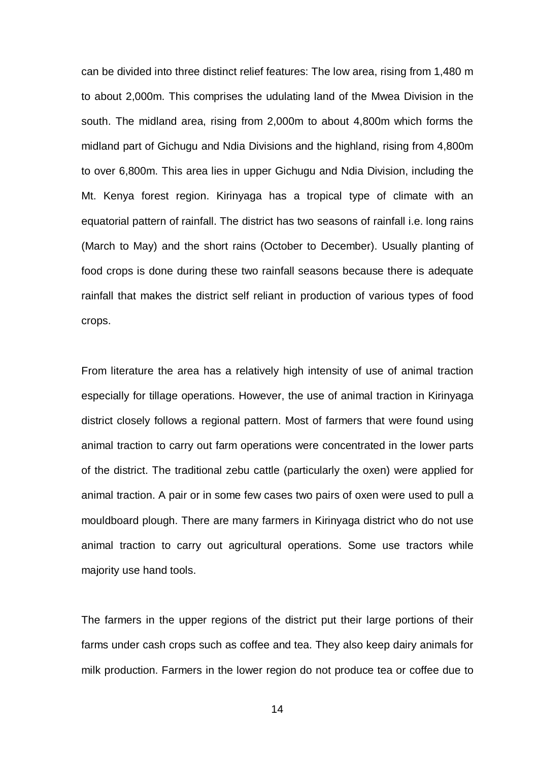can be divided into three distinct relief features: The low area, rising from 1,480 m to about 2,000m. This comprises the udulating land of the Mwea Division in the south. The midland area, rising from 2,000m to about 4,800m which forms the midland part of Gichugu and Ndia Divisions and the highland, rising from 4,800m to over 6,800m. This area lies in upper Gichugu and Ndia Division, including the Mt. Kenya forest region. Kirinyaga has a tropical type of climate with an equatorial pattern of rainfall. The district has two seasons of rainfall i.e. long rains (March to May) and the short rains (October to December). Usually planting of food crops is done during these two rainfall seasons because there is adequate rainfall that makes the district self reliant in production of various types of food crops.

From literature the area has a relatively high intensity of use of animal traction especially for tillage operations. However, the use of animal traction in Kirinyaga district closely follows a regional pattern. Most of farmers that were found using animal traction to carry out farm operations were concentrated in the lower parts of the district. The traditional zebu cattle (particularly the oxen) were applied for animal traction. A pair or in some few cases two pairs of oxen were used to pull a mouldboard plough. There are many farmers in Kirinyaga district who do not use animal traction to carry out agricultural operations. Some use tractors while majority use hand tools.

The farmers in the upper regions of the district put their large portions of their farms under cash crops such as coffee and tea. They also keep dairy animals for milk production. Farmers in the lower region do not produce tea or coffee due to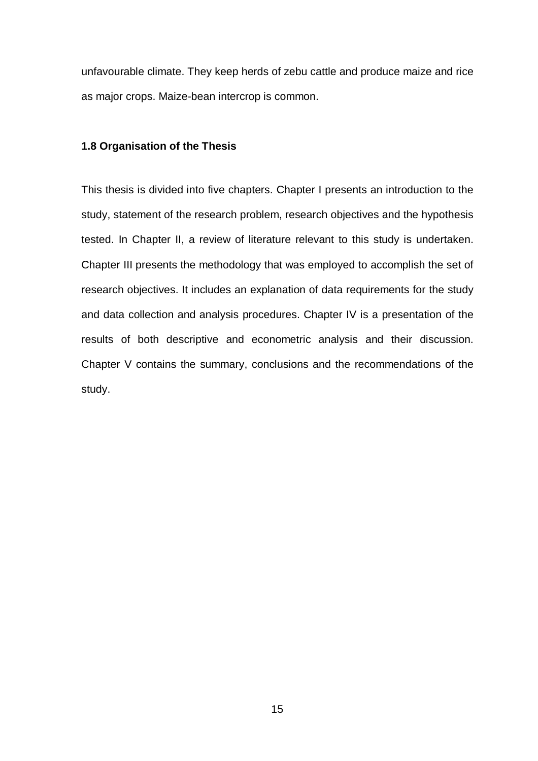unfavourable climate. They keep herds of zebu cattle and produce maize and rice as major crops. Maize-bean intercrop is common.

#### **1.8 Organisation of the Thesis**

This thesis is divided into five chapters. Chapter I presents an introduction to the study, statement of the research problem, research objectives and the hypothesis tested. In Chapter II, a review of literature relevant to this study is undertaken. Chapter III presents the methodology that was employed to accomplish the set of research objectives. It includes an explanation of data requirements for the study and data collection and analysis procedures. Chapter IV is a presentation of the results of both descriptive and econometric analysis and their discussion. Chapter V contains the summary, conclusions and the recommendations of the study.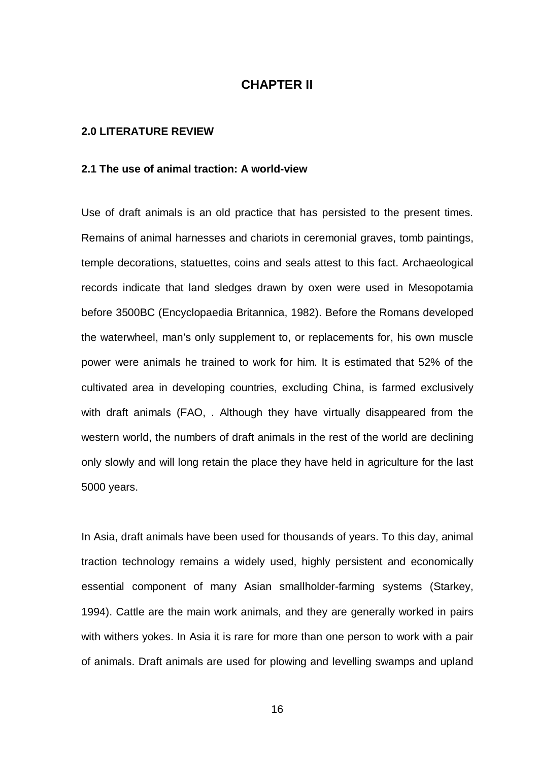# **CHAPTER II**

#### **2.0 LITERATURE REVIEW**

#### **2.1 The use of animal traction: A world-view**

Use of draft animals is an old practice that has persisted to the present times. Remains of animal harnesses and chariots in ceremonial graves, tomb paintings, temple decorations, statuettes, coins and seals attest to this fact. Archaeological records indicate that land sledges drawn by oxen were used in Mesopotamia before 3500BC (Encyclopaedia Britannica, 1982). Before the Romans developed the waterwheel, man's only supplement to, or replacements for, his own muscle power were animals he trained to work for him. It is estimated that 52% of the cultivated area in developing countries, excluding China, is farmed exclusively with draft animals (FAO, . Although they have virtually disappeared from the western world, the numbers of draft animals in the rest of the world are declining only slowly and will long retain the place they have held in agriculture for the last 5000 years.

In Asia, draft animals have been used for thousands of years. To this day, animal traction technology remains a widely used, highly persistent and economically essential component of many Asian smallholder-farming systems (Starkey, 1994). Cattle are the main work animals, and they are generally worked in pairs with withers yokes. In Asia it is rare for more than one person to work with a pair of animals. Draft animals are used for plowing and levelling swamps and upland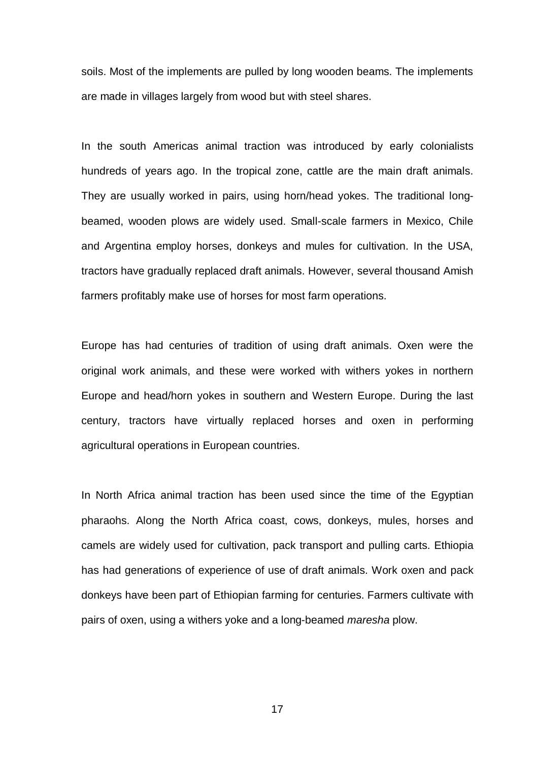soils. Most of the implements are pulled by long wooden beams. The implements are made in villages largely from wood but with steel shares.

In the south Americas animal traction was introduced by early colonialists hundreds of years ago. In the tropical zone, cattle are the main draft animals. They are usually worked in pairs, using horn/head yokes. The traditional longbeamed, wooden plows are widely used. Small-scale farmers in Mexico, Chile and Argentina employ horses, donkeys and mules for cultivation. In the USA, tractors have gradually replaced draft animals. However, several thousand Amish farmers profitably make use of horses for most farm operations.

Europe has had centuries of tradition of using draft animals. Oxen were the original work animals, and these were worked with withers yokes in northern Europe and head/horn yokes in southern and Western Europe. During the last century, tractors have virtually replaced horses and oxen in performing agricultural operations in European countries.

In North Africa animal traction has been used since the time of the Egyptian pharaohs. Along the North Africa coast, cows, donkeys, mules, horses and camels are widely used for cultivation, pack transport and pulling carts. Ethiopia has had generations of experience of use of draft animals. Work oxen and pack donkeys have been part of Ethiopian farming for centuries. Farmers cultivate with pairs of oxen, using a withers yoke and a long-beamed *maresha* plow.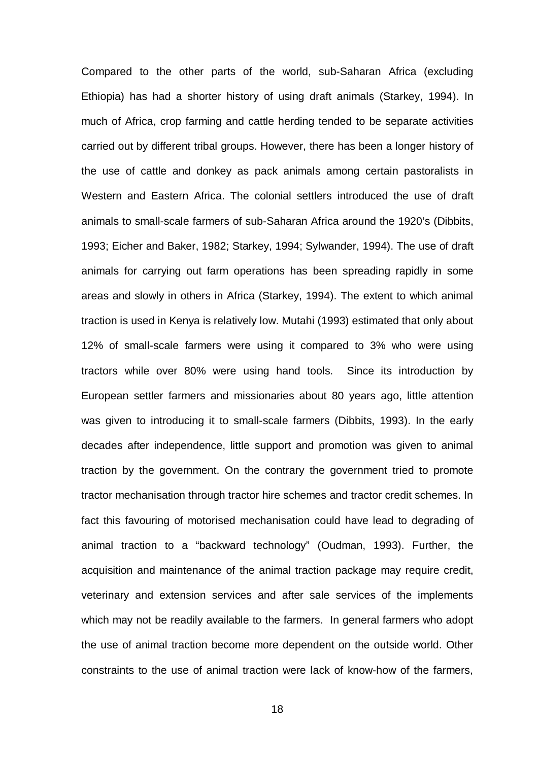Compared to the other parts of the world, sub-Saharan Africa (excluding Ethiopia) has had a shorter history of using draft animals (Starkey, 1994). In much of Africa, crop farming and cattle herding tended to be separate activities carried out by different tribal groups. However, there has been a longer history of the use of cattle and donkey as pack animals among certain pastoralists in Western and Eastern Africa. The colonial settlers introduced the use of draft animals to small-scale farmers of sub-Saharan Africa around the 1920's (Dibbits, 1993; Eicher and Baker, 1982; Starkey, 1994; Sylwander, 1994). The use of draft animals for carrying out farm operations has been spreading rapidly in some areas and slowly in others in Africa (Starkey, 1994). The extent to which animal traction is used in Kenya is relatively low. Mutahi (1993) estimated that only about 12% of small-scale farmers were using it compared to 3% who were using tractors while over 80% were using hand tools. Since its introduction by European settler farmers and missionaries about 80 years ago, little attention was given to introducing it to small-scale farmers (Dibbits, 1993). In the early decades after independence, little support and promotion was given to animal traction by the government. On the contrary the government tried to promote tractor mechanisation through tractor hire schemes and tractor credit schemes. In fact this favouring of motorised mechanisation could have lead to degrading of animal traction to a "backward technology" (Oudman, 1993). Further, the acquisition and maintenance of the animal traction package may require credit, veterinary and extension services and after sale services of the implements which may not be readily available to the farmers. In general farmers who adopt the use of animal traction become more dependent on the outside world. Other constraints to the use of animal traction were lack of know-how of the farmers,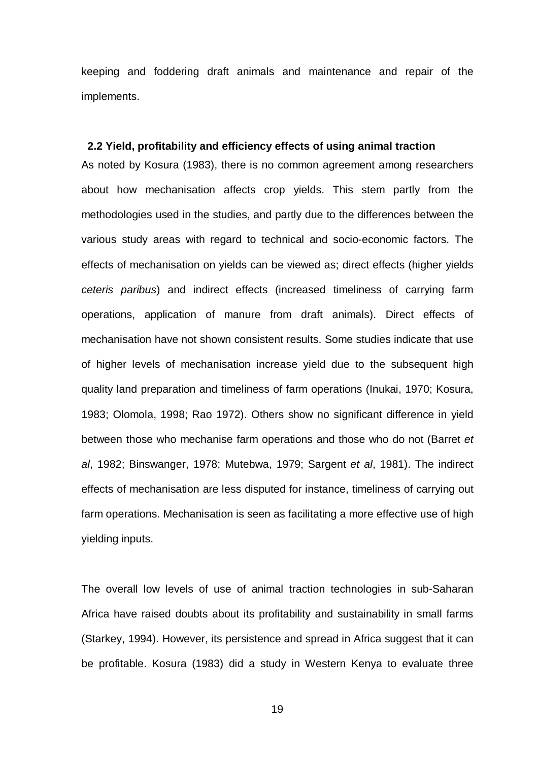keeping and foddering draft animals and maintenance and repair of the implements.

#### **2.2 Yield, profitability and efficiency effects of using animal traction**

As noted by Kosura (1983), there is no common agreement among researchers about how mechanisation affects crop yields. This stem partly from the methodologies used in the studies, and partly due to the differences between the various study areas with regard to technical and socio-economic factors. The effects of mechanisation on yields can be viewed as; direct effects (higher yields *ceteris paribus*) and indirect effects (increased timeliness of carrying farm operations, application of manure from draft animals). Direct effects of mechanisation have not shown consistent results. Some studies indicate that use of higher levels of mechanisation increase yield due to the subsequent high quality land preparation and timeliness of farm operations (Inukai, 1970; Kosura, 1983; Olomola, 1998; Rao 1972). Others show no significant difference in yield between those who mechanise farm operations and those who do not (Barret *et al*, 1982; Binswanger, 1978; Mutebwa, 1979; Sargent *et al*, 1981). The indirect effects of mechanisation are less disputed for instance, timeliness of carrying out farm operations. Mechanisation is seen as facilitating a more effective use of high yielding inputs.

The overall low levels of use of animal traction technologies in sub-Saharan Africa have raised doubts about its profitability and sustainability in small farms (Starkey, 1994). However, its persistence and spread in Africa suggest that it can be profitable. Kosura (1983) did a study in Western Kenya to evaluate three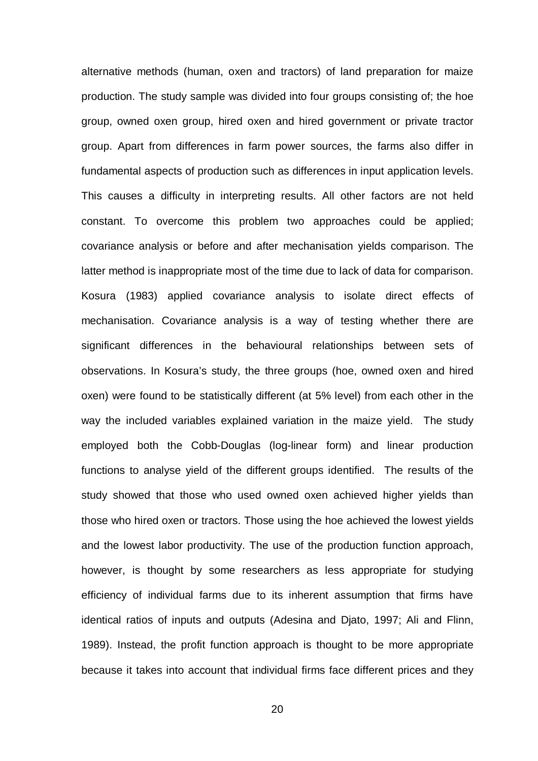alternative methods (human, oxen and tractors) of land preparation for maize production. The study sample was divided into four groups consisting of; the hoe group, owned oxen group, hired oxen and hired government or private tractor group. Apart from differences in farm power sources, the farms also differ in fundamental aspects of production such as differences in input application levels. This causes a difficulty in interpreting results. All other factors are not held constant. To overcome this problem two approaches could be applied; covariance analysis or before and after mechanisation yields comparison. The latter method is inappropriate most of the time due to lack of data for comparison. Kosura (1983) applied covariance analysis to isolate direct effects of mechanisation. Covariance analysis is a way of testing whether there are significant differences in the behavioural relationships between sets of observations. In Kosura's study, the three groups (hoe, owned oxen and hired oxen) were found to be statistically different (at 5% level) from each other in the way the included variables explained variation in the maize yield. The study employed both the Cobb-Douglas (log-linear form) and linear production functions to analyse yield of the different groups identified. The results of the study showed that those who used owned oxen achieved higher yields than those who hired oxen or tractors. Those using the hoe achieved the lowest yields and the lowest labor productivity. The use of the production function approach, however, is thought by some researchers as less appropriate for studying efficiency of individual farms due to its inherent assumption that firms have identical ratios of inputs and outputs (Adesina and Djato, 1997; Ali and Flinn, 1989). Instead, the profit function approach is thought to be more appropriate because it takes into account that individual firms face different prices and they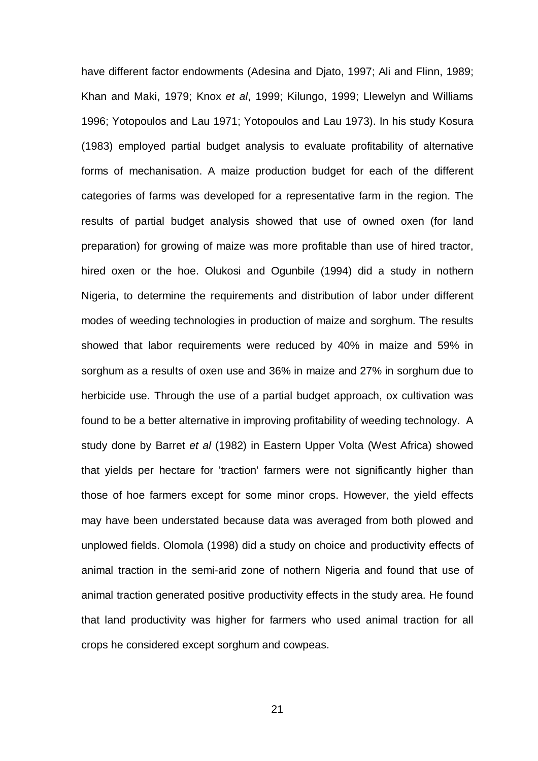have different factor endowments (Adesina and Djato, 1997; Ali and Flinn, 1989; Khan and Maki, 1979; Knox *et al*, 1999; Kilungo, 1999; Llewelyn and Williams 1996; Yotopoulos and Lau 1971; Yotopoulos and Lau 1973). In his study Kosura (1983) employed partial budget analysis to evaluate profitability of alternative forms of mechanisation. A maize production budget for each of the different categories of farms was developed for a representative farm in the region. The results of partial budget analysis showed that use of owned oxen (for land preparation) for growing of maize was more profitable than use of hired tractor, hired oxen or the hoe. Olukosi and Ogunbile (1994) did a study in nothern Nigeria, to determine the requirements and distribution of labor under different modes of weeding technologies in production of maize and sorghum. The results showed that labor requirements were reduced by 40% in maize and 59% in sorghum as a results of oxen use and 36% in maize and 27% in sorghum due to herbicide use. Through the use of a partial budget approach, ox cultivation was found to be a better alternative in improving profitability of weeding technology. A study done by Barret *et al* (1982) in Eastern Upper Volta (West Africa) showed that yields per hectare for 'traction' farmers were not significantly higher than those of hoe farmers except for some minor crops. However, the yield effects may have been understated because data was averaged from both plowed and unplowed fields. Olomola (1998) did a study on choice and productivity effects of animal traction in the semi-arid zone of nothern Nigeria and found that use of animal traction generated positive productivity effects in the study area. He found that land productivity was higher for farmers who used animal traction for all crops he considered except sorghum and cowpeas.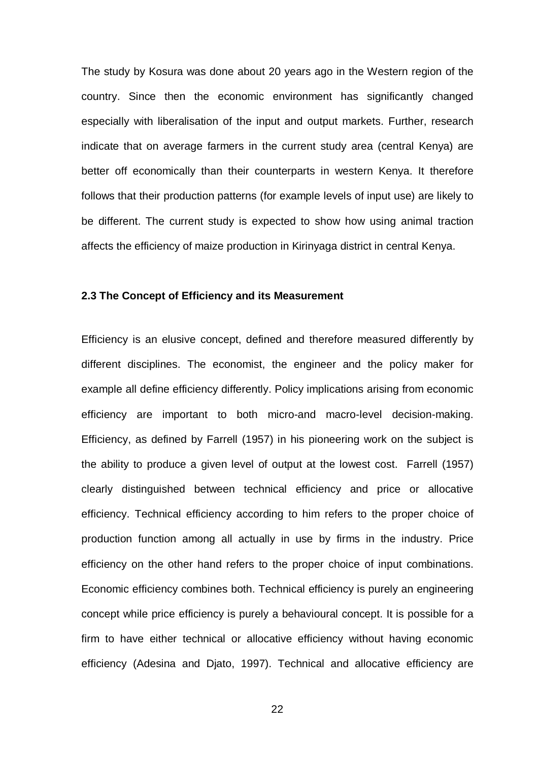The study by Kosura was done about 20 years ago in the Western region of the country. Since then the economic environment has significantly changed especially with liberalisation of the input and output markets. Further, research indicate that on average farmers in the current study area (central Kenya) are better off economically than their counterparts in western Kenya. It therefore follows that their production patterns (for example levels of input use) are likely to be different. The current study is expected to show how using animal traction affects the efficiency of maize production in Kirinyaga district in central Kenya.

#### **2.3 The Concept of Efficiency and its Measurement**

Efficiency is an elusive concept, defined and therefore measured differently by different disciplines. The economist, the engineer and the policy maker for example all define efficiency differently. Policy implications arising from economic efficiency are important to both micro-and macro-level decision-making. Efficiency, as defined by Farrell (1957) in his pioneering work on the subject is the ability to produce a given level of output at the lowest cost. Farrell (1957) clearly distinguished between technical efficiency and price or allocative efficiency. Technical efficiency according to him refers to the proper choice of production function among all actually in use by firms in the industry. Price efficiency on the other hand refers to the proper choice of input combinations. Economic efficiency combines both. Technical efficiency is purely an engineering concept while price efficiency is purely a behavioural concept. It is possible for a firm to have either technical or allocative efficiency without having economic efficiency (Adesina and Djato, 1997). Technical and allocative efficiency are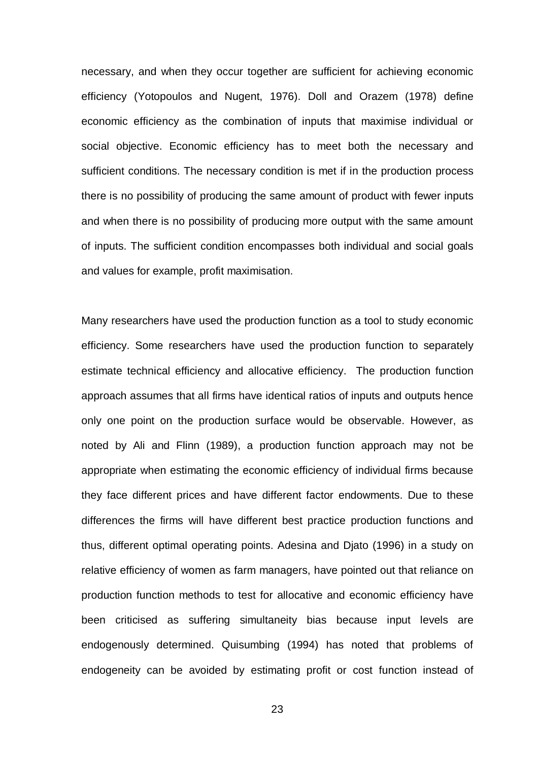necessary, and when they occur together are sufficient for achieving economic efficiency (Yotopoulos and Nugent, 1976). Doll and Orazem (1978) define economic efficiency as the combination of inputs that maximise individual or social objective. Economic efficiency has to meet both the necessary and sufficient conditions. The necessary condition is met if in the production process there is no possibility of producing the same amount of product with fewer inputs and when there is no possibility of producing more output with the same amount of inputs. The sufficient condition encompasses both individual and social goals and values for example, profit maximisation.

Many researchers have used the production function as a tool to study economic efficiency. Some researchers have used the production function to separately estimate technical efficiency and allocative efficiency. The production function approach assumes that all firms have identical ratios of inputs and outputs hence only one point on the production surface would be observable. However, as noted by Ali and Flinn (1989), a production function approach may not be appropriate when estimating the economic efficiency of individual firms because they face different prices and have different factor endowments. Due to these differences the firms will have different best practice production functions and thus, different optimal operating points. Adesina and Djato (1996) in a study on relative efficiency of women as farm managers, have pointed out that reliance on production function methods to test for allocative and economic efficiency have been criticised as suffering simultaneity bias because input levels are endogenously determined. Quisumbing (1994) has noted that problems of endogeneity can be avoided by estimating profit or cost function instead of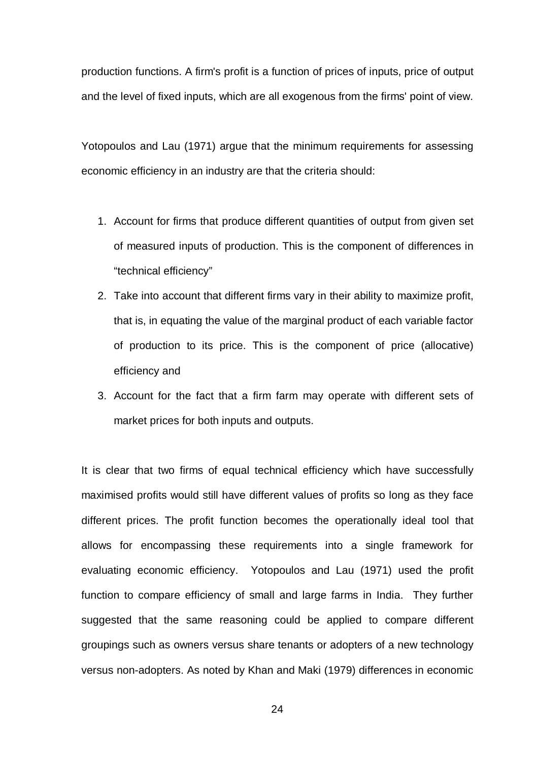production functions. A firm's profit is a function of prices of inputs, price of output and the level of fixed inputs, which are all exogenous from the firms' point of view.

Yotopoulos and Lau (1971) argue that the minimum requirements for assessing economic efficiency in an industry are that the criteria should:

- 1. Account for firms that produce different quantities of output from given set of measured inputs of production. This is the component of differences in "technical efficiency"
- 2. Take into account that different firms vary in their ability to maximize profit, that is, in equating the value of the marginal product of each variable factor of production to its price. This is the component of price (allocative) efficiency and
- 3. Account for the fact that a firm farm may operate with different sets of market prices for both inputs and outputs.

It is clear that two firms of equal technical efficiency which have successfully maximised profits would still have different values of profits so long as they face different prices. The profit function becomes the operationally ideal tool that allows for encompassing these requirements into a single framework for evaluating economic efficiency. Yotopoulos and Lau (1971) used the profit function to compare efficiency of small and large farms in India. They further suggested that the same reasoning could be applied to compare different groupings such as owners versus share tenants or adopters of a new technology versus non-adopters. As noted by Khan and Maki (1979) differences in economic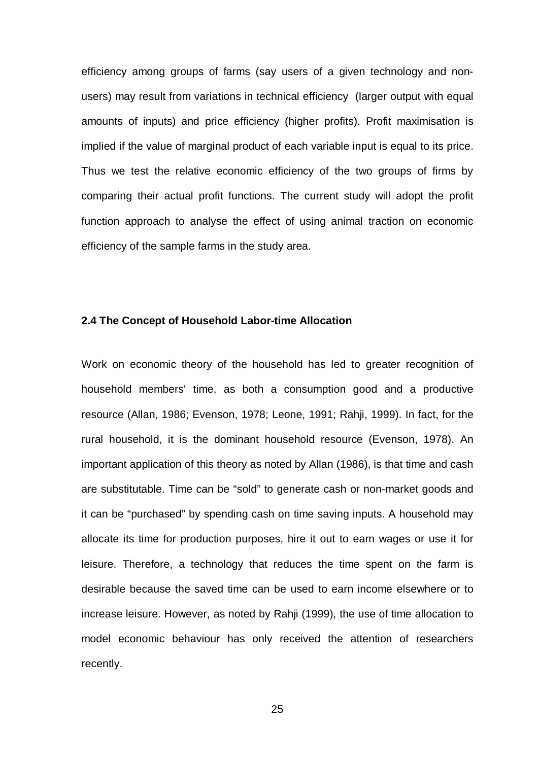efficiency among groups of farms (say users of a given technology and nonusers) may result from variations in technical efficiency (larger output with equal amounts of inputs) and price efficiency (higher profits). Profit maximisation is implied if the value of marginal product of each variable input is equal to its price. Thus we test the relative economic efficiency of the two groups of firms by comparing their actual profit functions. The current study will adopt the profit function approach to analyse the effect of using animal traction on economic efficiency of the sample farms in the study area.

## **2.4 The Concept of Household Labor-time Allocation**

Work on economic theory of the household has led to greater recognition of household members' time, as both a consumption good and a productive resource (Allan, 1986; Evenson, 1978; Leone, 1991; Rahji, 1999). In fact, for the rural household, it is the dominant household resource (Evenson, 1978). An important application of this theory as noted by Allan (1986), is that time and cash are substitutable. Time can be "sold" to generate cash or non-market goods and it can be "purchased" by spending cash on time saving inputs. A household may allocate its time for production purposes, hire it out to earn wages or use it for leisure. Therefore, a technology that reduces the time spent on the farm is desirable because the saved time can be used to earn income elsewhere or to increase leisure. However, as noted by Rahji (1999), the use of time allocation to model economic behaviour has only received the attention of researchers recently.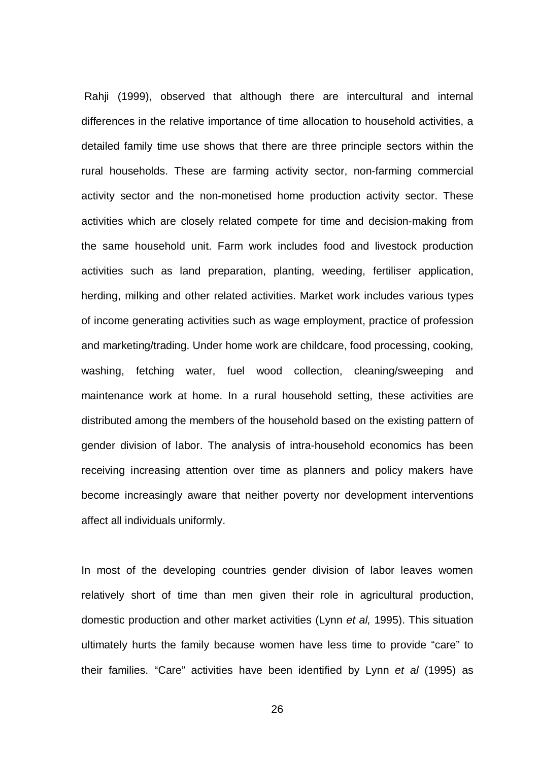Rahji (1999), observed that although there are intercultural and internal differences in the relative importance of time allocation to household activities, a detailed family time use shows that there are three principle sectors within the rural households. These are farming activity sector, non-farming commercial activity sector and the non-monetised home production activity sector. These activities which are closely related compete for time and decision-making from the same household unit. Farm work includes food and livestock production activities such as land preparation, planting, weeding, fertiliser application, herding, milking and other related activities. Market work includes various types of income generating activities such as wage employment, practice of profession and marketing/trading. Under home work are childcare, food processing, cooking, washing, fetching water, fuel wood collection, cleaning/sweeping and maintenance work at home. In a rural household setting, these activities are distributed among the members of the household based on the existing pattern of gender division of labor. The analysis of intra-household economics has been receiving increasing attention over time as planners and policy makers have become increasingly aware that neither poverty nor development interventions affect all individuals uniformly.

In most of the developing countries gender division of labor leaves women relatively short of time than men given their role in agricultural production, domestic production and other market activities (Lynn *et al,* 1995). This situation ultimately hurts the family because women have less time to provide "care" to their families. "Care" activities have been identified by Lynn *et al* (1995) as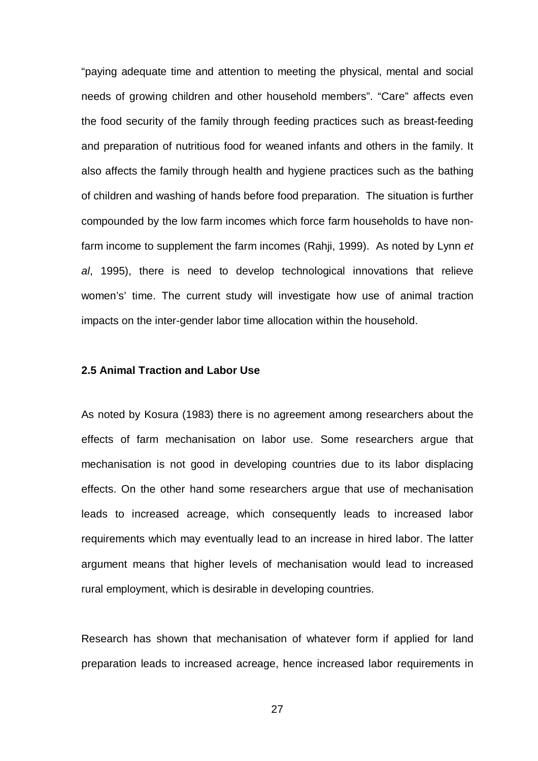"paying adequate time and attention to meeting the physical, mental and social needs of growing children and other household members". "Care" affects even the food security of the family through feeding practices such as breast-feeding and preparation of nutritious food for weaned infants and others in the family. It also affects the family through health and hygiene practices such as the bathing of children and washing of hands before food preparation. The situation is further compounded by the low farm incomes which force farm households to have nonfarm income to supplement the farm incomes (Rahji, 1999). As noted by Lynn *et al*, 1995), there is need to develop technological innovations that relieve women's' time. The current study will investigate how use of animal traction impacts on the inter-gender labor time allocation within the household.

## **2.5 Animal Traction and Labor Use**

As noted by Kosura (1983) there is no agreement among researchers about the effects of farm mechanisation on labor use. Some researchers argue that mechanisation is not good in developing countries due to its labor displacing effects. On the other hand some researchers argue that use of mechanisation leads to increased acreage, which consequently leads to increased labor requirements which may eventually lead to an increase in hired labor. The latter argument means that higher levels of mechanisation would lead to increased rural employment, which is desirable in developing countries.

Research has shown that mechanisation of whatever form if applied for land preparation leads to increased acreage, hence increased labor requirements in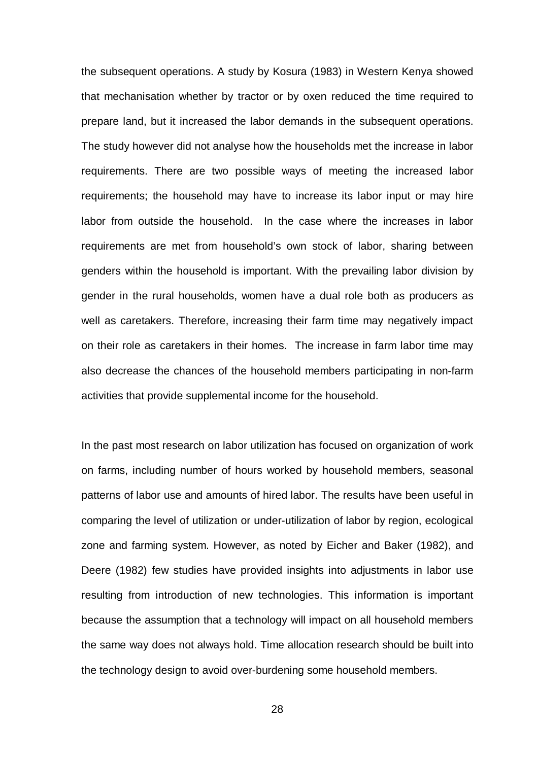the subsequent operations. A study by Kosura (1983) in Western Kenya showed that mechanisation whether by tractor or by oxen reduced the time required to prepare land, but it increased the labor demands in the subsequent operations. The study however did not analyse how the households met the increase in labor requirements. There are two possible ways of meeting the increased labor requirements; the household may have to increase its labor input or may hire labor from outside the household. In the case where the increases in labor requirements are met from household's own stock of labor, sharing between genders within the household is important. With the prevailing labor division by gender in the rural households, women have a dual role both as producers as well as caretakers. Therefore, increasing their farm time may negatively impact on their role as caretakers in their homes. The increase in farm labor time may also decrease the chances of the household members participating in non-farm activities that provide supplemental income for the household.

In the past most research on labor utilization has focused on organization of work on farms, including number of hours worked by household members, seasonal patterns of labor use and amounts of hired labor. The results have been useful in comparing the level of utilization or under-utilization of labor by region, ecological zone and farming system. However, as noted by Eicher and Baker (1982), and Deere (1982) few studies have provided insights into adjustments in labor use resulting from introduction of new technologies. This information is important because the assumption that a technology will impact on all household members the same way does not always hold. Time allocation research should be built into the technology design to avoid over-burdening some household members.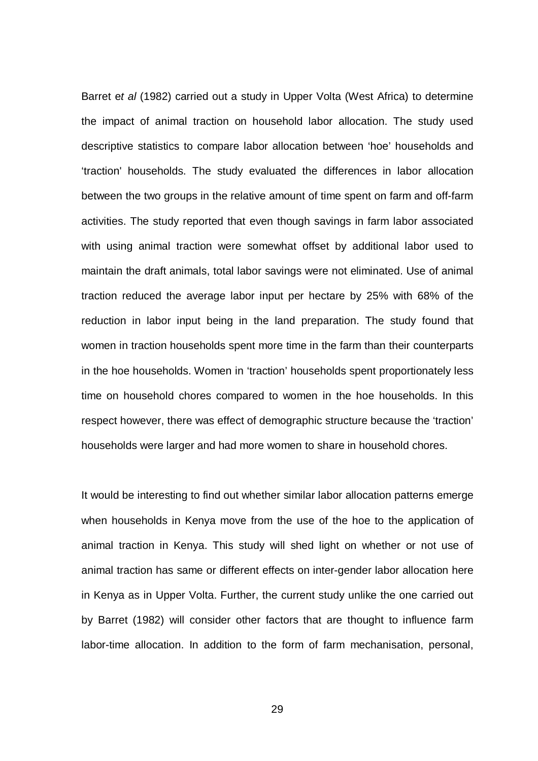Barret e*t al* (1982) carried out a study in Upper Volta (West Africa) to determine the impact of animal traction on household labor allocation. The study used descriptive statistics to compare labor allocation between 'hoe' households and 'traction' households. The study evaluated the differences in labor allocation between the two groups in the relative amount of time spent on farm and off-farm activities. The study reported that even though savings in farm labor associated with using animal traction were somewhat offset by additional labor used to maintain the draft animals, total labor savings were not eliminated. Use of animal traction reduced the average labor input per hectare by 25% with 68% of the reduction in labor input being in the land preparation. The study found that women in traction households spent more time in the farm than their counterparts in the hoe households. Women in 'traction' households spent proportionately less time on household chores compared to women in the hoe households. In this respect however, there was effect of demographic structure because the 'traction' households were larger and had more women to share in household chores.

It would be interesting to find out whether similar labor allocation patterns emerge when households in Kenya move from the use of the hoe to the application of animal traction in Kenya. This study will shed light on whether or not use of animal traction has same or different effects on inter-gender labor allocation here in Kenya as in Upper Volta. Further, the current study unlike the one carried out by Barret (1982) will consider other factors that are thought to influence farm labor-time allocation. In addition to the form of farm mechanisation, personal,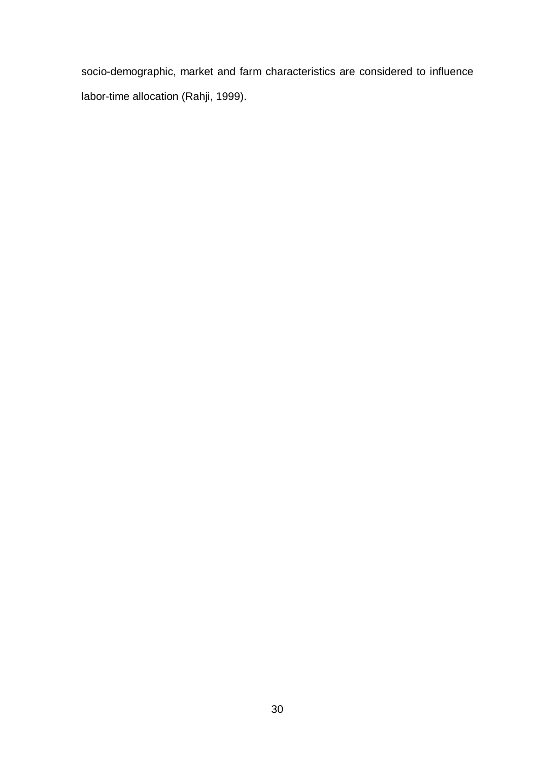socio-demographic, market and farm characteristics are considered to influence labor-time allocation (Rahji, 1999).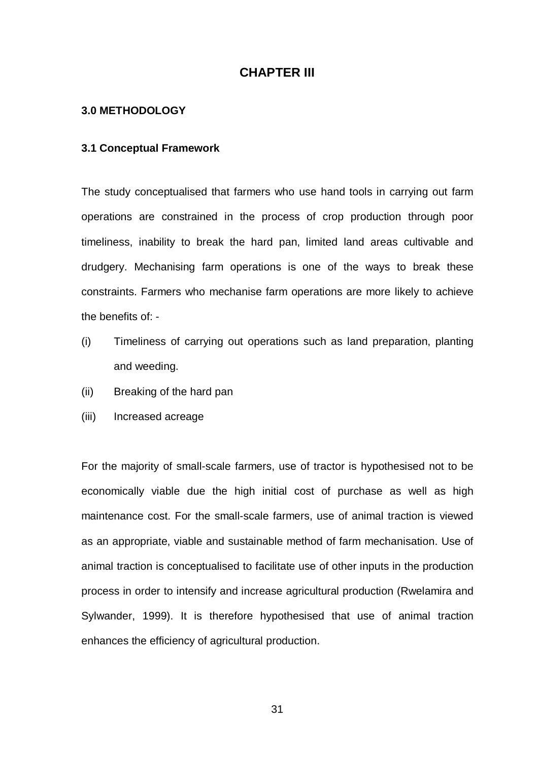# **CHAPTER III**

## **3.0 METHODOLOGY**

## **3.1 Conceptual Framework**

The study conceptualised that farmers who use hand tools in carrying out farm operations are constrained in the process of crop production through poor timeliness, inability to break the hard pan, limited land areas cultivable and drudgery. Mechanising farm operations is one of the ways to break these constraints. Farmers who mechanise farm operations are more likely to achieve the benefits of: -

- (i) Timeliness of carrying out operations such as land preparation, planting and weeding.
- (ii) Breaking of the hard pan
- (iii) Increased acreage

For the majority of small-scale farmers, use of tractor is hypothesised not to be economically viable due the high initial cost of purchase as well as high maintenance cost. For the small-scale farmers, use of animal traction is viewed as an appropriate, viable and sustainable method of farm mechanisation. Use of animal traction is conceptualised to facilitate use of other inputs in the production process in order to intensify and increase agricultural production (Rwelamira and Sylwander, 1999). It is therefore hypothesised that use of animal traction enhances the efficiency of agricultural production.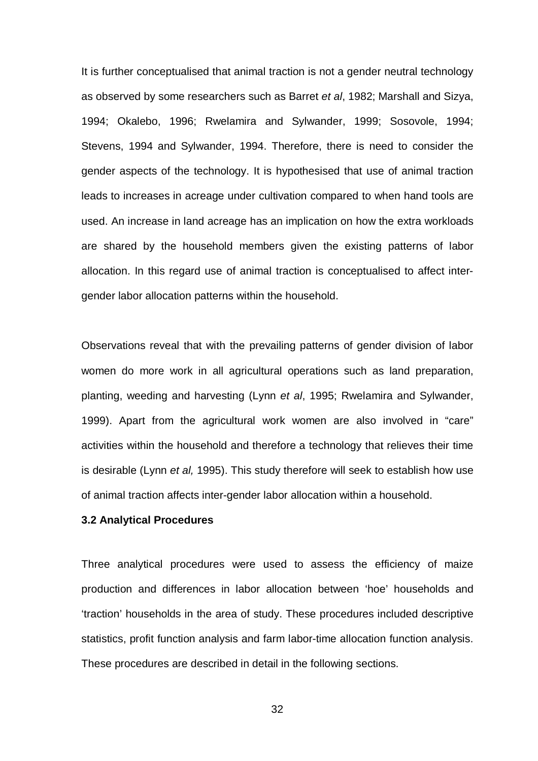It is further conceptualised that animal traction is not a gender neutral technology as observed by some researchers such as Barret *et al*, 1982; Marshall and Sizya, 1994; Okalebo, 1996; Rwelamira and Sylwander, 1999; Sosovole, 1994; Stevens, 1994 and Sylwander, 1994. Therefore, there is need to consider the gender aspects of the technology. It is hypothesised that use of animal traction leads to increases in acreage under cultivation compared to when hand tools are used. An increase in land acreage has an implication on how the extra workloads are shared by the household members given the existing patterns of labor allocation. In this regard use of animal traction is conceptualised to affect intergender labor allocation patterns within the household.

Observations reveal that with the prevailing patterns of gender division of labor women do more work in all agricultural operations such as land preparation, planting, weeding and harvesting (Lynn *et al*, 1995; Rwelamira and Sylwander, 1999). Apart from the agricultural work women are also involved in "care" activities within the household and therefore a technology that relieves their time is desirable (Lynn *et al,* 1995). This study therefore will seek to establish how use of animal traction affects inter-gender labor allocation within a household.

#### **3.2 Analytical Procedures**

Three analytical procedures were used to assess the efficiency of maize production and differences in labor allocation between 'hoe' households and 'traction' households in the area of study. These procedures included descriptive statistics, profit function analysis and farm labor-time allocation function analysis. These procedures are described in detail in the following sections.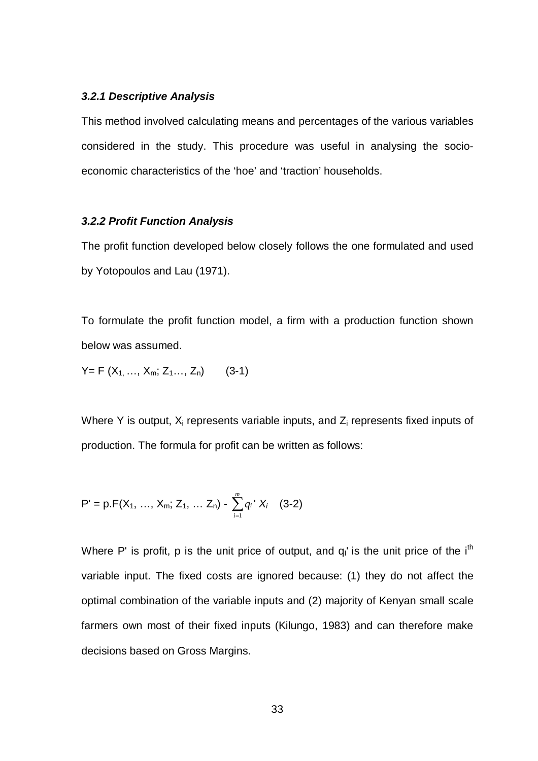## *3.2.1 Descriptive Analysis*

This method involved calculating means and percentages of the various variables considered in the study. This procedure was useful in analysing the socioeconomic characteristics of the 'hoe' and 'traction' households.

#### *3.2.2 Profit Function Analysis*

The profit function developed below closely follows the one formulated and used by Yotopoulos and Lau (1971).

To formulate the profit function model, a firm with a production function shown below was assumed.

 $Y = F(X_1, \ldots, X_m; Z_1, \ldots, Z_n)$  (3-1)

Where Y is output,  $X_i$  represents variable inputs, and  $Z_i$  represents fixed inputs of production. The formula for profit can be written as follows:

$$
P' = p.F(X_1, ..., X_m; Z_1, ... Z_n) - \sum_{i=1}^{m} q_i' X_i \quad (3-2)
$$

Where P' is profit, p is the unit price of output, and  $q_1$  is the unit price of the i<sup>th</sup> variable input. The fixed costs are ignored because: (1) they do not affect the optimal combination of the variable inputs and (2) majority of Kenyan small scale farmers own most of their fixed inputs (Kilungo, 1983) and can therefore make decisions based on Gross Margins.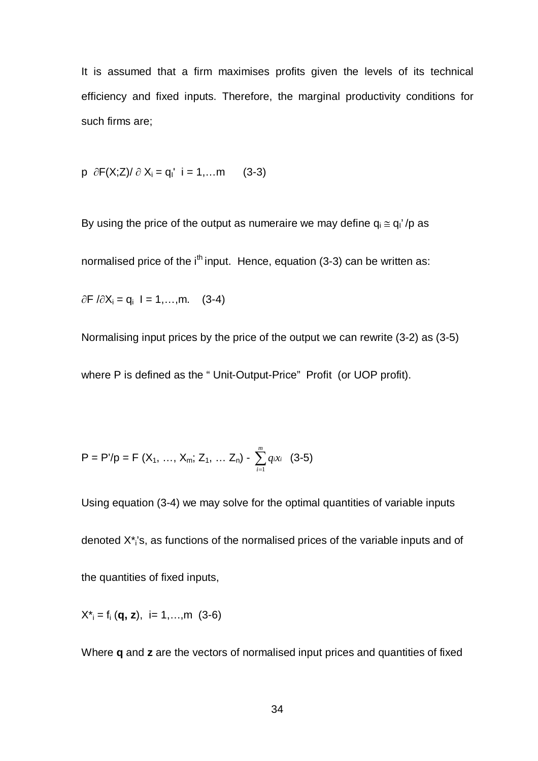It is assumed that a firm maximises profits given the levels of its technical efficiency and fixed inputs. Therefore, the marginal productivity conditions for such firms are;

 $p \partial F(X;Z)/\partial X_i = q_1' i = 1,...m$  (3-3)

By using the price of the output as numeraire we may define  $q_i \cong q_1'/p$  as

normalised price of the  $i<sup>th</sup>$  input. Hence, equation (3-3) can be written as:

 $\partial F / \partial X_i = q_i$  I = 1,...,m. (3-4)

Normalising input prices by the price of the output we can rewrite (3-2) as (3-5)

where P is defined as the " Unit-Output-Price" Profit (or UOP profit).

$$
P = P'/p = F(X_1, ..., X_m; Z_1, ... Z_n) - \sum_{i=1}^{m} q_i x_i
$$
 (3-5)

Using equation (3-4) we may solve for the optimal quantities of variable inputs denoted X\*<sup>i</sup> 's, as functions of the normalised prices of the variable inputs and of the quantities of fixed inputs,

 $X^*_{i} = f_i (\mathbf{q}, \mathbf{z}), i = 1, \ldots, m$  (3-6)

Where **q** and **z** are the vectors of normalised input prices and quantities of fixed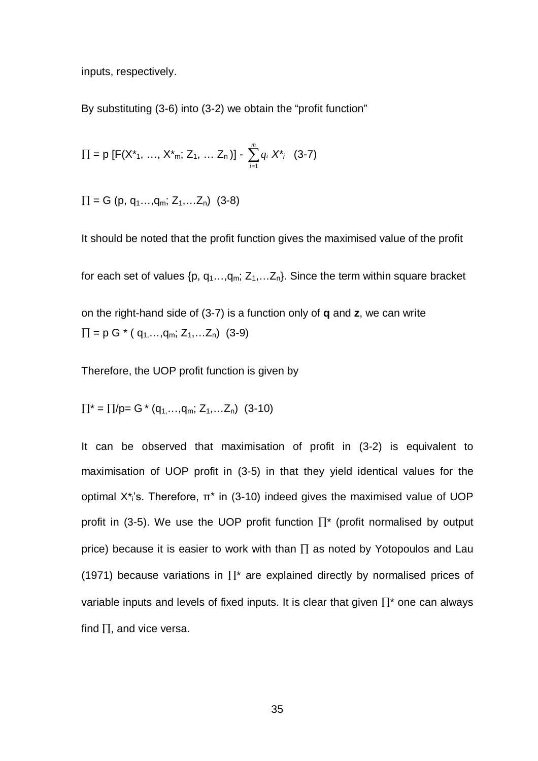inputs, respectively.

By substituting (3-6) into (3-2) we obtain the "profit function"

$$
\Pi = p [F(X^*_{1}, ..., X^*_{m}; Z_1, ... Z_n)] - \sum_{i=1}^{m} q_i X^*_{i} \quad (3-7)
$$

 $\Pi = G$  (p, q<sub>1</sub>...,q<sub>m</sub>; Z<sub>1</sub>,...Z<sub>n</sub>) (3-8)

It should be noted that the profit function gives the maximised value of the profit for each set of values  $\{p, q_1, \ldots, q_m; Z_1, \ldots, Z_n\}$ . Since the term within square bracket on the right-hand side of (3-7) is a function only of **q** and **z**, we can write  $\Pi = p G^* (q_1, \ldots, q_m; Z_1, \ldots, Z_n)$  (3-9)

Therefore, the UOP profit function is given by

$$
\Pi^* = \Pi/p = G^* (q_{1, \dots, q_m}; Z_1, \dots, Z_n) (3-10)
$$

It can be observed that maximisation of profit in (3-2) is equivalent to maximisation of UOP profit in (3-5) in that they yield identical values for the optimal X<sup>\*</sup><sub>i</sub>'s. Therefore, π<sup>\*</sup> in (3-10) indeed gives the maximised value of UOP profit in (3-5). We use the UOP profit function  $\Pi^*$  (profit normalised by output price) because it is easier to work with than  $\Pi$  as noted by Yotopoulos and Lau (1971) because variations in  $\Pi^*$  are explained directly by normalised prices of variable inputs and levels of fixed inputs. It is clear that given  $\prod^*$  one can always find  $\Pi$ , and vice versa.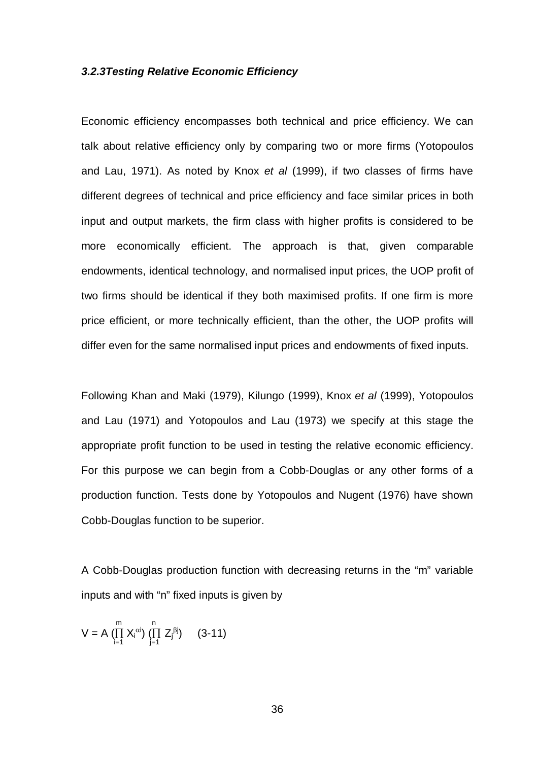#### *3.2.3Testing Relative Economic Efficiency*

Economic efficiency encompasses both technical and price efficiency. We can talk about relative efficiency only by comparing two or more firms (Yotopoulos and Lau, 1971). As noted by Knox *et al* (1999), if two classes of firms have different degrees of technical and price efficiency and face similar prices in both input and output markets, the firm class with higher profits is considered to be more economically efficient. The approach is that, given comparable endowments, identical technology, and normalised input prices, the UOP profit of two firms should be identical if they both maximised profits. If one firm is more price efficient, or more technically efficient, than the other, the UOP profits will differ even for the same normalised input prices and endowments of fixed inputs.

Following Khan and Maki (1979), Kilungo (1999), Knox *et al* (1999), Yotopoulos and Lau (1971) and Yotopoulos and Lau (1973) we specify at this stage the appropriate profit function to be used in testing the relative economic efficiency. For this purpose we can begin from a Cobb-Douglas or any other forms of a production function. Tests done by Yotopoulos and Nugent (1976) have shown Cobb-Douglas function to be superior.

A Cobb-Douglas production function with decreasing returns in the "m" variable inputs and with "n" fixed inputs is given by

$$
V = A \prod_{i=1}^{m} X_i^{\alpha i} \prod_{j=1}^{n} Z_j^{\beta j} \qquad (3-11)
$$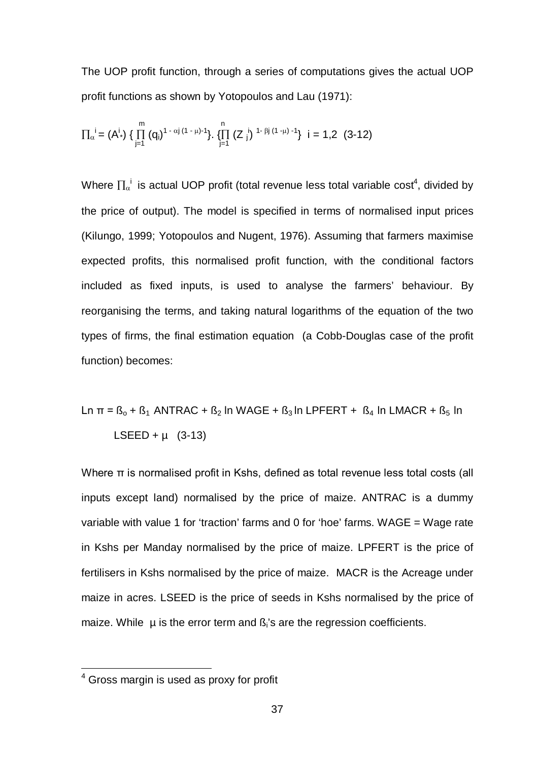The UOP profit function, through a series of computations gives the actual UOP profit functions as shown by Yotopoulos and Lau (1971):

$$
\Pi_{\alpha}^{\phantom{\alpha}i}=\left(A^{i_*}\right)\,\{\,\prod_{j=1}^{m}\,(q_i)^{1-\alpha j\,(1-\mu)-1}\}.\,\,\{\prod_{j=1}^{n}\,(Z\,\,j^j\,\,^{1-\beta j\,(1-\mu)-1}\}\ \ i=1,2\ \ (3\text{-}12)
$$

Where  $\Pi_{\alpha}^{\phantom{\alpha}i}$  is actual UOP profit (total revenue less total variable cost<sup>4</sup>, divided by the price of output). The model is specified in terms of normalised input prices (Kilungo, 1999; Yotopoulos and Nugent, 1976). Assuming that farmers maximise expected profits, this normalised profit function, with the conditional factors included as fixed inputs, is used to analyse the farmers' behaviour. By reorganising the terms, and taking natural logarithms of the equation of the two types of firms, the final estimation equation (a Cobb-Douglas case of the profit function) becomes:

$$
\text{Ln } \pi = \text{B}_0 + \text{B}_1 \text{ ANTRAC} + \text{B}_2 \text{ In WAGE} + \text{B}_3 \text{In LPFERT} + \text{B}_4 \text{In LMACR} + \text{B}_5 \text{In}
$$
\n
$$
\text{LSEED} + \mu \quad (3\text{-}13)
$$

Where π is normalised profit in Kshs, defined as total revenue less total costs (all inputs except land) normalised by the price of maize. ANTRAC is a dummy variable with value 1 for 'traction' farms and 0 for 'hoe' farms. WAGE = Wage rate in Kshs per Manday normalised by the price of maize. LPFERT is the price of fertilisers in Kshs normalised by the price of maize. MACR is the Acreage under maize in acres. LSEED is the price of seeds in Kshs normalised by the price of maize. While  $\mu$  is the error term and  $\beta_i$ 's are the regression coefficients.

 $\overline{a}$ 

 $4$  Gross margin is used as proxy for profit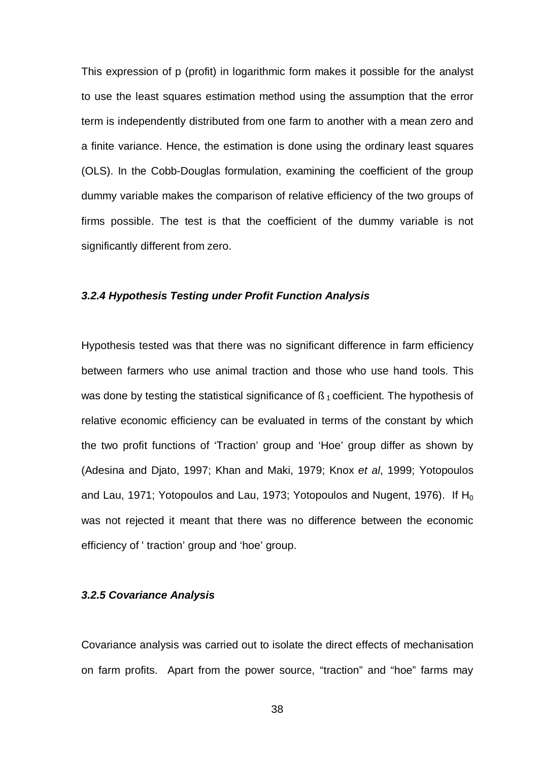This expression of p (profit) in logarithmic form makes it possible for the analyst to use the least squares estimation method using the assumption that the error term is independently distributed from one farm to another with a mean zero and a finite variance. Hence, the estimation is done using the ordinary least squares (OLS). In the Cobb-Douglas formulation, examining the coefficient of the group dummy variable makes the comparison of relative efficiency of the two groups of firms possible. The test is that the coefficient of the dummy variable is not significantly different from zero.

## *3.2.4 Hypothesis Testing under Profit Function Analysis*

Hypothesis tested was that there was no significant difference in farm efficiency between farmers who use animal traction and those who use hand tools. This was done by testing the statistical significance of  $\beta_1$  coefficient. The hypothesis of relative economic efficiency can be evaluated in terms of the constant by which the two profit functions of 'Traction' group and 'Hoe' group differ as shown by (Adesina and Djato, 1997; Khan and Maki, 1979; Knox *et al*, 1999; Yotopoulos and Lau, 1971; Yotopoulos and Lau, 1973; Yotopoulos and Nugent, 1976). If  $H_0$ was not rejected it meant that there was no difference between the economic efficiency of ' traction' group and 'hoe' group.

## *3.2.5 Covariance Analysis*

Covariance analysis was carried out to isolate the direct effects of mechanisation on farm profits. Apart from the power source, "traction" and "hoe" farms may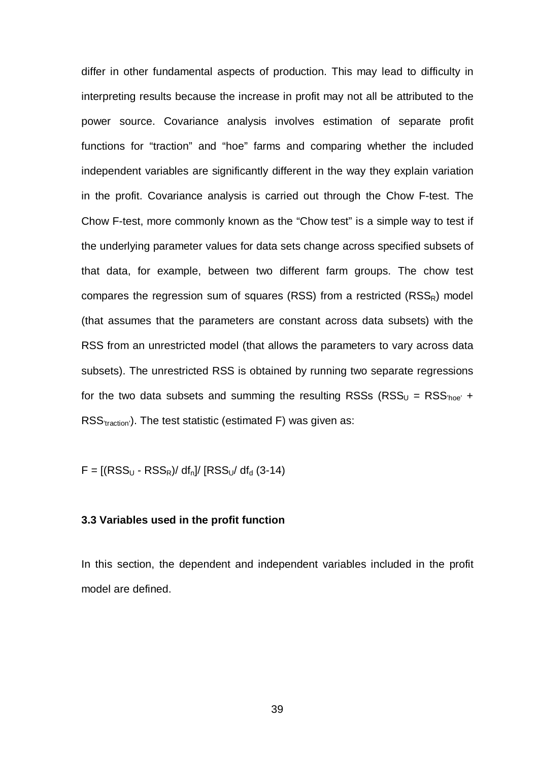differ in other fundamental aspects of production. This may lead to difficulty in interpreting results because the increase in profit may not all be attributed to the power source. Covariance analysis involves estimation of separate profit functions for "traction" and "hoe" farms and comparing whether the included independent variables are significantly different in the way they explain variation in the profit. Covariance analysis is carried out through the Chow F-test. The Chow F-test, more commonly known as the "Chow test" is a simple way to test if the underlying parameter values for data sets change across specified subsets of that data, for example, between two different farm groups. The chow test compares the regression sum of squares (RSS) from a restricted ( $RSS<sub>R</sub>$ ) model (that assumes that the parameters are constant across data subsets) with the RSS from an unrestricted model (that allows the parameters to vary across data subsets). The unrestricted RSS is obtained by running two separate regressions for the two data subsets and summing the resulting RSSs ( $RSS_{U} = RSS_{\text{hole}} +$ RSS<sub>'traction'</sub>). The test statistic (estimated F) was given as:

 $F = [(RSS_{U} - RSS_{R}) / df_{n}] / [RSS_{U} / df_{d} (3-14)]$ 

## **3.3 Variables used in the profit function**

In this section, the dependent and independent variables included in the profit model are defined.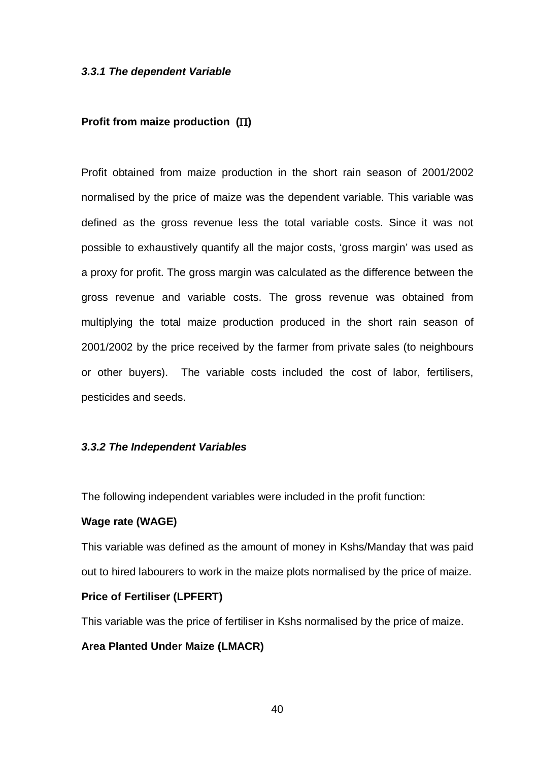#### *3.3.1 The dependent Variable*

## **Profit from maize production ()**

Profit obtained from maize production in the short rain season of 2001/2002 normalised by the price of maize was the dependent variable. This variable was defined as the gross revenue less the total variable costs. Since it was not possible to exhaustively quantify all the major costs, 'gross margin' was used as a proxy for profit. The gross margin was calculated as the difference between the gross revenue and variable costs. The gross revenue was obtained from multiplying the total maize production produced in the short rain season of 2001/2002 by the price received by the farmer from private sales (to neighbours or other buyers). The variable costs included the cost of labor, fertilisers, pesticides and seeds.

#### *3.3.2 The Independent Variables*

The following independent variables were included in the profit function:

## **Wage rate (WAGE)**

This variable was defined as the amount of money in Kshs/Manday that was paid out to hired labourers to work in the maize plots normalised by the price of maize.

#### **Price of Fertiliser (LPFERT)**

This variable was the price of fertiliser in Kshs normalised by the price of maize.

## **Area Planted Under Maize (LMACR)**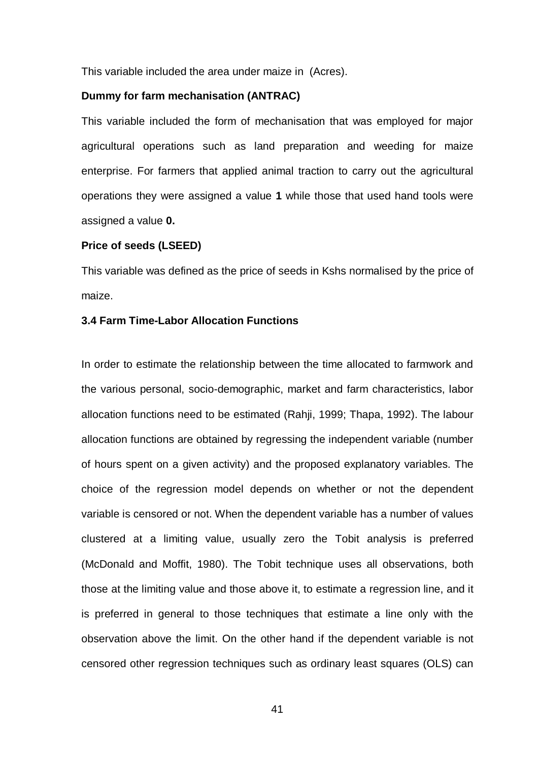This variable included the area under maize in (Acres).

#### **Dummy for farm mechanisation (ANTRAC)**

This variable included the form of mechanisation that was employed for major agricultural operations such as land preparation and weeding for maize enterprise. For farmers that applied animal traction to carry out the agricultural operations they were assigned a value **1** while those that used hand tools were assigned a value **0.**

#### **Price of seeds (LSEED)**

This variable was defined as the price of seeds in Kshs normalised by the price of maize.

## **3.4 Farm Time-Labor Allocation Functions**

In order to estimate the relationship between the time allocated to farmwork and the various personal, socio-demographic, market and farm characteristics, labor allocation functions need to be estimated (Rahji, 1999; Thapa, 1992). The labour allocation functions are obtained by regressing the independent variable (number of hours spent on a given activity) and the proposed explanatory variables. The choice of the regression model depends on whether or not the dependent variable is censored or not. When the dependent variable has a number of values clustered at a limiting value, usually zero the Tobit analysis is preferred (McDonald and Moffit, 1980). The Tobit technique uses all observations, both those at the limiting value and those above it, to estimate a regression line, and it is preferred in general to those techniques that estimate a line only with the observation above the limit. On the other hand if the dependent variable is not censored other regression techniques such as ordinary least squares (OLS) can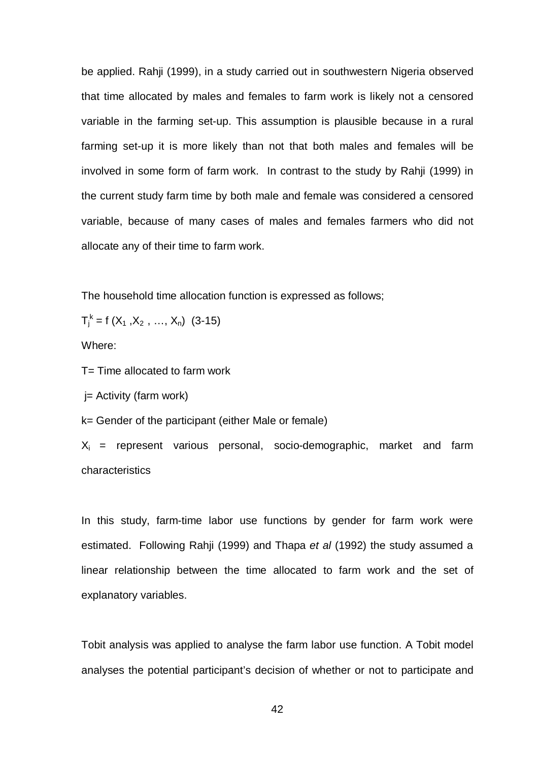be applied. Rahji (1999), in a study carried out in southwestern Nigeria observed that time allocated by males and females to farm work is likely not a censored variable in the farming set-up. This assumption is plausible because in a rural farming set-up it is more likely than not that both males and females will be involved in some form of farm work. In contrast to the study by Rahji (1999) in the current study farm time by both male and female was considered a censored variable, because of many cases of males and females farmers who did not allocate any of their time to farm work.

The household time allocation function is expressed as follows;

$$
T_j^k = f(X_1, X_2, \ldots, X_n) \quad (3-15)
$$

Where:

T= Time allocated to farm work

j= Activity (farm work)

k= Gender of the participant (either Male or female)

 $X_i$  = represent various personal, socio-demographic, market and farm characteristics

In this study, farm-time labor use functions by gender for farm work were estimated. Following Rahji (1999) and Thapa *et al* (1992) the study assumed a linear relationship between the time allocated to farm work and the set of explanatory variables.

Tobit analysis was applied to analyse the farm labor use function. A Tobit model analyses the potential participant's decision of whether or not to participate and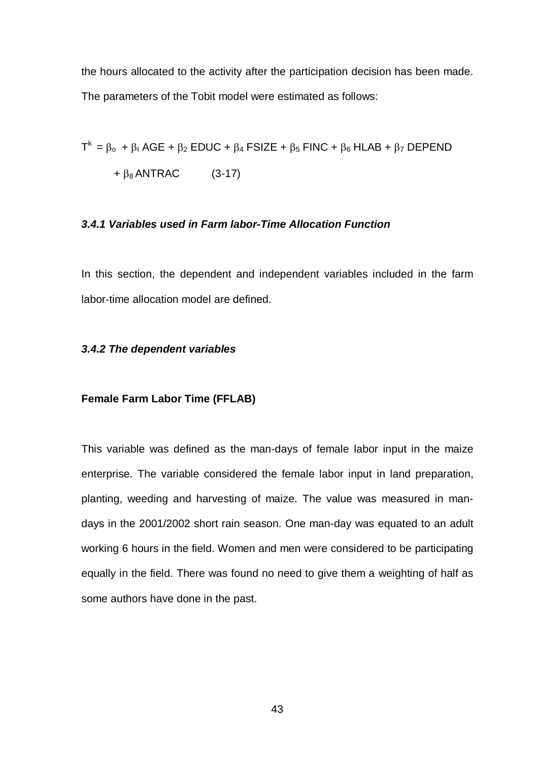the hours allocated to the activity after the participation decision has been made. The parameters of the Tobit model were estimated as follows:

$$
T^{k} = \beta_{0} + \beta_{1} AGE + \beta_{2} EDUC + \beta_{4} FSIZE + \beta_{5} FINC + \beta_{6} HLAB + \beta_{7} DEPEND
$$
  
+  $\beta_{8} ANTRAC$  (3-17)

## *3.4.1 Variables used in Farm labor-Time Allocation Function*

In this section, the dependent and independent variables included in the farm labor-time allocation model are defined.

#### *3.4.2 The dependent variables*

#### **Female Farm Labor Time (FFLAB)**

This variable was defined as the man-days of female labor input in the maize enterprise. The variable considered the female labor input in land preparation, planting, weeding and harvesting of maize. The value was measured in mandays in the 2001/2002 short rain season. One man-day was equated to an adult working 6 hours in the field. Women and men were considered to be participating equally in the field. There was found no need to give them a weighting of half as some authors have done in the past.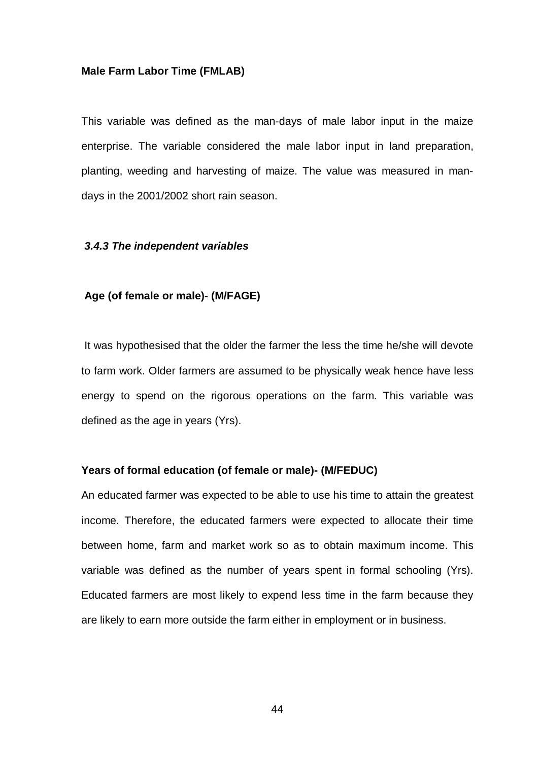#### **Male Farm Labor Time (FMLAB)**

This variable was defined as the man-days of male labor input in the maize enterprise. The variable considered the male labor input in land preparation, planting, weeding and harvesting of maize. The value was measured in mandays in the 2001/2002 short rain season.

#### *3.4.3 The independent variables*

## **Age (of female or male)- (M/FAGE)**

It was hypothesised that the older the farmer the less the time he/she will devote to farm work. Older farmers are assumed to be physically weak hence have less energy to spend on the rigorous operations on the farm. This variable was defined as the age in years (Yrs).

## **Years of formal education (of female or male)- (M/FEDUC)**

An educated farmer was expected to be able to use his time to attain the greatest income. Therefore, the educated farmers were expected to allocate their time between home, farm and market work so as to obtain maximum income. This variable was defined as the number of years spent in formal schooling (Yrs). Educated farmers are most likely to expend less time in the farm because they are likely to earn more outside the farm either in employment or in business.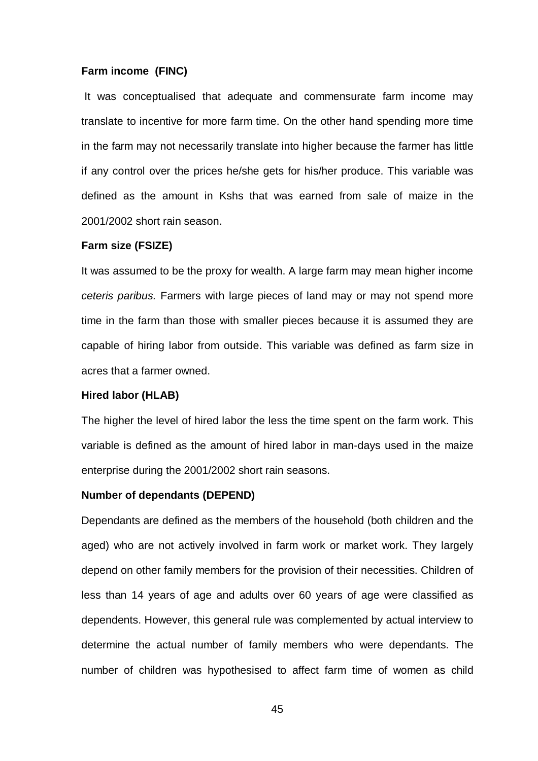#### **Farm income (FINC)**

It was conceptualised that adequate and commensurate farm income may translate to incentive for more farm time. On the other hand spending more time in the farm may not necessarily translate into higher because the farmer has little if any control over the prices he/she gets for his/her produce. This variable was defined as the amount in Kshs that was earned from sale of maize in the 2001/2002 short rain season.

#### **Farm size (FSIZE)**

It was assumed to be the proxy for wealth. A large farm may mean higher income *ceteris paribus.* Farmers with large pieces of land may or may not spend more time in the farm than those with smaller pieces because it is assumed they are capable of hiring labor from outside. This variable was defined as farm size in acres that a farmer owned.

#### **Hired labor (HLAB)**

The higher the level of hired labor the less the time spent on the farm work. This variable is defined as the amount of hired labor in man-days used in the maize enterprise during the 2001/2002 short rain seasons.

#### **Number of dependants (DEPEND)**

Dependants are defined as the members of the household (both children and the aged) who are not actively involved in farm work or market work. They largely depend on other family members for the provision of their necessities. Children of less than 14 years of age and adults over 60 years of age were classified as dependents. However, this general rule was complemented by actual interview to determine the actual number of family members who were dependants. The number of children was hypothesised to affect farm time of women as child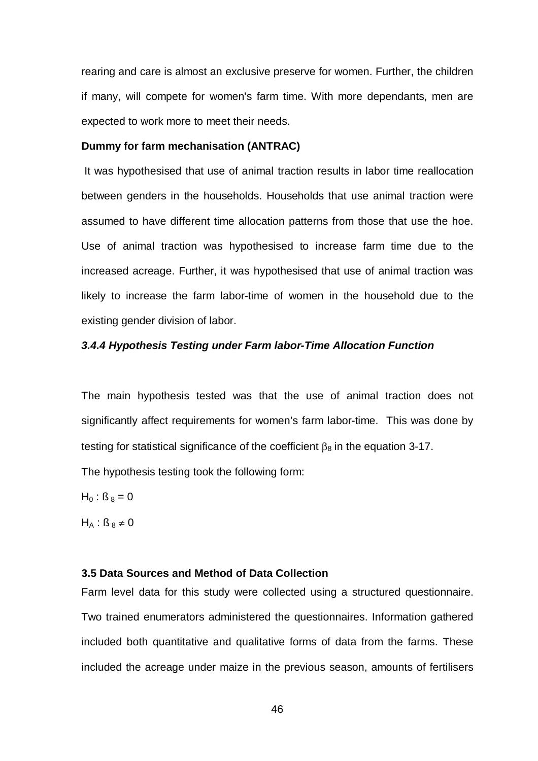rearing and care is almost an exclusive preserve for women. Further, the children if many, will compete for women's farm time. With more dependants, men are expected to work more to meet their needs.

#### **Dummy for farm mechanisation (ANTRAC)**

It was hypothesised that use of animal traction results in labor time reallocation between genders in the households. Households that use animal traction were assumed to have different time allocation patterns from those that use the hoe. Use of animal traction was hypothesised to increase farm time due to the increased acreage. Further, it was hypothesised that use of animal traction was likely to increase the farm labor-time of women in the household due to the existing gender division of labor.

## *3.4.4 Hypothesis Testing under Farm labor-Time Allocation Function*

The main hypothesis tested was that the use of animal traction does not significantly affect requirements for women's farm labor-time. This was done by testing for statistical significance of the coefficient  $\beta_8$  in the equation 3-17.

The hypothesis testing took the following form:

 $H_0$ :  $\beta_8 = 0$ 

 $H_A$ :  $\beta_8 \neq 0$ 

## **3.5 Data Sources and Method of Data Collection**

Farm level data for this study were collected using a structured questionnaire. Two trained enumerators administered the questionnaires. Information gathered included both quantitative and qualitative forms of data from the farms. These included the acreage under maize in the previous season, amounts of fertilisers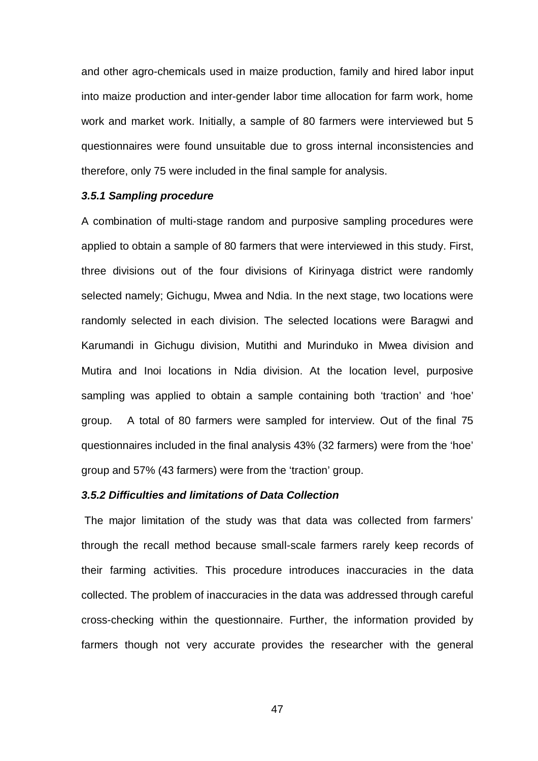and other agro-chemicals used in maize production, family and hired labor input into maize production and inter-gender labor time allocation for farm work, home work and market work. Initially, a sample of 80 farmers were interviewed but 5 questionnaires were found unsuitable due to gross internal inconsistencies and therefore, only 75 were included in the final sample for analysis.

## *3.5.1 Sampling procedure*

A combination of multi-stage random and purposive sampling procedures were applied to obtain a sample of 80 farmers that were interviewed in this study. First, three divisions out of the four divisions of Kirinyaga district were randomly selected namely; Gichugu, Mwea and Ndia. In the next stage, two locations were randomly selected in each division. The selected locations were Baragwi and Karumandi in Gichugu division, Mutithi and Murinduko in Mwea division and Mutira and Inoi locations in Ndia division. At the location level, purposive sampling was applied to obtain a sample containing both 'traction' and 'hoe' group. A total of 80 farmers were sampled for interview. Out of the final 75 questionnaires included in the final analysis 43% (32 farmers) were from the 'hoe' group and 57% (43 farmers) were from the 'traction' group.

## *3.5.2 Difficulties and limitations of Data Collection*

The major limitation of the study was that data was collected from farmers' through the recall method because small-scale farmers rarely keep records of their farming activities. This procedure introduces inaccuracies in the data collected. The problem of inaccuracies in the data was addressed through careful cross-checking within the questionnaire. Further, the information provided by farmers though not very accurate provides the researcher with the general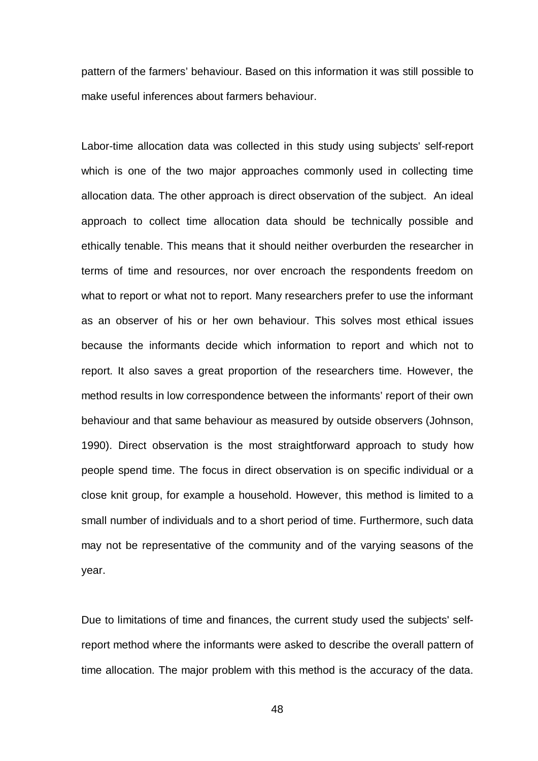pattern of the farmers' behaviour. Based on this information it was still possible to make useful inferences about farmers behaviour.

Labor-time allocation data was collected in this study using subjects' self-report which is one of the two major approaches commonly used in collecting time allocation data. The other approach is direct observation of the subject. An ideal approach to collect time allocation data should be technically possible and ethically tenable. This means that it should neither overburden the researcher in terms of time and resources, nor over encroach the respondents freedom on what to report or what not to report. Many researchers prefer to use the informant as an observer of his or her own behaviour. This solves most ethical issues because the informants decide which information to report and which not to report. It also saves a great proportion of the researchers time. However, the method results in low correspondence between the informants' report of their own behaviour and that same behaviour as measured by outside observers (Johnson, 1990). Direct observation is the most straightforward approach to study how people spend time. The focus in direct observation is on specific individual or a close knit group, for example a household. However, this method is limited to a small number of individuals and to a short period of time. Furthermore, such data may not be representative of the community and of the varying seasons of the year.

Due to limitations of time and finances, the current study used the subjects' selfreport method where the informants were asked to describe the overall pattern of time allocation. The major problem with this method is the accuracy of the data.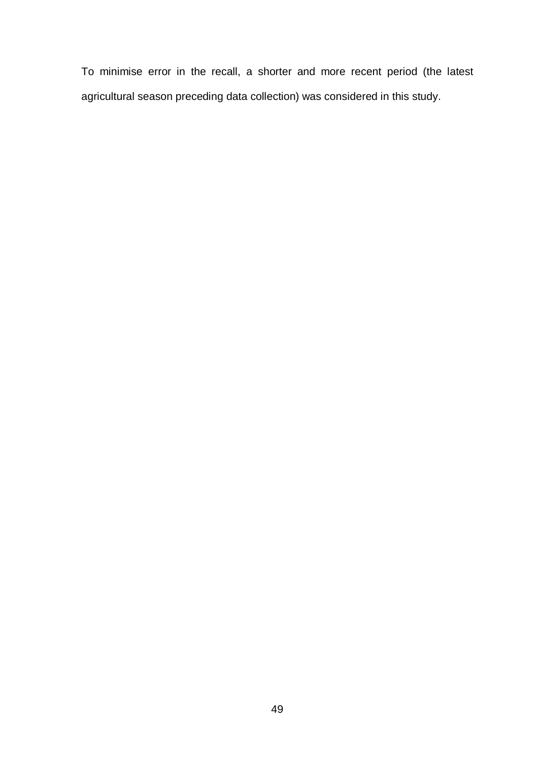To minimise error in the recall, a shorter and more recent period (the latest agricultural season preceding data collection) was considered in this study.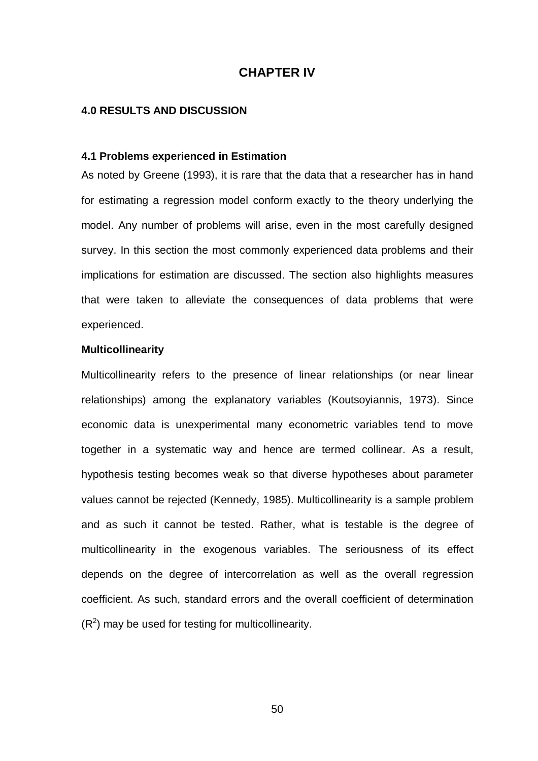## **CHAPTER IV**

## **4.0 RESULTS AND DISCUSSION**

## **4.1 Problems experienced in Estimation**

As noted by Greene (1993), it is rare that the data that a researcher has in hand for estimating a regression model conform exactly to the theory underlying the model. Any number of problems will arise, even in the most carefully designed survey. In this section the most commonly experienced data problems and their implications for estimation are discussed. The section also highlights measures that were taken to alleviate the consequences of data problems that were experienced.

#### **Multicollinearity**

Multicollinearity refers to the presence of linear relationships (or near linear relationships) among the explanatory variables (Koutsoyiannis, 1973). Since economic data is unexperimental many econometric variables tend to move together in a systematic way and hence are termed collinear. As a result, hypothesis testing becomes weak so that diverse hypotheses about parameter values cannot be rejected (Kennedy, 1985). Multicollinearity is a sample problem and as such it cannot be tested. Rather, what is testable is the degree of multicollinearity in the exogenous variables. The seriousness of its effect depends on the degree of intercorrelation as well as the overall regression coefficient. As such, standard errors and the overall coefficient of determination  $(R<sup>2</sup>)$  may be used for testing for multicollinearity.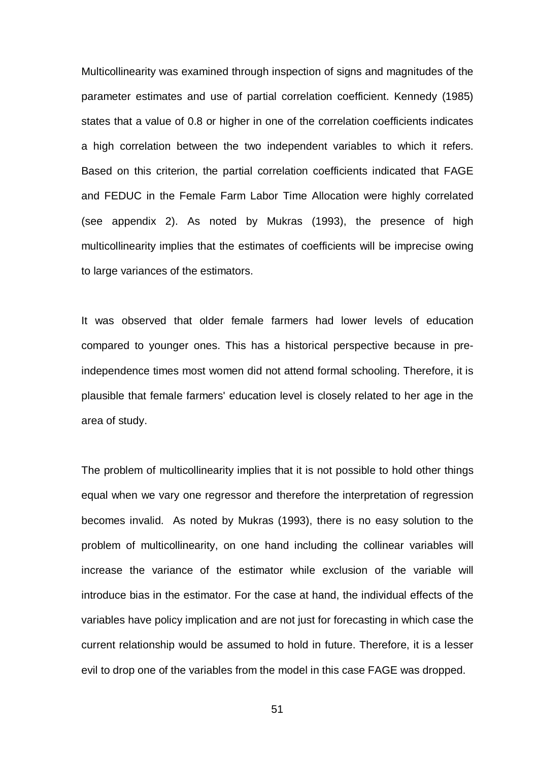Multicollinearity was examined through inspection of signs and magnitudes of the parameter estimates and use of partial correlation coefficient. Kennedy (1985) states that a value of 0.8 or higher in one of the correlation coefficients indicates a high correlation between the two independent variables to which it refers. Based on this criterion, the partial correlation coefficients indicated that FAGE and FEDUC in the Female Farm Labor Time Allocation were highly correlated (see appendix 2). As noted by Mukras (1993), the presence of high multicollinearity implies that the estimates of coefficients will be imprecise owing to large variances of the estimators.

It was observed that older female farmers had lower levels of education compared to younger ones. This has a historical perspective because in preindependence times most women did not attend formal schooling. Therefore, it is plausible that female farmers' education level is closely related to her age in the area of study.

The problem of multicollinearity implies that it is not possible to hold other things equal when we vary one regressor and therefore the interpretation of regression becomes invalid. As noted by Mukras (1993), there is no easy solution to the problem of multicollinearity, on one hand including the collinear variables will increase the variance of the estimator while exclusion of the variable will introduce bias in the estimator. For the case at hand, the individual effects of the variables have policy implication and are not just for forecasting in which case the current relationship would be assumed to hold in future. Therefore, it is a lesser evil to drop one of the variables from the model in this case FAGE was dropped.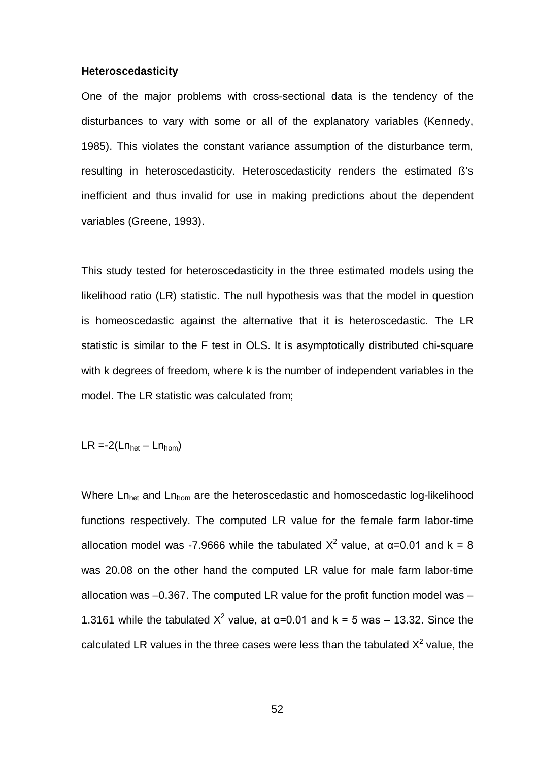#### **Heteroscedasticity**

One of the major problems with cross-sectional data is the tendency of the disturbances to vary with some or all of the explanatory variables (Kennedy, 1985). This violates the constant variance assumption of the disturbance term, resulting in heteroscedasticity. Heteroscedasticity renders the estimated ß's inefficient and thus invalid for use in making predictions about the dependent variables (Greene, 1993).

This study tested for heteroscedasticity in the three estimated models using the likelihood ratio (LR) statistic. The null hypothesis was that the model in question is homeoscedastic against the alternative that it is heteroscedastic. The LR statistic is similar to the F test in OLS. It is asymptotically distributed chi-square with k degrees of freedom, where k is the number of independent variables in the model. The LR statistic was calculated from;

$$
LR = 2(Ln_{\text{het}} - Ln_{\text{hom}})
$$

Where Ln<sub>het</sub> and Ln<sub>hom</sub> are the heteroscedastic and homoscedastic log-likelihood functions respectively. The computed LR value for the female farm labor-time allocation model was -7.9666 while the tabulated  $X^2$  value, at α=0.01 and k = 8 was 20.08 on the other hand the computed LR value for male farm labor-time allocation was –0.367. The computed LR value for the profit function model was – 1.3161 while the tabulated  $X^2$  value, at α=0.01 and k = 5 was – 13.32. Since the calculated LR values in the three cases were less than the tabulated  $X^2$  value, the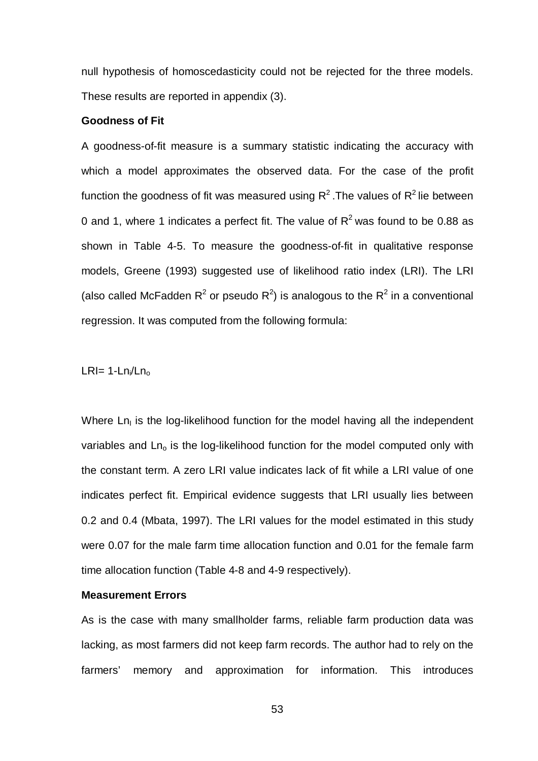null hypothesis of homoscedasticity could not be rejected for the three models. These results are reported in appendix (3).

## **Goodness of Fit**

A goodness-of-fit measure is a summary statistic indicating the accuracy with which a model approximates the observed data. For the case of the profit function the goodness of fit was measured using  $R^2$ . The values of  $R^2$  lie between 0 and 1, where 1 indicates a perfect fit. The value of  $R^2$  was found to be 0.88 as shown in Table 4-5. To measure the goodness-of-fit in qualitative response models, Greene (1993) suggested use of likelihood ratio index (LRI). The LRI (also called McFadden R<sup>2</sup> or pseudo R<sup>2</sup>) is analogous to the R<sup>2</sup> in a conventional regression. It was computed from the following formula:

LRI=  $1-Ln_i/Ln_o$ 

Where Ln<sub>I</sub> is the log-likelihood function for the model having all the independent variables and  $Ln<sub>o</sub>$  is the log-likelihood function for the model computed only with the constant term. A zero LRI value indicates lack of fit while a LRI value of one indicates perfect fit. Empirical evidence suggests that LRI usually lies between 0.2 and 0.4 (Mbata, 1997). The LRI values for the model estimated in this study were 0.07 for the male farm time allocation function and 0.01 for the female farm time allocation function (Table 4-8 and 4-9 respectively).

## **Measurement Errors**

As is the case with many smallholder farms, reliable farm production data was lacking, as most farmers did not keep farm records. The author had to rely on the farmers' memory and approximation for information. This introduces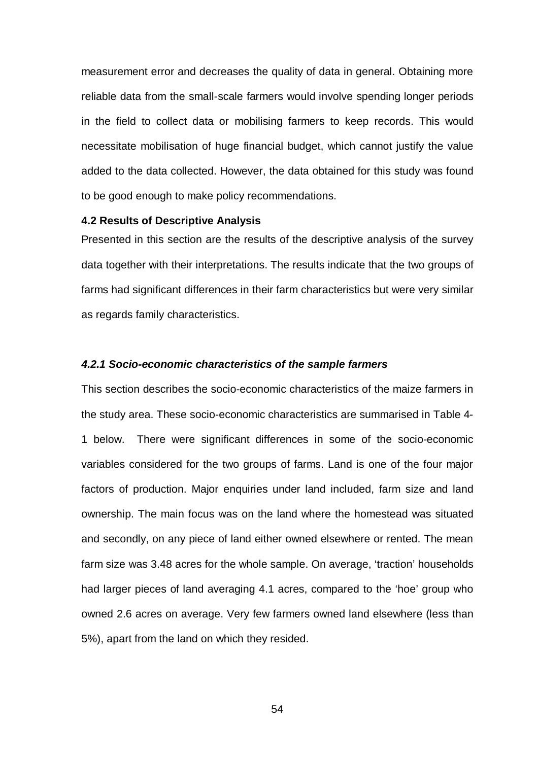measurement error and decreases the quality of data in general. Obtaining more reliable data from the small-scale farmers would involve spending longer periods in the field to collect data or mobilising farmers to keep records. This would necessitate mobilisation of huge financial budget, which cannot justify the value added to the data collected. However, the data obtained for this study was found to be good enough to make policy recommendations.

#### **4.2 Results of Descriptive Analysis**

Presented in this section are the results of the descriptive analysis of the survey data together with their interpretations. The results indicate that the two groups of farms had significant differences in their farm characteristics but were very similar as regards family characteristics.

#### *4.2.1 Socio-economic characteristics of the sample farmers*

This section describes the socio-economic characteristics of the maize farmers in the study area. These socio-economic characteristics are summarised in Table 4- 1 below. There were significant differences in some of the socio-economic variables considered for the two groups of farms. Land is one of the four major factors of production. Major enquiries under land included, farm size and land ownership. The main focus was on the land where the homestead was situated and secondly, on any piece of land either owned elsewhere or rented. The mean farm size was 3.48 acres for the whole sample. On average, 'traction' households had larger pieces of land averaging 4.1 acres, compared to the 'hoe' group who owned 2.6 acres on average. Very few farmers owned land elsewhere (less than 5%), apart from the land on which they resided.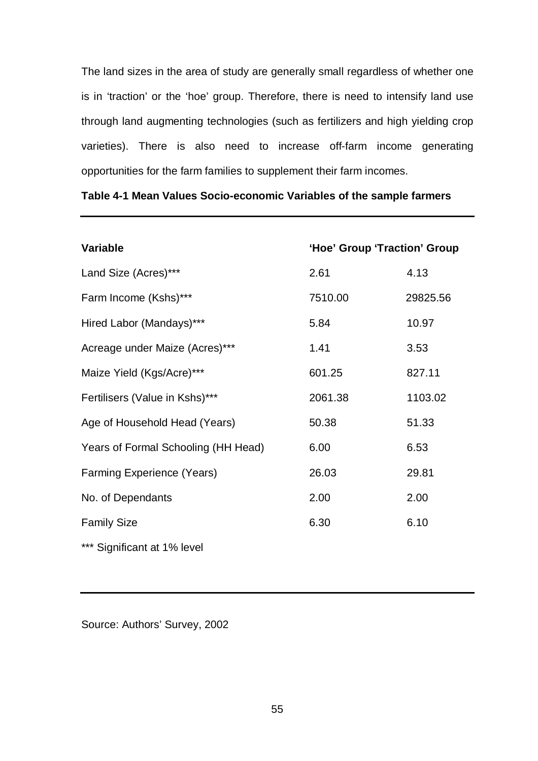The land sizes in the area of study are generally small regardless of whether one is in 'traction' or the 'hoe' group. Therefore, there is need to intensify land use through land augmenting technologies (such as fertilizers and high yielding crop varieties). There is also need to increase off-farm income generating opportunities for the farm families to supplement their farm incomes.

| <b>Variable</b>                     | 'Hoe' Group 'Traction' Group |          |
|-------------------------------------|------------------------------|----------|
| Land Size (Acres)***                | 2.61                         | 4.13     |
| Farm Income (Kshs)***               | 7510.00                      | 29825.56 |
| Hired Labor (Mandays)***            | 5.84                         | 10.97    |
| Acreage under Maize (Acres)***      | 1.41                         | 3.53     |
| Maize Yield (Kgs/Acre)***           | 601.25                       | 827.11   |
| Fertilisers (Value in Kshs)***      | 2061.38                      | 1103.02  |
| Age of Household Head (Years)       | 50.38                        | 51.33    |
| Years of Formal Schooling (HH Head) | 6.00                         | 6.53     |
| Farming Experience (Years)          | 26.03                        | 29.81    |
| No. of Dependants                   | 2.00                         | 2.00     |
| <b>Family Size</b>                  | 6.30                         | 6.10     |
| *** Significant at 1% level         |                              |          |

# **Table 4-1 Mean Values Socio-economic Variables of the sample farmers**

Source: Authors' Survey, 2002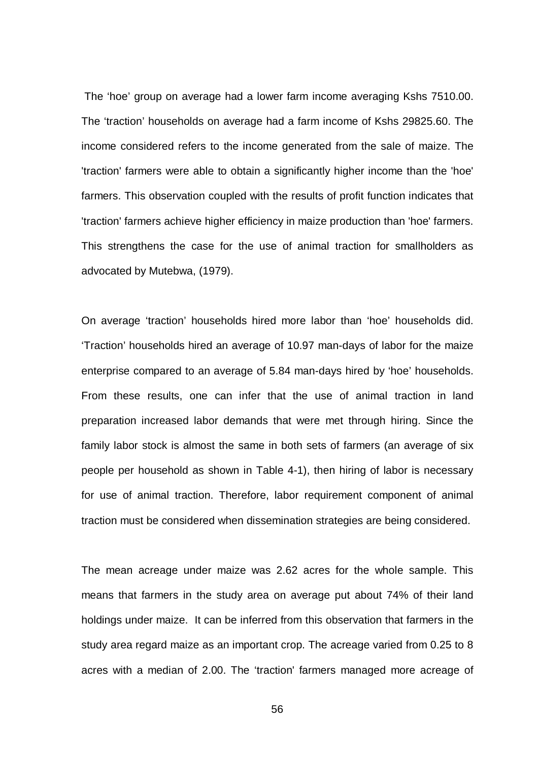The 'hoe' group on average had a lower farm income averaging Kshs 7510.00. The 'traction' households on average had a farm income of Kshs 29825.60. The income considered refers to the income generated from the sale of maize. The 'traction' farmers were able to obtain a significantly higher income than the 'hoe' farmers. This observation coupled with the results of profit function indicates that 'traction' farmers achieve higher efficiency in maize production than 'hoe' farmers. This strengthens the case for the use of animal traction for smallholders as advocated by Mutebwa, (1979).

On average 'traction' households hired more labor than 'hoe' households did. 'Traction' households hired an average of 10.97 man-days of labor for the maize enterprise compared to an average of 5.84 man-days hired by 'hoe' households. From these results, one can infer that the use of animal traction in land preparation increased labor demands that were met through hiring. Since the family labor stock is almost the same in both sets of farmers (an average of six people per household as shown in Table 4-1), then hiring of labor is necessary for use of animal traction. Therefore, labor requirement component of animal traction must be considered when dissemination strategies are being considered.

The mean acreage under maize was 2.62 acres for the whole sample. This means that farmers in the study area on average put about 74% of their land holdings under maize. It can be inferred from this observation that farmers in the study area regard maize as an important crop. The acreage varied from 0.25 to 8 acres with a median of 2.00. The 'traction' farmers managed more acreage of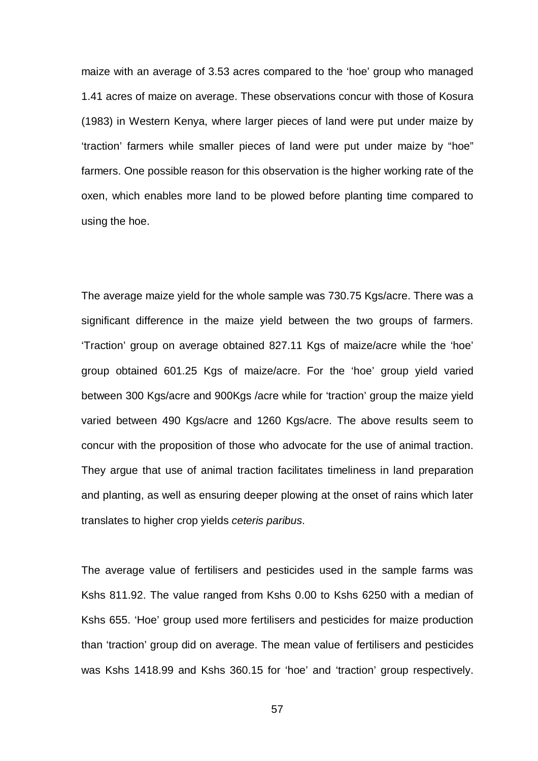maize with an average of 3.53 acres compared to the 'hoe' group who managed 1.41 acres of maize on average. These observations concur with those of Kosura (1983) in Western Kenya, where larger pieces of land were put under maize by 'traction' farmers while smaller pieces of land were put under maize by "hoe" farmers. One possible reason for this observation is the higher working rate of the oxen, which enables more land to be plowed before planting time compared to using the hoe.

The average maize yield for the whole sample was 730.75 Kgs/acre. There was a significant difference in the maize yield between the two groups of farmers. 'Traction' group on average obtained 827.11 Kgs of maize/acre while the 'hoe' group obtained 601.25 Kgs of maize/acre. For the 'hoe' group yield varied between 300 Kgs/acre and 900Kgs /acre while for 'traction' group the maize yield varied between 490 Kgs/acre and 1260 Kgs/acre. The above results seem to concur with the proposition of those who advocate for the use of animal traction. They argue that use of animal traction facilitates timeliness in land preparation and planting, as well as ensuring deeper plowing at the onset of rains which later translates to higher crop yields *ceteris paribus*.

The average value of fertilisers and pesticides used in the sample farms was Kshs 811.92. The value ranged from Kshs 0.00 to Kshs 6250 with a median of Kshs 655. 'Hoe' group used more fertilisers and pesticides for maize production than 'traction' group did on average. The mean value of fertilisers and pesticides was Kshs 1418.99 and Kshs 360.15 for 'hoe' and 'traction' group respectively.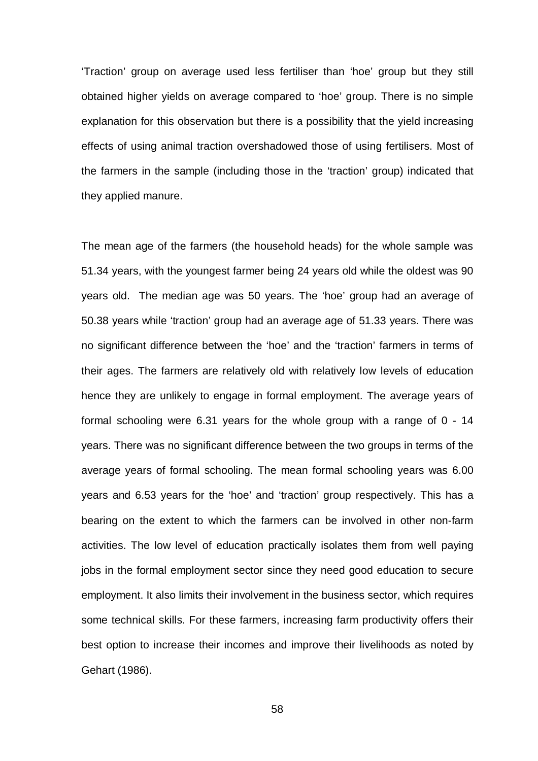'Traction' group on average used less fertiliser than 'hoe' group but they still obtained higher yields on average compared to 'hoe' group. There is no simple explanation for this observation but there is a possibility that the yield increasing effects of using animal traction overshadowed those of using fertilisers. Most of the farmers in the sample (including those in the 'traction' group) indicated that they applied manure.

The mean age of the farmers (the household heads) for the whole sample was 51.34 years, with the youngest farmer being 24 years old while the oldest was 90 years old. The median age was 50 years. The 'hoe' group had an average of 50.38 years while 'traction' group had an average age of 51.33 years. There was no significant difference between the 'hoe' and the 'traction' farmers in terms of their ages. The farmers are relatively old with relatively low levels of education hence they are unlikely to engage in formal employment. The average years of formal schooling were 6.31 years for the whole group with a range of 0 - 14 years. There was no significant difference between the two groups in terms of the average years of formal schooling. The mean formal schooling years was 6.00 years and 6.53 years for the 'hoe' and 'traction' group respectively. This has a bearing on the extent to which the farmers can be involved in other non-farm activities. The low level of education practically isolates them from well paying jobs in the formal employment sector since they need good education to secure employment. It also limits their involvement in the business sector, which requires some technical skills. For these farmers, increasing farm productivity offers their best option to increase their incomes and improve their livelihoods as noted by Gehart (1986).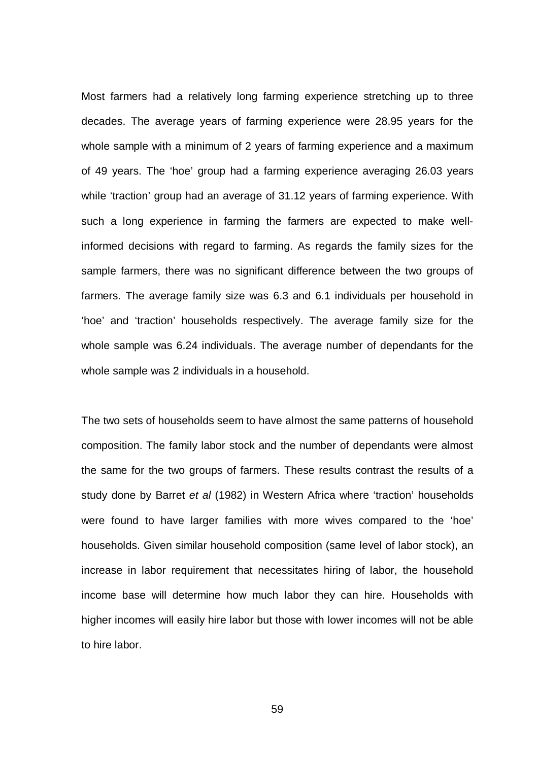Most farmers had a relatively long farming experience stretching up to three decades. The average years of farming experience were 28.95 years for the whole sample with a minimum of 2 years of farming experience and a maximum of 49 years. The 'hoe' group had a farming experience averaging 26.03 years while 'traction' group had an average of 31.12 years of farming experience. With such a long experience in farming the farmers are expected to make wellinformed decisions with regard to farming. As regards the family sizes for the sample farmers, there was no significant difference between the two groups of farmers. The average family size was 6.3 and 6.1 individuals per household in 'hoe' and 'traction' households respectively. The average family size for the whole sample was 6.24 individuals. The average number of dependants for the whole sample was 2 individuals in a household.

The two sets of households seem to have almost the same patterns of household composition. The family labor stock and the number of dependants were almost the same for the two groups of farmers. These results contrast the results of a study done by Barret *et al* (1982) in Western Africa where 'traction' households were found to have larger families with more wives compared to the 'hoe' households. Given similar household composition (same level of labor stock), an increase in labor requirement that necessitates hiring of labor, the household income base will determine how much labor they can hire. Households with higher incomes will easily hire labor but those with lower incomes will not be able to hire labor.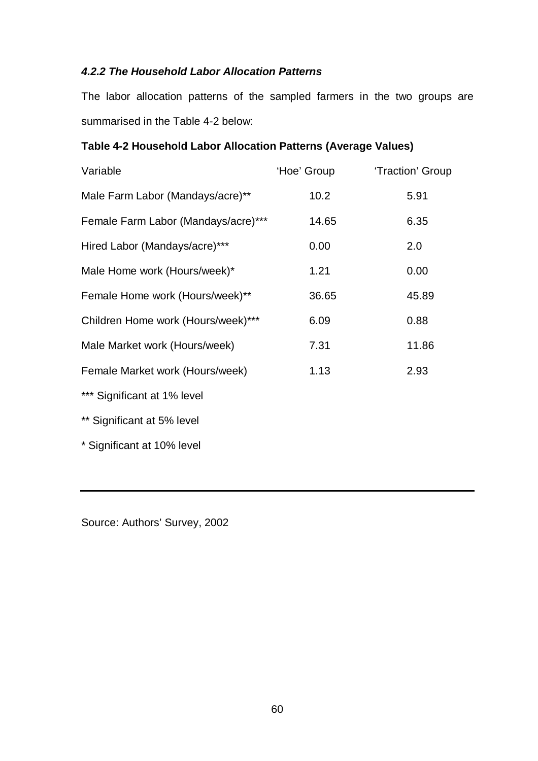# *4.2.2 The Household Labor Allocation Patterns*

The labor allocation patterns of the sampled farmers in the two groups are summarised in the Table 4-2 below:

# **Table 4-2 Household Labor Allocation Patterns (Average Values)**

| Variable                            | 'Hoe' Group | 'Traction' Group |
|-------------------------------------|-------------|------------------|
| Male Farm Labor (Mandays/acre)**    | 10.2        | 5.91             |
| Female Farm Labor (Mandays/acre)*** | 14.65       | 6.35             |
| Hired Labor (Mandays/acre)***       | 0.00        | 2.0              |
| Male Home work (Hours/week)*        | 1.21        | 0.00             |
| Female Home work (Hours/week)**     | 36.65       | 45.89            |
| Children Home work (Hours/week)***  | 6.09        | 0.88             |
| Male Market work (Hours/week)       | 7.31        | 11.86            |
| Female Market work (Hours/week)     | 1.13        | 2.93             |
| *** Significant at 1% level         |             |                  |
| ** Significant at 5% level          |             |                  |
| * Significant at 10% level          |             |                  |

Source: Authors' Survey, 2002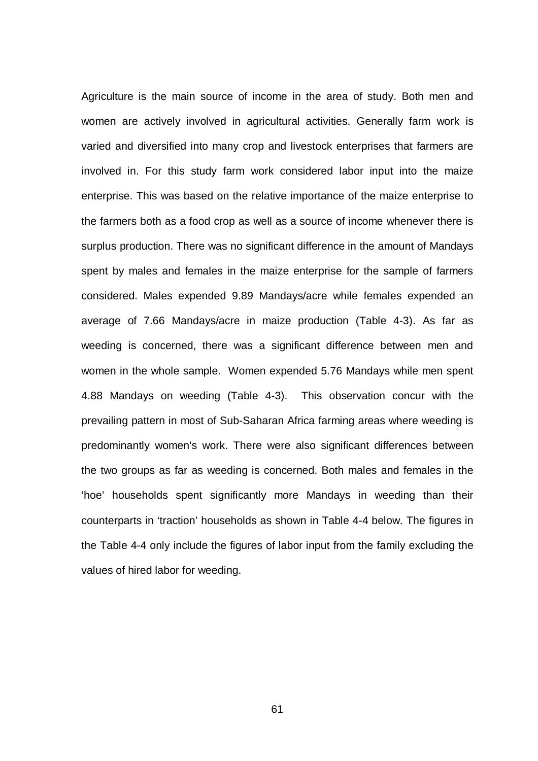Agriculture is the main source of income in the area of study. Both men and women are actively involved in agricultural activities. Generally farm work is varied and diversified into many crop and livestock enterprises that farmers are involved in. For this study farm work considered labor input into the maize enterprise. This was based on the relative importance of the maize enterprise to the farmers both as a food crop as well as a source of income whenever there is surplus production. There was no significant difference in the amount of Mandays spent by males and females in the maize enterprise for the sample of farmers considered. Males expended 9.89 Mandays/acre while females expended an average of 7.66 Mandays/acre in maize production (Table 4-3). As far as weeding is concerned, there was a significant difference between men and women in the whole sample. Women expended 5.76 Mandays while men spent 4.88 Mandays on weeding (Table 4-3). This observation concur with the prevailing pattern in most of Sub-Saharan Africa farming areas where weeding is predominantly women's work. There were also significant differences between the two groups as far as weeding is concerned. Both males and females in the 'hoe' households spent significantly more Mandays in weeding than their counterparts in 'traction' households as shown in Table 4-4 below. The figures in the Table 4-4 only include the figures of labor input from the family excluding the values of hired labor for weeding.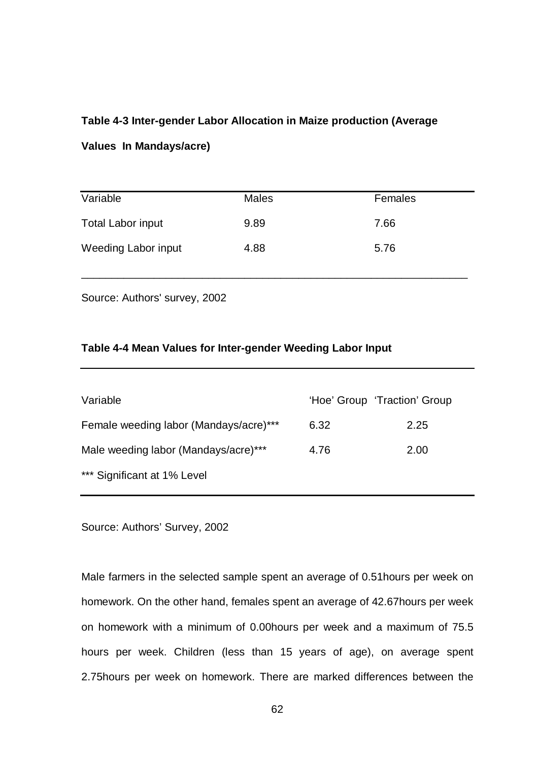### **Table 4-3 Inter-gender Labor Allocation in Maize production (Average**

#### **Values In Mandays/acre)**

| Variable                 | <b>Males</b> | Females |
|--------------------------|--------------|---------|
| <b>Total Labor input</b> | 9.89         | 7.66    |
| Weeding Labor input      | 4.88         | 5.76    |

\_\_\_\_\_\_\_\_\_\_\_\_\_\_\_\_\_\_\_\_\_\_\_\_\_\_\_\_\_\_\_\_\_\_\_\_\_\_\_\_\_\_\_\_\_\_\_\_\_\_\_\_\_\_\_\_\_\_\_\_\_\_\_\_

Source: Authors' survey, 2002

#### **Table 4-4 Mean Values for Inter-gender Weeding Labor Input**

| Variable                               | 'Hoe' Group 'Traction' Group |      |
|----------------------------------------|------------------------------|------|
| Female weeding labor (Mandays/acre)*** | 6.32                         | 2.25 |
| Male weeding labor (Mandays/acre)***   | 4.76                         | 2.00 |
| *** Significant at 1% Level            |                              |      |

Source: Authors' Survey, 2002

Male farmers in the selected sample spent an average of 0.51hours per week on homework. On the other hand, females spent an average of 42.67hours per week on homework with a minimum of 0.00hours per week and a maximum of 75.5 hours per week. Children (less than 15 years of age), on average spent 2.75hours per week on homework. There are marked differences between the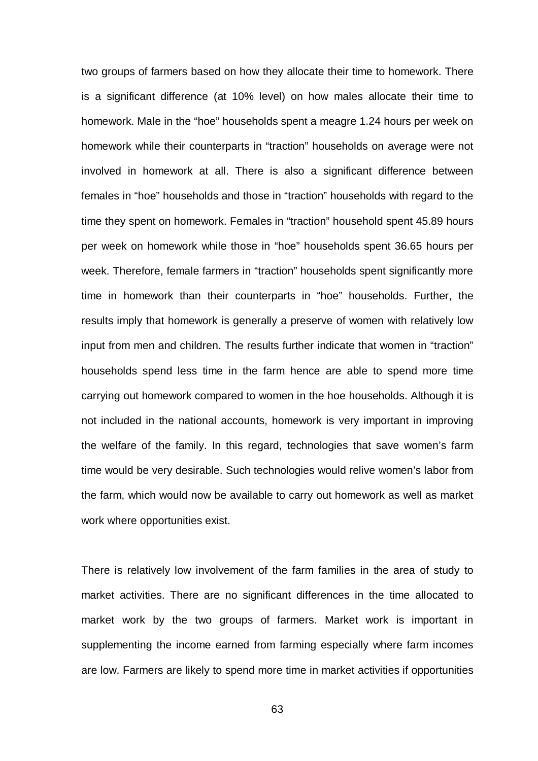two groups of farmers based on how they allocate their time to homework. There is a significant difference (at 10% level) on how males allocate their time to homework. Male in the "hoe" households spent a meagre 1.24 hours per week on homework while their counterparts in "traction" households on average were not involved in homework at all. There is also a significant difference between females in "hoe" households and those in "traction" households with regard to the time they spent on homework. Females in "traction" household spent 45.89 hours per week on homework while those in "hoe" households spent 36.65 hours per week. Therefore, female farmers in "traction" households spent significantly more time in homework than their counterparts in "hoe" households. Further, the results imply that homework is generally a preserve of women with relatively low input from men and children. The results further indicate that women in "traction" households spend less time in the farm hence are able to spend more time carrying out homework compared to women in the hoe households. Although it is not included in the national accounts, homework is very important in improving the welfare of the family. In this regard, technologies that save women's farm time would be very desirable. Such technologies would relive women's labor from the farm, which would now be available to carry out homework as well as market work where opportunities exist.

There is relatively low involvement of the farm families in the area of study to market activities. There are no significant differences in the time allocated to market work by the two groups of farmers. Market work is important in supplementing the income earned from farming especially where farm incomes are low. Farmers are likely to spend more time in market activities if opportunities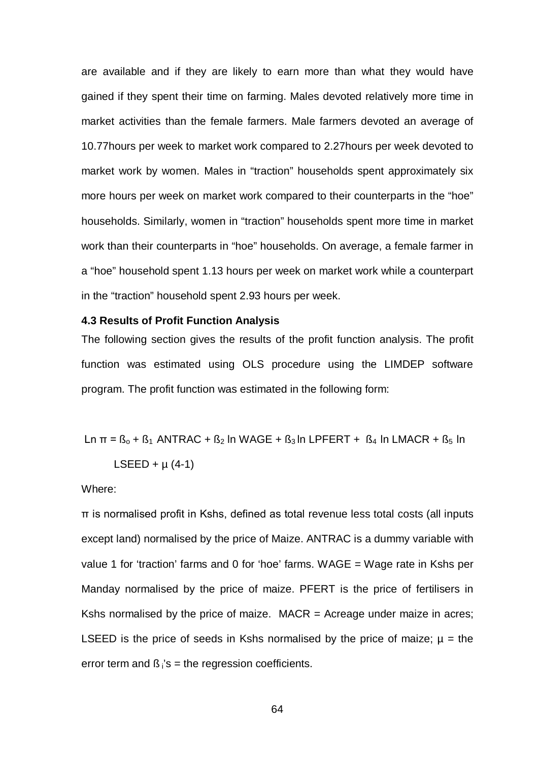are available and if they are likely to earn more than what they would have gained if they spent their time on farming. Males devoted relatively more time in market activities than the female farmers. Male farmers devoted an average of 10.77hours per week to market work compared to 2.27hours per week devoted to market work by women. Males in "traction" households spent approximately six more hours per week on market work compared to their counterparts in the "hoe" households. Similarly, women in "traction" households spent more time in market work than their counterparts in "hoe" households. On average, a female farmer in a "hoe" household spent 1.13 hours per week on market work while a counterpart in the "traction" household spent 2.93 hours per week.

#### **4.3 Results of Profit Function Analysis**

The following section gives the results of the profit function analysis. The profit function was estimated using OLS procedure using the LIMDEP software program. The profit function was estimated in the following form:

$$
Ln \pi = B_0 + B_1 ANTRAC + B_2 In WAGE + B_3 In LPFERT + B_4 In LMACR + B_5 In
$$

$$
LSEED + \mu (4-1)
$$

Where:

π is normalised profit in Kshs, defined as total revenue less total costs (all inputs except land) normalised by the price of Maize. ANTRAC is a dummy variable with value 1 for 'traction' farms and 0 for 'hoe' farms. WAGE = Wage rate in Kshs per Manday normalised by the price of maize. PFERT is the price of fertilisers in Kshs normalised by the price of maize.  $MACR =$  Acreage under maize in acres; LSEED is the price of seeds in Kshs normalised by the price of maize;  $\mu$  = the error term and  $\beta_i$ 's = the regression coefficients.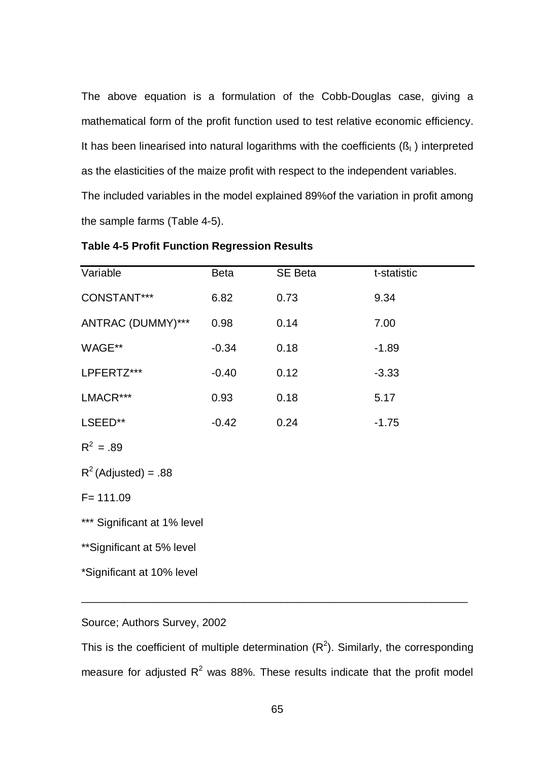The above equation is a formulation of the Cobb-Douglas case, giving a mathematical form of the profit function used to test relative economic efficiency. It has been linearised into natural logarithms with the coefficients  $(S<sub>1</sub>)$  interpreted as the elasticities of the maize profit with respect to the independent variables. The included variables in the model explained 89%of the variation in profit among the sample farms (Table 4-5).

| Variable                    | <b>Beta</b> | SE Beta | t-statistic |  |  |  |
|-----------------------------|-------------|---------|-------------|--|--|--|
| CONSTANT***                 | 6.82        | 0.73    | 9.34        |  |  |  |
| ANTRAC (DUMMY)***           | 0.98        | 0.14    | 7.00        |  |  |  |
| WAGE**                      | $-0.34$     | 0.18    | $-1.89$     |  |  |  |
| LPFERTZ***                  | $-0.40$     | 0.12    | $-3.33$     |  |  |  |
| LMACR***                    | 0.93        | 0.18    | 5.17        |  |  |  |
| LSEED**                     | $-0.42$     | 0.24    | $-1.75$     |  |  |  |
| $R^2 = .89$                 |             |         |             |  |  |  |
| $R^2$ (Adjusted) = .88      |             |         |             |  |  |  |
| $F = 111.09$                |             |         |             |  |  |  |
| *** Significant at 1% level |             |         |             |  |  |  |
| ** Significant at 5% level  |             |         |             |  |  |  |
| *Significant at 10% level   |             |         |             |  |  |  |

| <b>Table 4-5 Profit Function Regression Results</b> |  |  |  |
|-----------------------------------------------------|--|--|--|
|-----------------------------------------------------|--|--|--|

Source; Authors Survey, 2002

This is the coefficient of multiple determination  $(R^2)$ . Similarly, the corresponding measure for adjusted  $R^2$  was 88%. These results indicate that the profit model

\_\_\_\_\_\_\_\_\_\_\_\_\_\_\_\_\_\_\_\_\_\_\_\_\_\_\_\_\_\_\_\_\_\_\_\_\_\_\_\_\_\_\_\_\_\_\_\_\_\_\_\_\_\_\_\_\_\_\_\_\_\_\_\_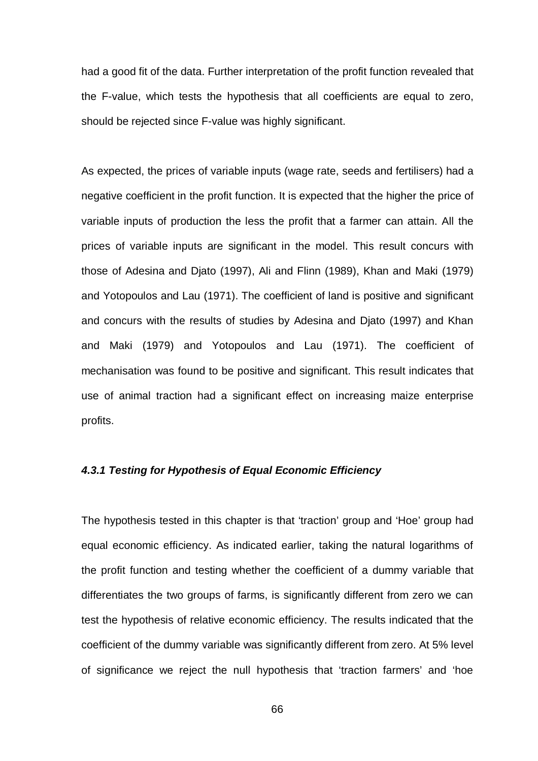had a good fit of the data. Further interpretation of the profit function revealed that the F-value, which tests the hypothesis that all coefficients are equal to zero, should be rejected since F-value was highly significant.

As expected, the prices of variable inputs (wage rate, seeds and fertilisers) had a negative coefficient in the profit function. It is expected that the higher the price of variable inputs of production the less the profit that a farmer can attain. All the prices of variable inputs are significant in the model. This result concurs with those of Adesina and Djato (1997), Ali and Flinn (1989), Khan and Maki (1979) and Yotopoulos and Lau (1971). The coefficient of land is positive and significant and concurs with the results of studies by Adesina and Djato (1997) and Khan and Maki (1979) and Yotopoulos and Lau (1971). The coefficient of mechanisation was found to be positive and significant. This result indicates that use of animal traction had a significant effect on increasing maize enterprise profits.

#### *4.3.1 Testing for Hypothesis of Equal Economic Efficiency*

The hypothesis tested in this chapter is that 'traction' group and 'Hoe' group had equal economic efficiency. As indicated earlier, taking the natural logarithms of the profit function and testing whether the coefficient of a dummy variable that differentiates the two groups of farms, is significantly different from zero we can test the hypothesis of relative economic efficiency. The results indicated that the coefficient of the dummy variable was significantly different from zero. At 5% level of significance we reject the null hypothesis that 'traction farmers' and 'hoe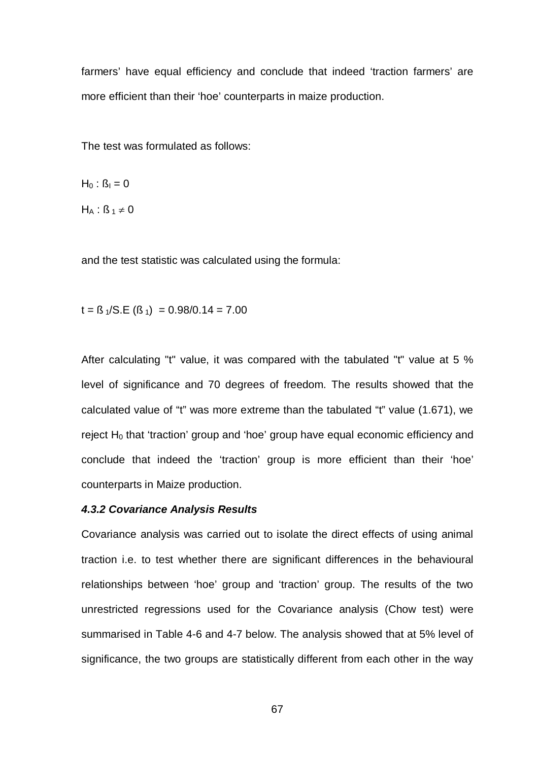farmers' have equal efficiency and conclude that indeed 'traction farmers' are more efficient than their 'hoe' counterparts in maize production.

The test was formulated as follows:

 $H_0$  :  $\beta_1 = 0$ 

 $H_A$  :  $\beta_1 \neq 0$ 

and the test statistic was calculated using the formula:

 $t =$   $\beta$  <sub>1</sub>/S.E ( $\beta$  <sub>1</sub>) = 0.98/0.14 = 7.00

After calculating "t" value, it was compared with the tabulated "t" value at 5 % level of significance and 70 degrees of freedom. The results showed that the calculated value of "t" was more extreme than the tabulated "t" value (1.671), we reject  $H_0$  that 'traction' group and 'hoe' group have equal economic efficiency and conclude that indeed the 'traction' group is more efficient than their 'hoe' counterparts in Maize production.

#### *4.3.2 Covariance Analysis Results*

Covariance analysis was carried out to isolate the direct effects of using animal traction i.e. to test whether there are significant differences in the behavioural relationships between 'hoe' group and 'traction' group. The results of the two unrestricted regressions used for the Covariance analysis (Chow test) were summarised in Table 4-6 and 4-7 below. The analysis showed that at 5% level of significance, the two groups are statistically different from each other in the way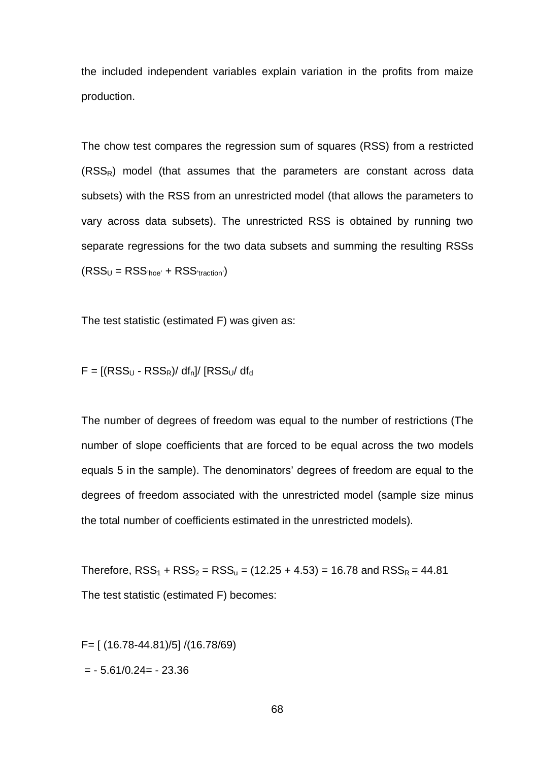the included independent variables explain variation in the profits from maize production.

The chow test compares the regression sum of squares (RSS) from a restricted  $(RSS<sub>R</sub>)$  model (that assumes that the parameters are constant across data subsets) with the RSS from an unrestricted model (that allows the parameters to vary across data subsets). The unrestricted RSS is obtained by running two separate regressions for the two data subsets and summing the resulting RSSs  $(RSS_U = RSS<sub>'hoe'</sub> + RSS<sub>'traction'</sub>)$ 

The test statistic (estimated F) was given as:

$$
F = [(RSSU - RSSR)/ dfn]/ [RSSU/ dfd
$$

The number of degrees of freedom was equal to the number of restrictions (The number of slope coefficients that are forced to be equal across the two models equals 5 in the sample). The denominators' degrees of freedom are equal to the degrees of freedom associated with the unrestricted model (sample size minus the total number of coefficients estimated in the unrestricted models).

Therefore,  $RSS_1 + RSS_2 = RSS_u = (12.25 + 4.53) = 16.78$  and  $RSS_R = 44.81$ The test statistic (estimated F) becomes:

F= [ (16.78-44.81)/5] /(16.78/69)  $= -5.61/0.24 = -23.36$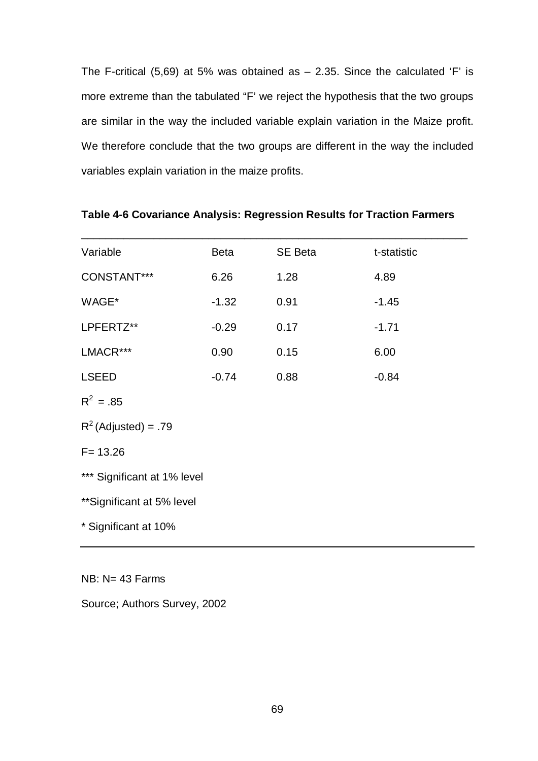The F-critical  $(5,69)$  at 5% was obtained as  $-$  2.35. Since the calculated 'F' is more extreme than the tabulated "F' we reject the hypothesis that the two groups are similar in the way the included variable explain variation in the Maize profit. We therefore conclude that the two groups are different in the way the included variables explain variation in the maize profits.

| Variable                    | Beta    | SE Beta | t-statistic |  |  |  |  |
|-----------------------------|---------|---------|-------------|--|--|--|--|
| CONSTANT***                 | 6.26    | 1.28    | 4.89        |  |  |  |  |
| WAGE*                       | $-1.32$ | 0.91    | $-1.45$     |  |  |  |  |
| LPFERTZ**                   | $-0.29$ | 0.17    | $-1.71$     |  |  |  |  |
| LMACR***                    | 0.90    | 0.15    | 6.00        |  |  |  |  |
| <b>LSEED</b>                | $-0.74$ | 0.88    | $-0.84$     |  |  |  |  |
| $R^2 = .85$                 |         |         |             |  |  |  |  |
| $R^2$ (Adjusted) = .79      |         |         |             |  |  |  |  |
| $F = 13.26$                 |         |         |             |  |  |  |  |
| *** Significant at 1% level |         |         |             |  |  |  |  |
| ** Significant at 5% level  |         |         |             |  |  |  |  |
| * Significant at 10%        |         |         |             |  |  |  |  |
|                             |         |         |             |  |  |  |  |

#### **Table 4-6 Covariance Analysis: Regression Results for Traction Farmers**

NB: N= 43 Farms

Source; Authors Survey, 2002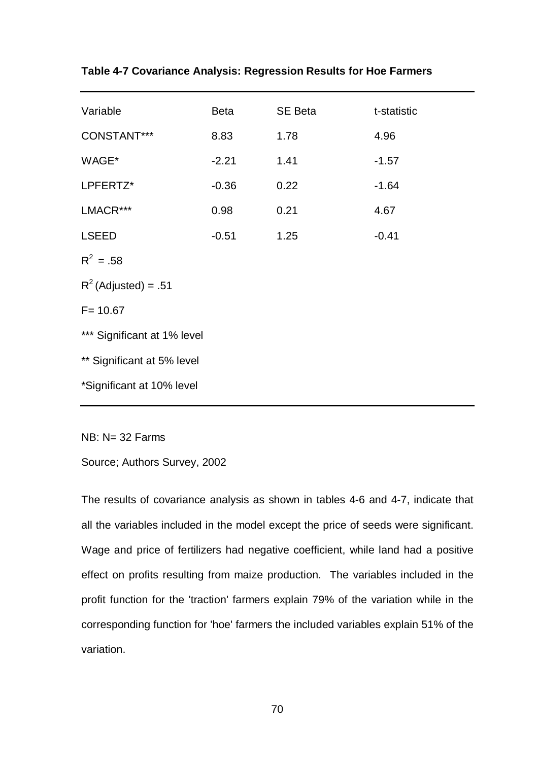| Variable                    | Beta    | SE Beta | t-statistic |  |  |  |  |
|-----------------------------|---------|---------|-------------|--|--|--|--|
| CONSTANT***                 | 8.83    | 1.78    | 4.96        |  |  |  |  |
| WAGE*                       | $-2.21$ | 1.41    | $-1.57$     |  |  |  |  |
| LPFERTZ*                    | $-0.36$ | 0.22    | $-1.64$     |  |  |  |  |
| LMACR***                    | 0.98    | 0.21    | 4.67        |  |  |  |  |
| <b>LSEED</b>                | $-0.51$ | 1.25    | $-0.41$     |  |  |  |  |
| $R^2 = .58$                 |         |         |             |  |  |  |  |
| $R^2$ (Adjusted) = .51      |         |         |             |  |  |  |  |
| $F = 10.67$                 |         |         |             |  |  |  |  |
| *** Significant at 1% level |         |         |             |  |  |  |  |
| ** Significant at 5% level  |         |         |             |  |  |  |  |
| *Significant at 10% level   |         |         |             |  |  |  |  |

NB: N= 32 Farms

Source; Authors Survey, 2002

The results of covariance analysis as shown in tables 4-6 and 4-7, indicate that all the variables included in the model except the price of seeds were significant. Wage and price of fertilizers had negative coefficient, while land had a positive effect on profits resulting from maize production. The variables included in the profit function for the 'traction' farmers explain 79% of the variation while in the corresponding function for 'hoe' farmers the included variables explain 51% of the variation.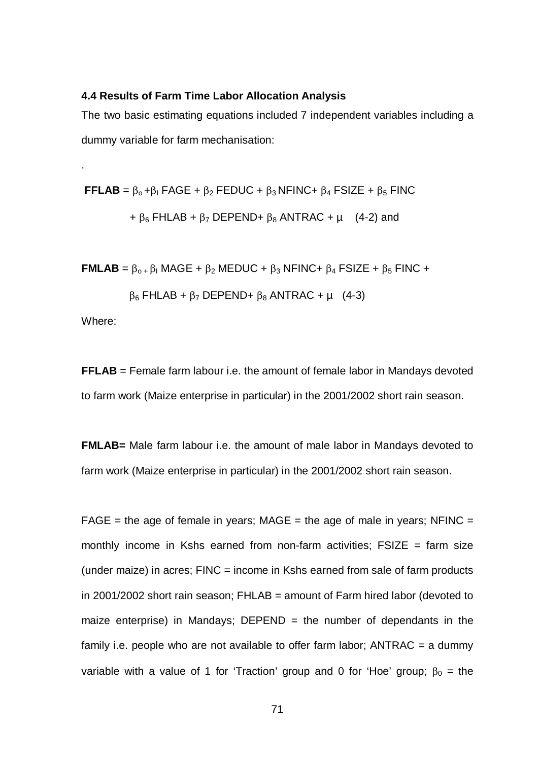#### **4.4 Results of Farm Time Labor Allocation Analysis**

The two basic estimating equations included 7 independent variables including a dummy variable for farm mechanisation:

**FFLAB** =  $\beta_0 + \beta_1$  FAGE +  $\beta_2$  FEDUC +  $\beta_3$  NFINC+  $\beta_4$  FSIZE +  $\beta_5$  FINC  $+ \beta_6$  FHLAB +  $\beta_7$  DEPEND+  $\beta_8$  ANTRAC +  $\mu$  (4-2) and

**FMLAB** =  $\beta_0$  +  $\beta_1$  MAGE +  $\beta_2$  MEDUC +  $\beta_3$  NFINC +  $\beta_4$  FSIZE +  $\beta_5$  FINC +

$$
\beta_6 \text{ FHLAB} + \beta_7 \text{ DEPEND} + \beta_8 \text{ ANTRAC} + \mu \quad (4-3)
$$

Where:

.

**FFLAB** = Female farm labour i.e. the amount of female labor in Mandays devoted to farm work (Maize enterprise in particular) in the 2001/2002 short rain season.

**FMLAB=** Male farm labour i.e. the amount of male labor in Mandays devoted to farm work (Maize enterprise in particular) in the 2001/2002 short rain season.

 $FAGE = the age of female in years; MAGE = the age of male in years; NFINC =$ monthly income in Kshs earned from non-farm activities; FSIZE = farm size (under maize) in acres:  $FINC = income$  in Kshs earned from sale of farm products in 2001/2002 short rain season; FHLAB = amount of Farm hired labor (devoted to maize enterprise) in Mandays;  $DEPEND =$  the number of dependants in the family i.e. people who are not available to offer farm labor;  $\triangle NTRAC = a$  dummy variable with a value of 1 for 'Traction' group and 0 for 'Hoe' group;  $\beta_0$  = the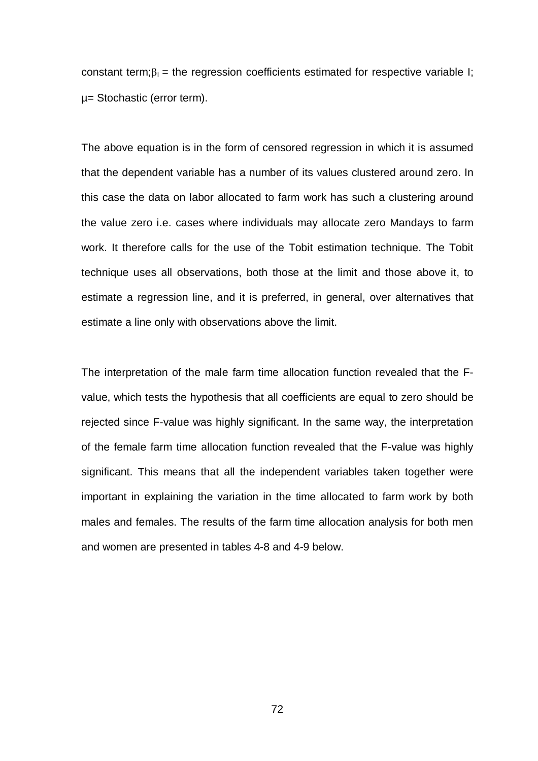constant term; $\beta_1$  = the regression coefficients estimated for respective variable I; µ= Stochastic (error term).

The above equation is in the form of censored regression in which it is assumed that the dependent variable has a number of its values clustered around zero. In this case the data on labor allocated to farm work has such a clustering around the value zero i.e. cases where individuals may allocate zero Mandays to farm work. It therefore calls for the use of the Tobit estimation technique. The Tobit technique uses all observations, both those at the limit and those above it, to estimate a regression line, and it is preferred, in general, over alternatives that estimate a line only with observations above the limit.

The interpretation of the male farm time allocation function revealed that the Fvalue, which tests the hypothesis that all coefficients are equal to zero should be rejected since F-value was highly significant. In the same way, the interpretation of the female farm time allocation function revealed that the F-value was highly significant. This means that all the independent variables taken together were important in explaining the variation in the time allocated to farm work by both males and females. The results of the farm time allocation analysis for both men and women are presented in tables 4-8 and 4-9 below.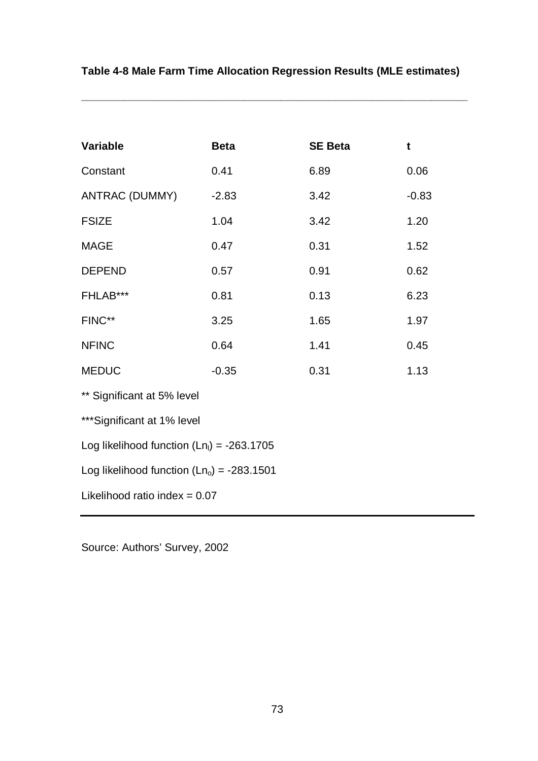| <b>Variable</b>                              | <b>Beta</b> | <b>SE Beta</b> | $\mathbf t$ |  |  |
|----------------------------------------------|-------------|----------------|-------------|--|--|
| Constant                                     | 0.41        | 6.89           | 0.06        |  |  |
| <b>ANTRAC (DUMMY)</b>                        | $-2.83$     | 3.42           | $-0.83$     |  |  |
| <b>FSIZE</b>                                 | 1.04        | 3.42           | 1.20        |  |  |
| <b>MAGE</b>                                  | 0.47        | 0.31           | 1.52        |  |  |
| <b>DEPEND</b>                                | 0.57        | 0.91           | 0.62        |  |  |
| FHLAB***                                     | 0.81        | 0.13           | 6.23        |  |  |
| FINC**                                       | 3.25        | 1.65           | 1.97        |  |  |
| <b>NFINC</b>                                 | 0.64        | 1.41           | 0.45        |  |  |
| <b>MEDUC</b>                                 | $-0.35$     | 0.31           | 1.13        |  |  |
| ** Significant at 5% level                   |             |                |             |  |  |
| ***Significant at 1% level                   |             |                |             |  |  |
| Log likelihood function $(Lnl) = -263.1705$  |             |                |             |  |  |
| Log likelihood function $(Ln_0) = -283.1501$ |             |                |             |  |  |
| Likelihood ratio index = $0.07$              |             |                |             |  |  |

# **Table 4-8 Male Farm Time Allocation Regression Results (MLE estimates)**

**\_\_\_\_\_\_\_\_\_\_\_\_\_\_\_\_\_\_\_\_\_\_\_\_\_\_\_\_\_\_\_\_\_\_\_\_\_\_\_\_\_\_\_\_\_\_\_\_\_\_\_\_\_\_\_\_\_\_\_\_\_\_\_\_**

Source: Authors' Survey, 2002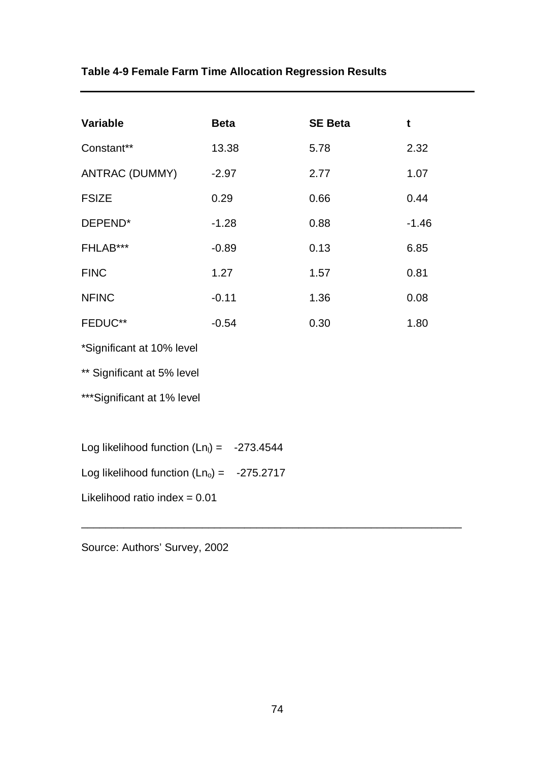# **Table 4-9 Female Farm Time Allocation Regression Results**

| <b>Variable</b>                              | <b>Beta</b> | <b>SE Beta</b> | t       |  |
|----------------------------------------------|-------------|----------------|---------|--|
| Constant**                                   | 13.38       | 5.78           | 2.32    |  |
| <b>ANTRAC (DUMMY)</b>                        | $-2.97$     | 2.77           | 1.07    |  |
| <b>FSIZE</b>                                 | 0.29        | 0.66           | 0.44    |  |
| DEPEND*                                      | $-1.28$     | 0.88           | $-1.46$ |  |
| FHLAB***                                     | $-0.89$     | 0.13           | 6.85    |  |
| <b>FINC</b>                                  | 1.27        | 1.57           | 0.81    |  |
| <b>NFINC</b>                                 | $-0.11$     | 1.36           | 0.08    |  |
| FEDUC**                                      | $-0.54$     | 0.30           | 1.80    |  |
| *Significant at 10% level                    |             |                |         |  |
| ** Significant at 5% level                   |             |                |         |  |
| ***Significant at 1% level                   |             |                |         |  |
|                                              |             |                |         |  |
| Log likelihood function $(Ln_1) = -273.4544$ |             |                |         |  |
| Log likelihood function $(Ln_0) = -275.2717$ |             |                |         |  |
| Likelihood ratio index = $0.01$              |             |                |         |  |

Source: Authors' Survey, 2002

\_\_\_\_\_\_\_\_\_\_\_\_\_\_\_\_\_\_\_\_\_\_\_\_\_\_\_\_\_\_\_\_\_\_\_\_\_\_\_\_\_\_\_\_\_\_\_\_\_\_\_\_\_\_\_\_\_\_\_\_\_\_\_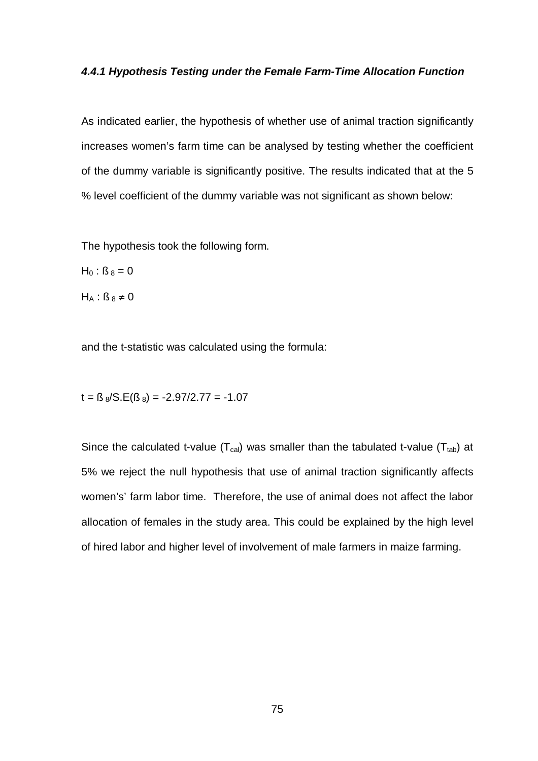#### *4.4.1 Hypothesis Testing under the Female Farm-Time Allocation Function*

As indicated earlier, the hypothesis of whether use of animal traction significantly increases women's farm time can be analysed by testing whether the coefficient of the dummy variable is significantly positive. The results indicated that at the 5 % level coefficient of the dummy variable was not significant as shown below:

The hypothesis took the following form.

 $H_0$ :  $B_8 = 0$ 

 $H_A$ :  $\beta_8 \neq 0$ 

and the t-statistic was calculated using the formula:

 $t = \text{fs } s/\text{S}.\text{E}(\text{fs } s) = -2.97/2.77 = -1.07$ 

Since the calculated t-value ( $T_{cal}$ ) was smaller than the tabulated t-value ( $T_{tab}$ ) at 5% we reject the null hypothesis that use of animal traction significantly affects women's' farm labor time. Therefore, the use of animal does not affect the labor allocation of females in the study area. This could be explained by the high level of hired labor and higher level of involvement of male farmers in maize farming.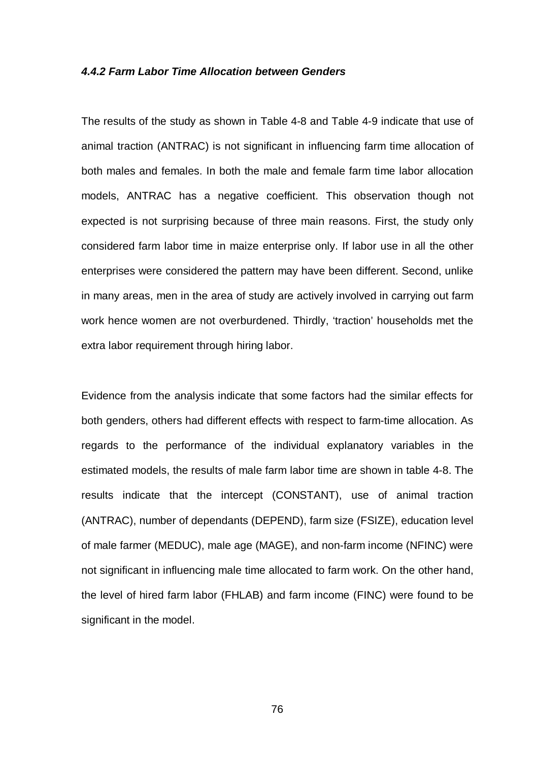#### *4.4.2 Farm Labor Time Allocation between Genders*

The results of the study as shown in Table 4-8 and Table 4-9 indicate that use of animal traction (ANTRAC) is not significant in influencing farm time allocation of both males and females. In both the male and female farm time labor allocation models, ANTRAC has a negative coefficient. This observation though not expected is not surprising because of three main reasons. First, the study only considered farm labor time in maize enterprise only. If labor use in all the other enterprises were considered the pattern may have been different. Second, unlike in many areas, men in the area of study are actively involved in carrying out farm work hence women are not overburdened. Thirdly, 'traction' households met the extra labor requirement through hiring labor.

Evidence from the analysis indicate that some factors had the similar effects for both genders, others had different effects with respect to farm-time allocation. As regards to the performance of the individual explanatory variables in the estimated models, the results of male farm labor time are shown in table 4-8. The results indicate that the intercept (CONSTANT), use of animal traction (ANTRAC), number of dependants (DEPEND), farm size (FSIZE), education level of male farmer (MEDUC), male age (MAGE), and non-farm income (NFINC) were not significant in influencing male time allocated to farm work. On the other hand, the level of hired farm labor (FHLAB) and farm income (FINC) were found to be significant in the model.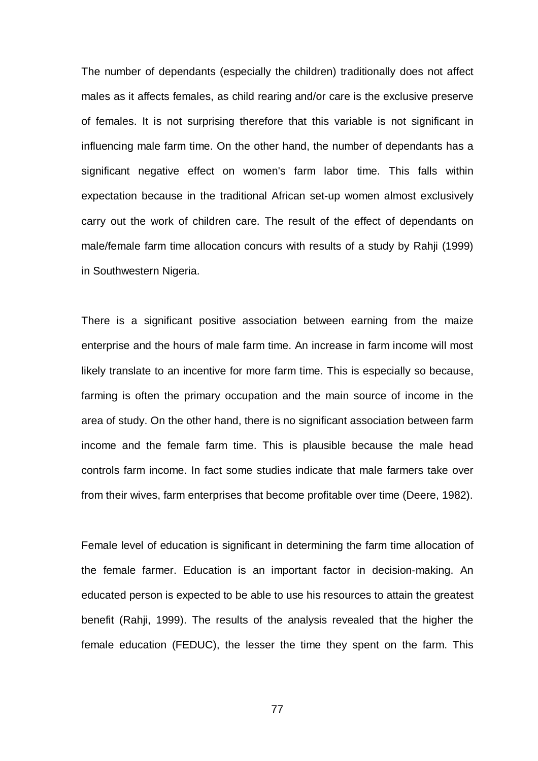The number of dependants (especially the children) traditionally does not affect males as it affects females, as child rearing and/or care is the exclusive preserve of females. It is not surprising therefore that this variable is not significant in influencing male farm time. On the other hand, the number of dependants has a significant negative effect on women's farm labor time. This falls within expectation because in the traditional African set-up women almost exclusively carry out the work of children care. The result of the effect of dependants on male/female farm time allocation concurs with results of a study by Rahji (1999) in Southwestern Nigeria.

There is a significant positive association between earning from the maize enterprise and the hours of male farm time. An increase in farm income will most likely translate to an incentive for more farm time. This is especially so because, farming is often the primary occupation and the main source of income in the area of study. On the other hand, there is no significant association between farm income and the female farm time. This is plausible because the male head controls farm income. In fact some studies indicate that male farmers take over from their wives, farm enterprises that become profitable over time (Deere, 1982).

Female level of education is significant in determining the farm time allocation of the female farmer. Education is an important factor in decision-making. An educated person is expected to be able to use his resources to attain the greatest benefit (Rahji, 1999). The results of the analysis revealed that the higher the female education (FEDUC), the lesser the time they spent on the farm. This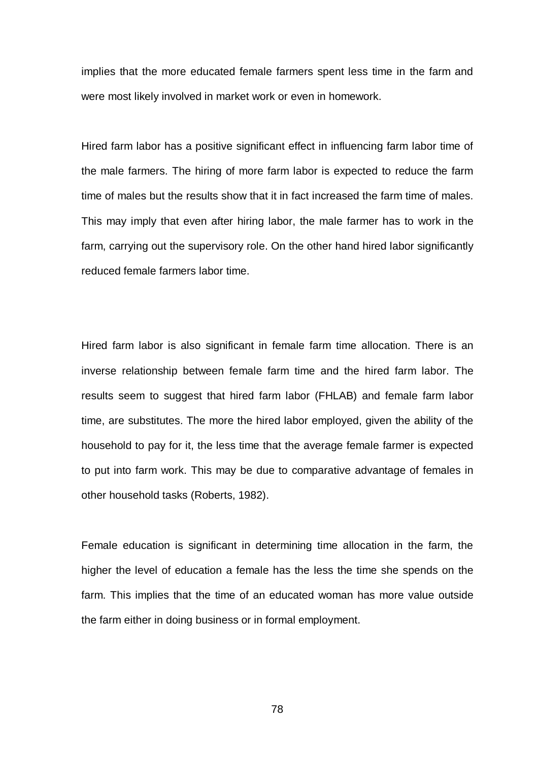implies that the more educated female farmers spent less time in the farm and were most likely involved in market work or even in homework.

Hired farm labor has a positive significant effect in influencing farm labor time of the male farmers. The hiring of more farm labor is expected to reduce the farm time of males but the results show that it in fact increased the farm time of males. This may imply that even after hiring labor, the male farmer has to work in the farm, carrying out the supervisory role. On the other hand hired labor significantly reduced female farmers labor time.

Hired farm labor is also significant in female farm time allocation. There is an inverse relationship between female farm time and the hired farm labor. The results seem to suggest that hired farm labor (FHLAB) and female farm labor time, are substitutes. The more the hired labor employed, given the ability of the household to pay for it, the less time that the average female farmer is expected to put into farm work. This may be due to comparative advantage of females in other household tasks (Roberts, 1982).

Female education is significant in determining time allocation in the farm, the higher the level of education a female has the less the time she spends on the farm. This implies that the time of an educated woman has more value outside the farm either in doing business or in formal employment.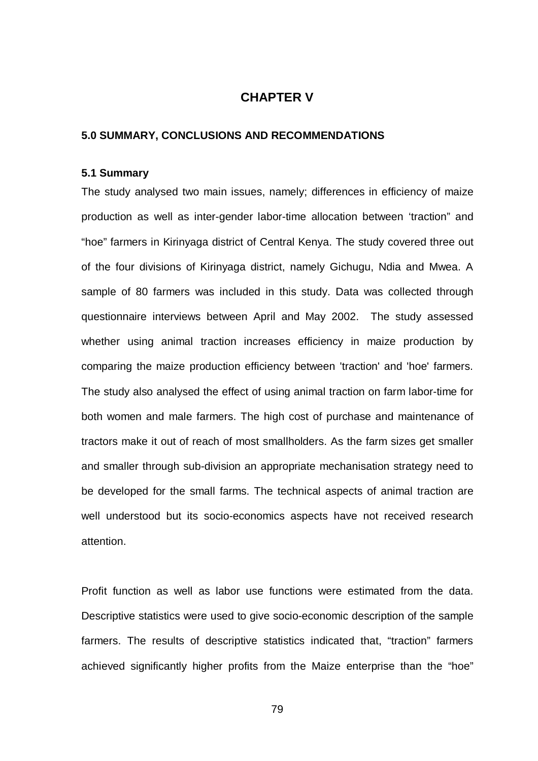## **CHAPTER V**

#### **5.0 SUMMARY, CONCLUSIONS AND RECOMMENDATIONS**

#### **5.1 Summary**

The study analysed two main issues, namely; differences in efficiency of maize production as well as inter-gender labor-time allocation between 'traction" and "hoe" farmers in Kirinyaga district of Central Kenya. The study covered three out of the four divisions of Kirinyaga district, namely Gichugu, Ndia and Mwea. A sample of 80 farmers was included in this study. Data was collected through questionnaire interviews between April and May 2002. The study assessed whether using animal traction increases efficiency in maize production by comparing the maize production efficiency between 'traction' and 'hoe' farmers. The study also analysed the effect of using animal traction on farm labor-time for both women and male farmers. The high cost of purchase and maintenance of tractors make it out of reach of most smallholders. As the farm sizes get smaller and smaller through sub-division an appropriate mechanisation strategy need to be developed for the small farms. The technical aspects of animal traction are well understood but its socio-economics aspects have not received research attention.

Profit function as well as labor use functions were estimated from the data. Descriptive statistics were used to give socio-economic description of the sample farmers. The results of descriptive statistics indicated that, "traction" farmers achieved significantly higher profits from the Maize enterprise than the "hoe"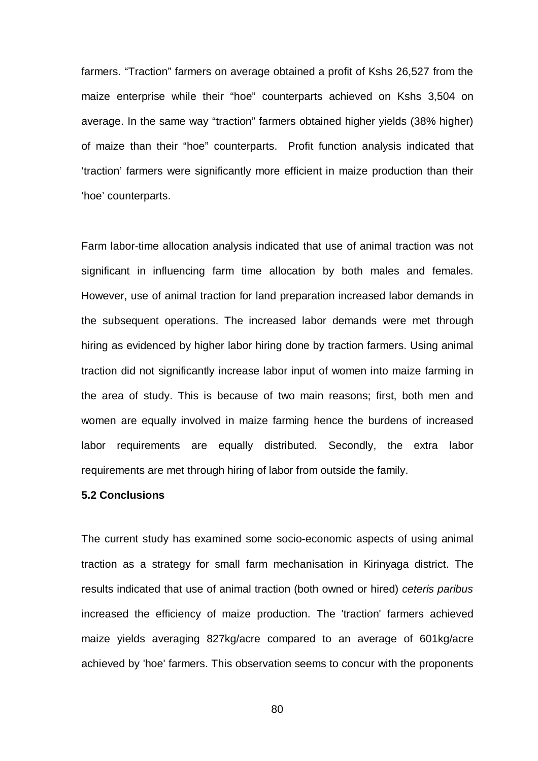farmers. "Traction" farmers on average obtained a profit of Kshs 26,527 from the maize enterprise while their "hoe" counterparts achieved on Kshs 3,504 on average. In the same way "traction" farmers obtained higher yields (38% higher) of maize than their "hoe" counterparts. Profit function analysis indicated that 'traction' farmers were significantly more efficient in maize production than their 'hoe' counterparts.

Farm labor-time allocation analysis indicated that use of animal traction was not significant in influencing farm time allocation by both males and females. However, use of animal traction for land preparation increased labor demands in the subsequent operations. The increased labor demands were met through hiring as evidenced by higher labor hiring done by traction farmers. Using animal traction did not significantly increase labor input of women into maize farming in the area of study. This is because of two main reasons; first, both men and women are equally involved in maize farming hence the burdens of increased labor requirements are equally distributed. Secondly, the extra labor requirements are met through hiring of labor from outside the family.

#### **5.2 Conclusions**

The current study has examined some socio-economic aspects of using animal traction as a strategy for small farm mechanisation in Kirinyaga district. The results indicated that use of animal traction (both owned or hired) *ceteris paribus* increased the efficiency of maize production. The 'traction' farmers achieved maize yields averaging 827kg/acre compared to an average of 601kg/acre achieved by 'hoe' farmers. This observation seems to concur with the proponents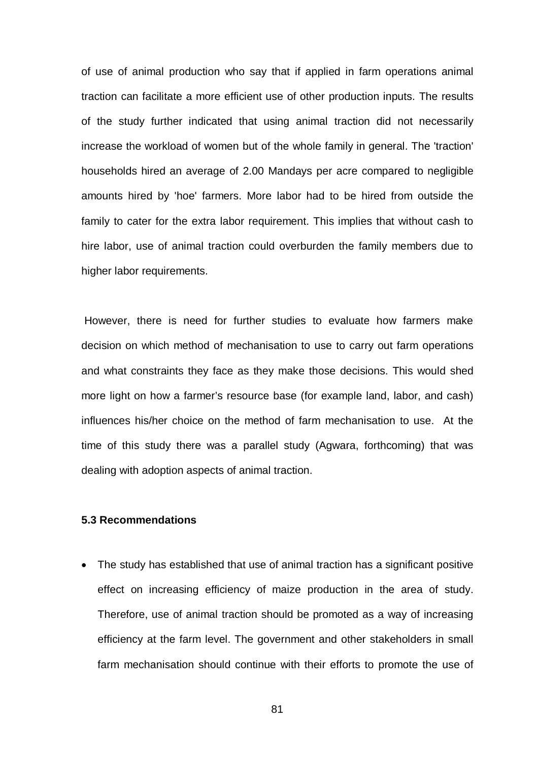of use of animal production who say that if applied in farm operations animal traction can facilitate a more efficient use of other production inputs. The results of the study further indicated that using animal traction did not necessarily increase the workload of women but of the whole family in general. The 'traction' households hired an average of 2.00 Mandays per acre compared to negligible amounts hired by 'hoe' farmers. More labor had to be hired from outside the family to cater for the extra labor requirement. This implies that without cash to hire labor, use of animal traction could overburden the family members due to higher labor requirements.

However, there is need for further studies to evaluate how farmers make decision on which method of mechanisation to use to carry out farm operations and what constraints they face as they make those decisions. This would shed more light on how a farmer's resource base (for example land, labor, and cash) influences his/her choice on the method of farm mechanisation to use. At the time of this study there was a parallel study (Agwara, forthcoming) that was dealing with adoption aspects of animal traction.

#### **5.3 Recommendations**

 The study has established that use of animal traction has a significant positive effect on increasing efficiency of maize production in the area of study. Therefore, use of animal traction should be promoted as a way of increasing efficiency at the farm level. The government and other stakeholders in small farm mechanisation should continue with their efforts to promote the use of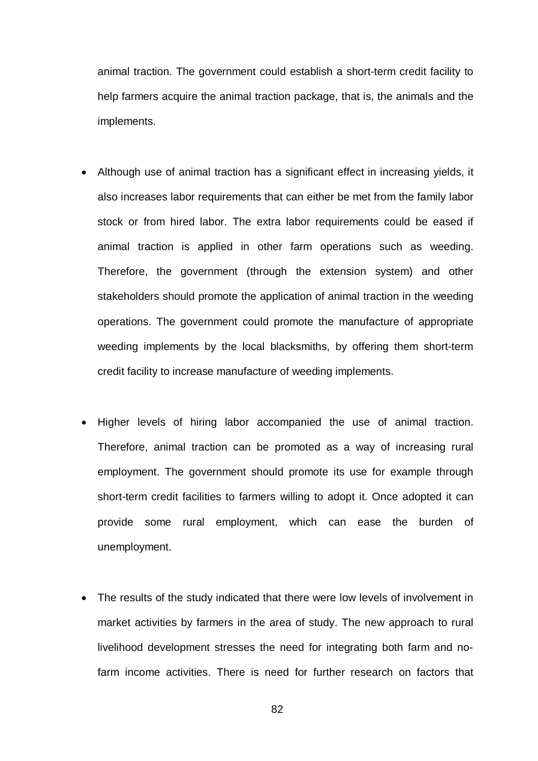animal traction. The government could establish a short-term credit facility to help farmers acquire the animal traction package, that is, the animals and the implements.

- Although use of animal traction has a significant effect in increasing yields, it also increases labor requirements that can either be met from the family labor stock or from hired labor. The extra labor requirements could be eased if animal traction is applied in other farm operations such as weeding. Therefore, the government (through the extension system) and other stakeholders should promote the application of animal traction in the weeding operations. The government could promote the manufacture of appropriate weeding implements by the local blacksmiths, by offering them short-term credit facility to increase manufacture of weeding implements.
- Higher levels of hiring labor accompanied the use of animal traction. Therefore, animal traction can be promoted as a way of increasing rural employment. The government should promote its use for example through short-term credit facilities to farmers willing to adopt it. Once adopted it can provide some rural employment, which can ease the burden of unemployment.
- The results of the study indicated that there were low levels of involvement in market activities by farmers in the area of study. The new approach to rural livelihood development stresses the need for integrating both farm and nofarm income activities. There is need for further research on factors that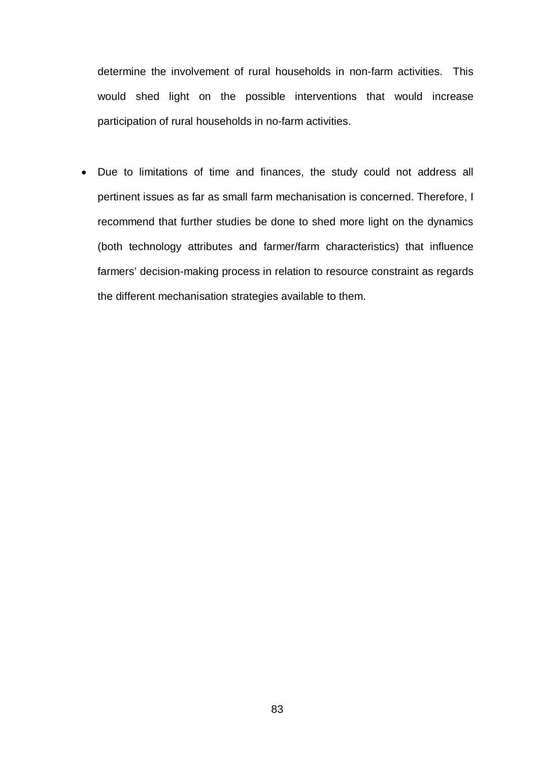determine the involvement of rural households in non-farm activities. This would shed light on the possible interventions that would increase participation of rural households in no-farm activities.

 Due to limitations of time and finances, the study could not address all pertinent issues as far as small farm mechanisation is concerned. Therefore, I recommend that further studies be done to shed more light on the dynamics (both technology attributes and farmer/farm characteristics) that influence farmers' decision-making process in relation to resource constraint as regards the different mechanisation strategies available to them.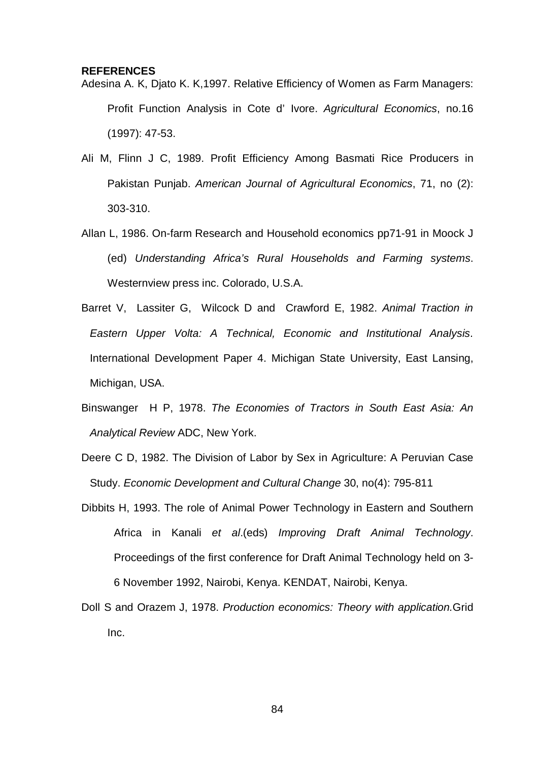#### **REFERENCES**

- Adesina A. K, Djato K. K,1997. Relative Efficiency of Women as Farm Managers: Profit Function Analysis in Cote d' Ivore. *Agricultural Economics*, no.16 (1997): 47-53.
- Ali M, Flinn J C, 1989. Profit Efficiency Among Basmati Rice Producers in Pakistan Punjab. *American Journal of Agricultural Economics*, 71, no (2): 303-310.
- Allan L, 1986. On-farm Research and Household economics pp71-91 in Moock J (ed) *Understanding Africa's Rural Households and Farming systems*. Westernview press inc. Colorado, U.S.A.
- Barret V, Lassiter G, Wilcock D and Crawford E, 1982. *Animal Traction in Eastern Upper Volta: A Technical, Economic and Institutional Analysis*. International Development Paper 4. Michigan State University, East Lansing, Michigan, USA.
- Binswanger H P, 1978. *The Economies of Tractors in South East Asia: An Analytical Review* ADC, New York.
- Deere C D, 1982. The Division of Labor by Sex in Agriculture: A Peruvian Case Study. *Economic Development and Cultural Change* 30, no(4): 795-811
- Dibbits H, 1993. The role of Animal Power Technology in Eastern and Southern Africa in Kanali *et al*.(eds) *Improving Draft Animal Technology*. Proceedings of the first conference for Draft Animal Technology held on 3- 6 November 1992, Nairobi, Kenya. KENDAT, Nairobi, Kenya.
- Doll S and Orazem J, 1978. *Production economics: Theory with application.*Grid Inc.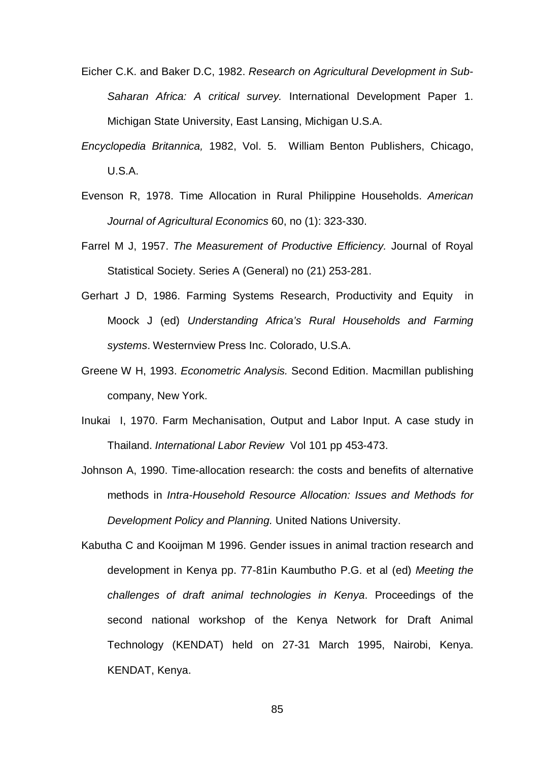- Eicher C.K. and Baker D.C, 1982. *Research on Agricultural Development in Sub-Saharan Africa: A critical survey.* International Development Paper 1. Michigan State University, East Lansing, Michigan U.S.A.
- *Encyclopedia Britannica,* 1982, Vol. 5. William Benton Publishers, Chicago, U.S.A.
- Evenson R, 1978. Time Allocation in Rural Philippine Households. *American Journal of Agricultural Economics* 60, no (1): 323-330.
- Farrel M J, 1957. *The Measurement of Productive Efficiency.* Journal of Royal Statistical Society. Series A (General) no (21) 253-281.
- Gerhart J D, 1986. Farming Systems Research, Productivity and Equity in Moock J (ed) *Understanding Africa's Rural Households and Farming systems*. Westernview Press Inc. Colorado, U.S.A.
- Greene W H, 1993. *Econometric Analysis.* Second Edition. Macmillan publishing company, New York.
- Inukai I, 1970. Farm Mechanisation, Output and Labor Input. A case study in Thailand. *International Labor Review* Vol 101 pp 453-473.
- Johnson A, 1990. Time-allocation research: the costs and benefits of alternative methods in *Intra-Household Resource Allocation: Issues and Methods for Development Policy and Planning.* United Nations University.
- Kabutha C and Kooijman M 1996. Gender issues in animal traction research and development in Kenya pp. 77-81in Kaumbutho P.G. et al (ed) *Meeting the challenges of draft animal technologies in Kenya*. Proceedings of the second national workshop of the Kenya Network for Draft Animal Technology (KENDAT) held on 27-31 March 1995, Nairobi, Kenya. KENDAT, Kenya.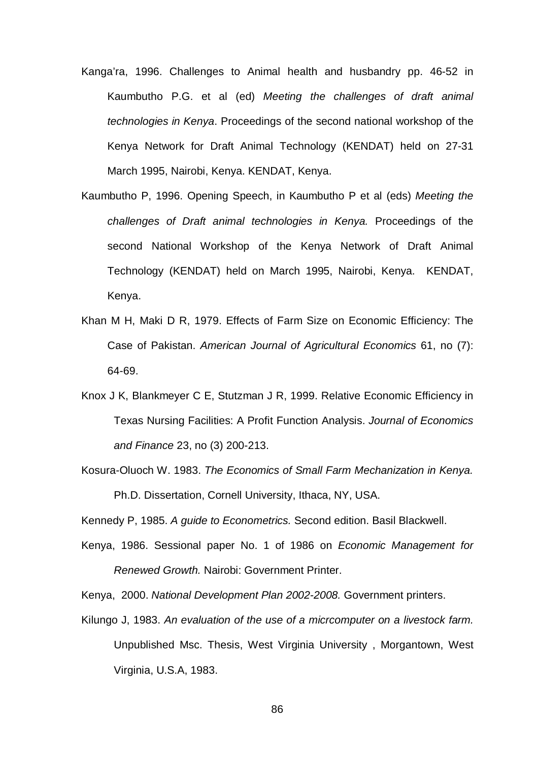- Kanga'ra, 1996. Challenges to Animal health and husbandry pp. 46-52 in Kaumbutho P.G. et al (ed) *Meeting the challenges of draft animal technologies in Kenya*. Proceedings of the second national workshop of the Kenya Network for Draft Animal Technology (KENDAT) held on 27-31 March 1995, Nairobi, Kenya. KENDAT, Kenya.
- Kaumbutho P, 1996. Opening Speech, in Kaumbutho P et al (eds) *Meeting the challenges of Draft animal technologies in Kenya.* Proceedings of the second National Workshop of the Kenya Network of Draft Animal Technology (KENDAT) held on March 1995, Nairobi, Kenya. KENDAT, Kenya.
- Khan M H, Maki D R, 1979. Effects of Farm Size on Economic Efficiency: The Case of Pakistan. *American Journal of Agricultural Economics* 61, no (7): 64-69.
- Knox J K, Blankmeyer C E, Stutzman J R, 1999. Relative Economic Efficiency in Texas Nursing Facilities: A Profit Function Analysis. *Journal of Economics and Finance* 23, no (3) 200-213.
- Kosura-Oluoch W. 1983. *The Economics of Small Farm Mechanization in Kenya.* Ph.D. Dissertation, Cornell University, Ithaca, NY, USA.

Kennedy P, 1985. *A guide to Econometrics.* Second edition. Basil Blackwell.

Kenya, 1986. Sessional paper No. 1 of 1986 on *Economic Management for Renewed Growth.* Nairobi: Government Printer.

Kenya, 2000. *National Development Plan 2002-2008.* Government printers.

Kilungo J, 1983. *An evaluation of the use of a micrcomputer on a livestock farm.*  Unpublished Msc. Thesis, West Virginia University , Morgantown, West Virginia, U.S.A, 1983.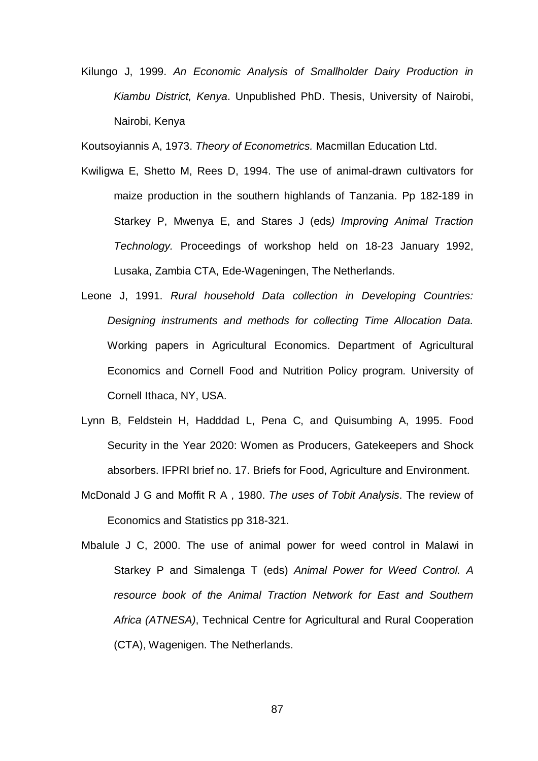Kilungo J, 1999. *An Economic Analysis of Smallholder Dairy Production in Kiambu District, Kenya*. Unpublished PhD. Thesis, University of Nairobi, Nairobi, Kenya

Koutsoyiannis A, 1973. *Theory of Econometrics.* Macmillan Education Ltd.

- Kwiligwa E, Shetto M, Rees D, 1994. The use of animal-drawn cultivators for maize production in the southern highlands of Tanzania. Pp 182-189 in Starkey P, Mwenya E, and Stares J (eds*) Improving Animal Traction Technology.* Proceedings of workshop held on 18-23 January 1992, Lusaka, Zambia CTA, Ede-Wageningen, The Netherlands.
- Leone J, 1991. *Rural household Data collection in Developing Countries: Designing instruments and methods for collecting Time Allocation Data.* Working papers in Agricultural Economics. Department of Agricultural Economics and Cornell Food and Nutrition Policy program. University of Cornell Ithaca, NY, USA.
- Lynn B, Feldstein H, Hadddad L, Pena C, and Quisumbing A, 1995. Food Security in the Year 2020: Women as Producers, Gatekeepers and Shock absorbers. IFPRI brief no. 17. Briefs for Food, Agriculture and Environment.
- McDonald J G and Moffit R A , 1980. *The uses of Tobit Analysis*. The review of Economics and Statistics pp 318-321.
- Mbalule J C, 2000. The use of animal power for weed control in Malawi in Starkey P and Simalenga T (eds) *Animal Power for Weed Control. A resource book of the Animal Traction Network for East and Southern Africa (ATNESA)*, Technical Centre for Agricultural and Rural Cooperation (CTA), Wagenigen. The Netherlands.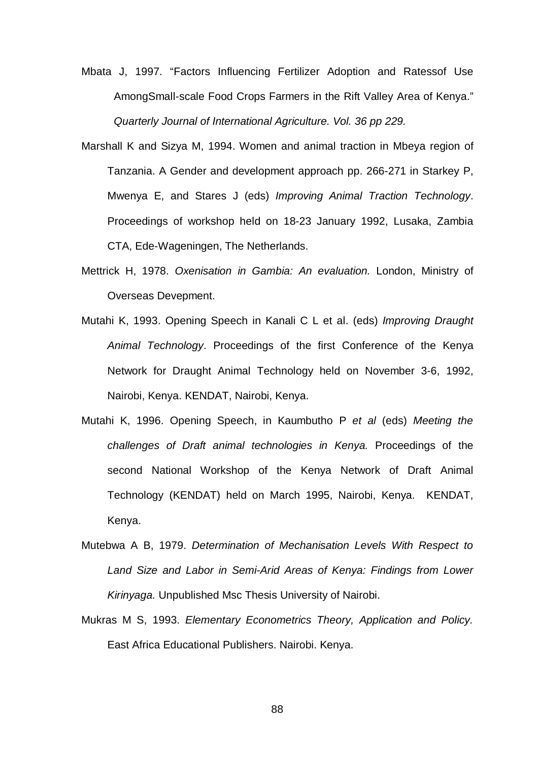Mbata J, 1997. "Factors Influencing Fertilizer Adoption and Ratessof Use AmongSmall-scale Food Crops Farmers in the Rift Valley Area of Kenya." *Quarterly Journal of International Agriculture. Vol. 36 pp 229.*

- Marshall K and Sizya M, 1994. Women and animal traction in Mbeya region of Tanzania. A Gender and development approach pp. 266-271 in Starkey P, Mwenya E, and Stares J (eds) *Improving Animal Traction Technology*. Proceedings of workshop held on 18-23 January 1992, Lusaka, Zambia CTA, Ede-Wageningen, The Netherlands.
- Mettrick H, 1978. *Oxenisation in Gambia: An evaluation.* London, Ministry of Overseas Devepment.
- Mutahi K, 1993. Opening Speech in Kanali C L et al. (eds) *Improving Draught Animal Technology*. Proceedings of the first Conference of the Kenya Network for Draught Animal Technology held on November 3-6, 1992, Nairobi, Kenya. KENDAT, Nairobi, Kenya.
- Mutahi K, 1996. Opening Speech, in Kaumbutho P *et al* (eds) *Meeting the challenges of Draft animal technologies in Kenya.* Proceedings of the second National Workshop of the Kenya Network of Draft Animal Technology (KENDAT) held on March 1995, Nairobi, Kenya. KENDAT, Kenya.
- Mutebwa A B, 1979. *Determination of Mechanisation Levels With Respect to Land Size and Labor in Semi-Arid Areas of Kenya: Findings from Lower Kirinyaga.* Unpublished Msc Thesis University of Nairobi.
- Mukras M S, 1993. *Elementary Econometrics Theory, Application and Policy.* East Africa Educational Publishers. Nairobi. Kenya.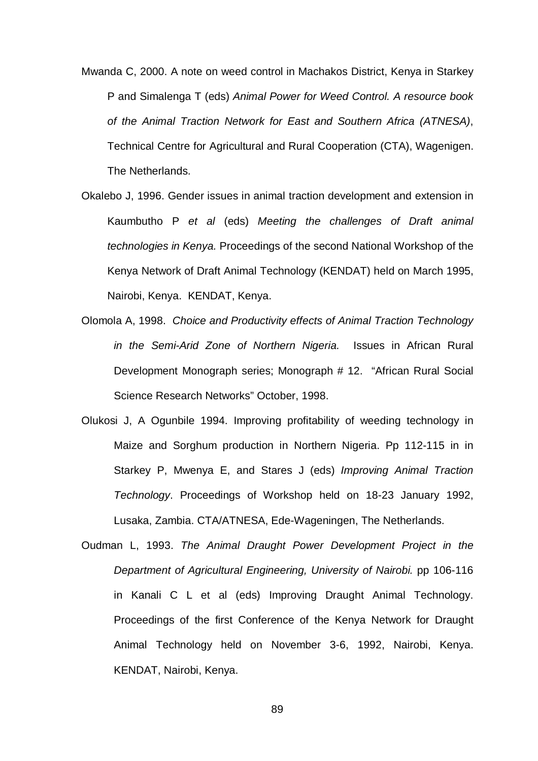- Mwanda C, 2000. A note on weed control in Machakos District, Kenya in Starkey P and Simalenga T (eds) *Animal Power for Weed Control. A resource book of the Animal Traction Network for East and Southern Africa (ATNESA)*, Technical Centre for Agricultural and Rural Cooperation (CTA), Wagenigen. The Netherlands.
- Okalebo J, 1996. Gender issues in animal traction development and extension in Kaumbutho P *et al* (eds) *Meeting the challenges of Draft animal technologies in Kenya.* Proceedings of the second National Workshop of the Kenya Network of Draft Animal Technology (KENDAT) held on March 1995, Nairobi, Kenya. KENDAT, Kenya.
- Olomola A, 1998. *Choice and Productivity effects of Animal Traction Technology in the Semi-Arid Zone of Northern Nigeria.* Issues in African Rural Development Monograph series; Monograph # 12. "African Rural Social Science Research Networks" October, 1998.
- Olukosi J, A Ogunbile 1994. Improving profitability of weeding technology in Maize and Sorghum production in Northern Nigeria. Pp 112-115 in in Starkey P, Mwenya E, and Stares J (eds) *Improving Animal Traction Technology*. Proceedings of Workshop held on 18-23 January 1992, Lusaka, Zambia. CTA/ATNESA, Ede-Wageningen, The Netherlands.
- Oudman L, 1993. *The Animal Draught Power Development Project in the Department of Agricultural Engineering, University of Nairobi.* pp 106-116 in Kanali C L et al (eds) Improving Draught Animal Technology. Proceedings of the first Conference of the Kenya Network for Draught Animal Technology held on November 3-6, 1992, Nairobi, Kenya. KENDAT, Nairobi, Kenya.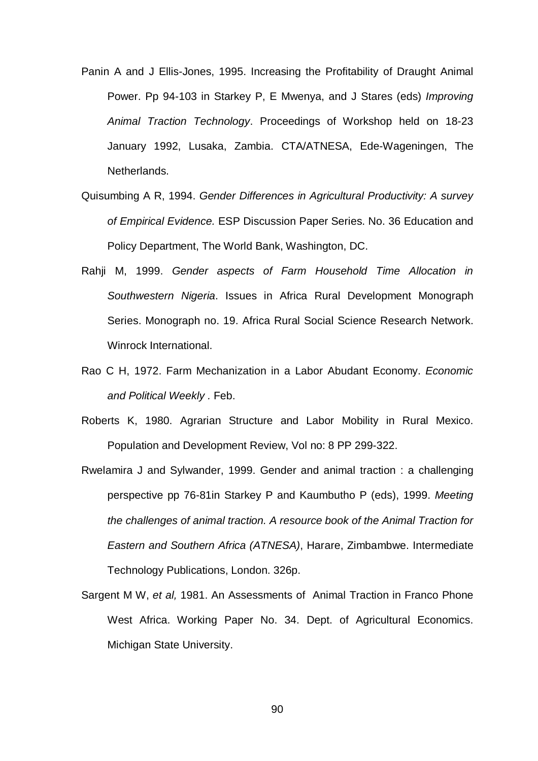- Panin A and J Ellis-Jones, 1995. Increasing the Profitability of Draught Animal Power. Pp 94-103 in Starkey P, E Mwenya, and J Stares (eds) *Improving Animal Traction Technology*. Proceedings of Workshop held on 18-23 January 1992, Lusaka, Zambia. CTA/ATNESA, Ede-Wageningen, The Netherlands.
- Quisumbing A R, 1994. *Gender Differences in Agricultural Productivity: A survey of Empirical Evidence.* ESP Discussion Paper Series. No. 36 Education and Policy Department, The World Bank, Washington, DC.
- Rahji M, 1999. *Gender aspects of Farm Household Time Allocation in Southwestern Nigeria*. Issues in Africa Rural Development Monograph Series. Monograph no. 19. Africa Rural Social Science Research Network. Winrock International.
- Rao C H, 1972. Farm Mechanization in a Labor Abudant Economy. *Economic and Political Weekly .* Feb.
- Roberts K, 1980. Agrarian Structure and Labor Mobility in Rural Mexico. Population and Development Review, Vol no: 8 PP 299-322.
- Rwelamira J and Sylwander, 1999. Gender and animal traction : a challenging perspective pp 76-81in Starkey P and Kaumbutho P (eds), 1999. *Meeting the challenges of animal traction. A resource book of the Animal Traction for Eastern and Southern Africa (ATNESA)*, Harare, Zimbambwe. Intermediate Technology Publications, London. 326p.
- Sargent M W, *et al,* 1981. An Assessments of Animal Traction in Franco Phone West Africa. Working Paper No. 34. Dept. of Agricultural Economics. Michigan State University.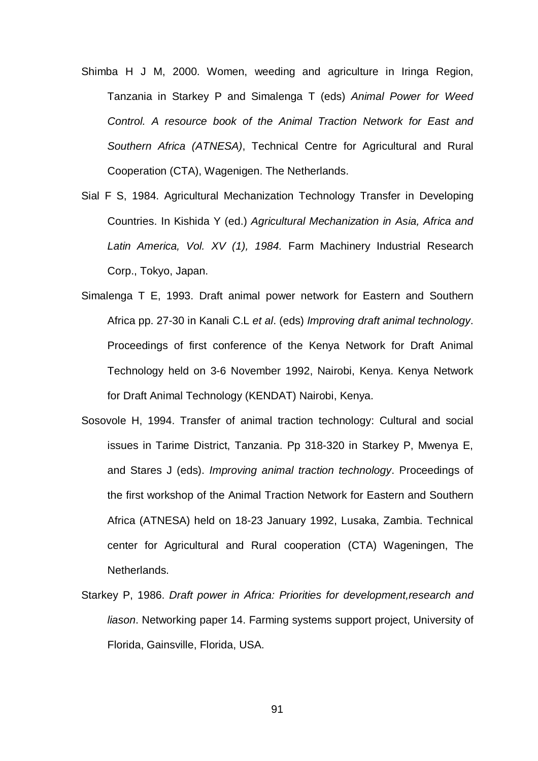- Shimba H J M, 2000. Women, weeding and agriculture in Iringa Region, Tanzania in Starkey P and Simalenga T (eds) *Animal Power for Weed Control. A resource book of the Animal Traction Network for East and Southern Africa (ATNESA)*, Technical Centre for Agricultural and Rural Cooperation (CTA), Wagenigen. The Netherlands.
- Sial F S, 1984. Agricultural Mechanization Technology Transfer in Developing Countries. In Kishida Y (ed.) *Agricultural Mechanization in Asia, Africa and Latin America, Vol. XV (1), 1984.* Farm Machinery Industrial Research Corp., Tokyo, Japan.
- Simalenga T E, 1993. Draft animal power network for Eastern and Southern Africa pp. 27-30 in Kanali C.L *et al*. (eds) *Improving draft animal technology*. Proceedings of first conference of the Kenya Network for Draft Animal Technology held on 3-6 November 1992, Nairobi, Kenya. Kenya Network for Draft Animal Technology (KENDAT) Nairobi, Kenya.
- Sosovole H, 1994. Transfer of animal traction technology: Cultural and social issues in Tarime District, Tanzania. Pp 318-320 in Starkey P, Mwenya E, and Stares J (eds). *Improving animal traction technology*. Proceedings of the first workshop of the Animal Traction Network for Eastern and Southern Africa (ATNESA) held on 18-23 January 1992, Lusaka, Zambia. Technical center for Agricultural and Rural cooperation (CTA) Wageningen, The Netherlands.
- Starkey P, 1986. *Draft power in Africa: Priorities for development,research and liason*. Networking paper 14. Farming systems support project, University of Florida, Gainsville, Florida, USA.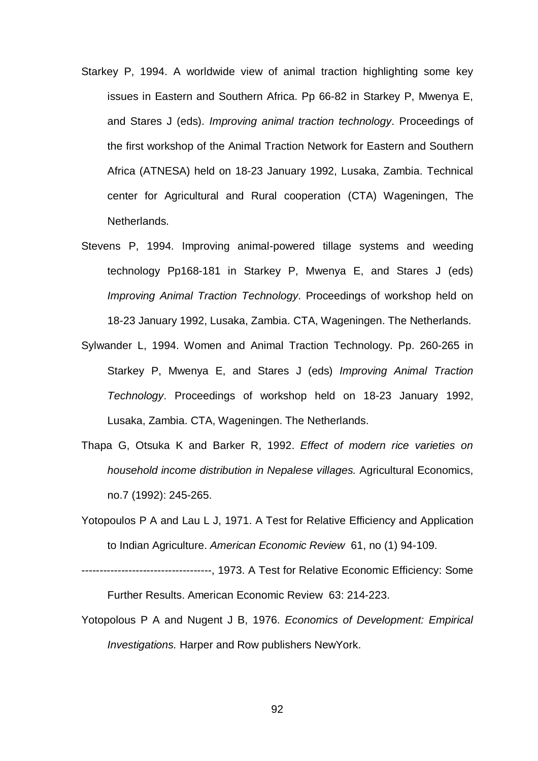- Starkey P, 1994. A worldwide view of animal traction highlighting some key issues in Eastern and Southern Africa. Pp 66-82 in Starkey P, Mwenya E, and Stares J (eds). *Improving animal traction technology*. Proceedings of the first workshop of the Animal Traction Network for Eastern and Southern Africa (ATNESA) held on 18-23 January 1992, Lusaka, Zambia. Technical center for Agricultural and Rural cooperation (CTA) Wageningen, The Netherlands.
- Stevens P, 1994. Improving animal-powered tillage systems and weeding technology Pp168-181 in Starkey P, Mwenya E, and Stares J (eds) *Improving Animal Traction Technology*. Proceedings of workshop held on 18-23 January 1992, Lusaka, Zambia. CTA, Wageningen. The Netherlands.
- Sylwander L, 1994. Women and Animal Traction Technology. Pp. 260-265 in Starkey P, Mwenya E, and Stares J (eds) *Improving Animal Traction Technology*. Proceedings of workshop held on 18-23 January 1992, Lusaka, Zambia. CTA, Wageningen. The Netherlands.
- Thapa G, Otsuka K and Barker R, 1992. *Effect of modern rice varieties on household income distribution in Nepalese villages.* Agricultural Economics, no.7 (1992): 245-265.
- Yotopoulos P A and Lau L J, 1971. A Test for Relative Efficiency and Application to Indian Agriculture. *American Economic Review* 61, no (1) 94-109.

------------------------------------, 1973. A Test for Relative Economic Efficiency: Some Further Results. American Economic Review 63: 214-223.

Yotopolous P A and Nugent J B, 1976. *Economics of Development: Empirical Investigations.* Harper and Row publishers NewYork.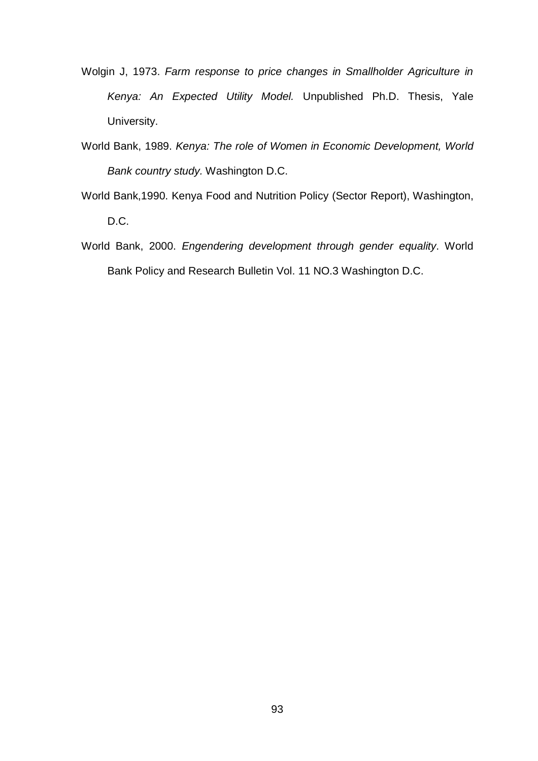- Wolgin J, 1973. *Farm response to price changes in Smallholder Agriculture in Kenya: An Expected Utility Model.* Unpublished Ph.D. Thesis, Yale University.
- World Bank, 1989. *Kenya: The role of Women in Economic Development, World Bank country study.* Washington D.C.
- World Bank,1990. Kenya Food and Nutrition Policy (Sector Report), Washington, D.C.
- World Bank, 2000. *Engendering development through gender equality*. World Bank Policy and Research Bulletin Vol. 11 NO.3 Washington D.C.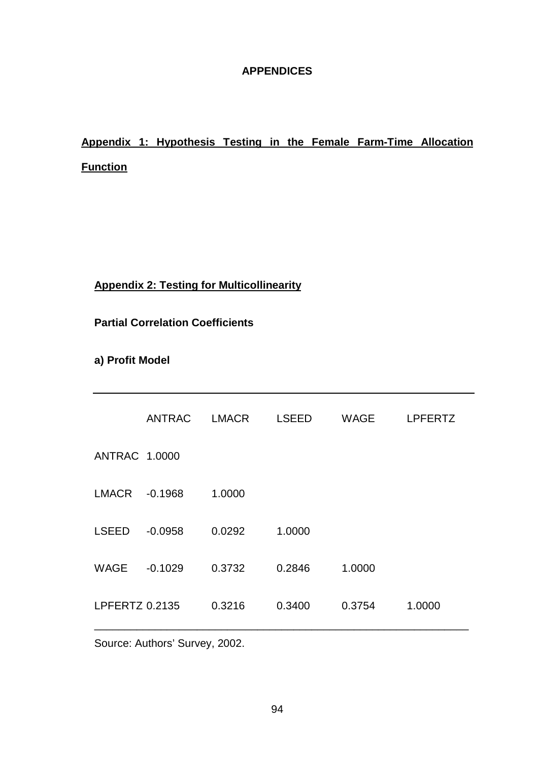## **APPENDICES**

# **Appendix 1: Hypothesis Testing in the Female Farm-Time Allocation Function**

## **Appendix 2: Testing for Multicollinearity**

**Partial Correlation Coefficients**

**a) Profit Model**

|                       | <b>ANTRAC</b> | <b>LMACR</b> | <b>LSEED</b> | WAGE   | <b>LPFERTZ</b> |
|-----------------------|---------------|--------------|--------------|--------|----------------|
| <b>ANTRAC 1.0000</b>  |               |              |              |        |                |
| <b>LMACR</b>          | $-0.1968$     | 1.0000       |              |        |                |
| <b>LSEED</b>          | $-0.0958$     | 0.0292       | 1.0000       |        |                |
| <b>WAGE</b>           | $-0.1029$     | 0.3732       | 0.2846       | 1.0000 |                |
| <b>LPFERTZ 0.2135</b> |               | 0.3216       | 0.3400       | 0.3754 | 1.0000         |

Source: Authors' Survey, 2002.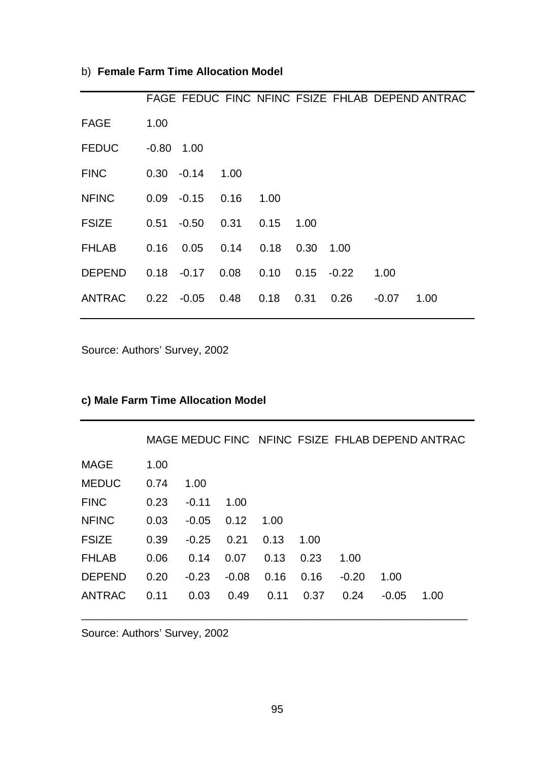## b) **Female Farm Time Allocation Model**

|               |              |         |      |      |      |         |         | FAGE FEDUC FINC NFINC FSIZE FHLAB DEPEND ANTRAC |
|---------------|--------------|---------|------|------|------|---------|---------|-------------------------------------------------|
| <b>FAGE</b>   | 1.00         |         |      |      |      |         |         |                                                 |
| <b>FEDUC</b>  | $-0.80$ 1.00 |         |      |      |      |         |         |                                                 |
| <b>FINC</b>   | $0.30 -0.14$ |         | 1.00 |      |      |         |         |                                                 |
| <b>NFINC</b>  | 0.09         | $-0.15$ | 0.16 | 1.00 |      |         |         |                                                 |
| FSIZE         | 0.51         | $-0.50$ | 0.31 | 0.15 | 1.00 |         |         |                                                 |
| <b>FHLAB</b>  | 0.16         | 0.05    | 0.14 | 0.18 | 0.30 | 1.00    |         |                                                 |
| <b>DEPEND</b> | 0.18         | $-0.17$ | 0.08 | 0.10 | 0.15 | $-0.22$ | 1.00    |                                                 |
| <b>ANTRAC</b> | 0.22         | $-0.05$ | 0.48 | 0.18 | 0.31 | 0.26    | $-0.07$ | 1.00                                            |

Source: Authors' Survey, 2002

## **c) Male Farm Time Allocation Model**

|               |      |         |         |      |      |         |         | MAGE MEDUC FINC NFINC FSIZE FHLAB DEPEND ANTRAC |
|---------------|------|---------|---------|------|------|---------|---------|-------------------------------------------------|
| MAGE          | 1.00 |         |         |      |      |         |         |                                                 |
| <b>MEDUC</b>  | 0.74 | 1.00    |         |      |      |         |         |                                                 |
| <b>FINC</b>   | 0.23 | $-0.11$ | 1.00    |      |      |         |         |                                                 |
| <b>NFINC</b>  | 0.03 | $-0.05$ | 0.12    | 1.00 |      |         |         |                                                 |
| <b>FSIZE</b>  | 0.39 | $-0.25$ | 0.21    | 0.13 | 1.00 |         |         |                                                 |
| <b>FHLAB</b>  | 0.06 | 0.14    | 0.07    | 0.13 | 0.23 | 1.00    |         |                                                 |
| <b>DEPEND</b> | 0.20 | $-0.23$ | $-0.08$ | 0.16 | 0.16 | $-0.20$ | 1.00    |                                                 |
| ANTRAC        | 0.11 | 0.03    | 0.49    | 0.11 | 0.37 | 0.24    | $-0.05$ | 1.00                                            |

\_\_\_\_\_\_\_\_\_\_\_\_\_\_\_\_\_\_\_\_\_\_\_\_\_\_\_\_\_\_\_\_\_\_\_\_\_\_\_\_\_\_\_\_\_\_\_\_\_\_\_\_\_\_\_\_\_\_\_\_\_\_\_\_

Source: Authors' Survey, 2002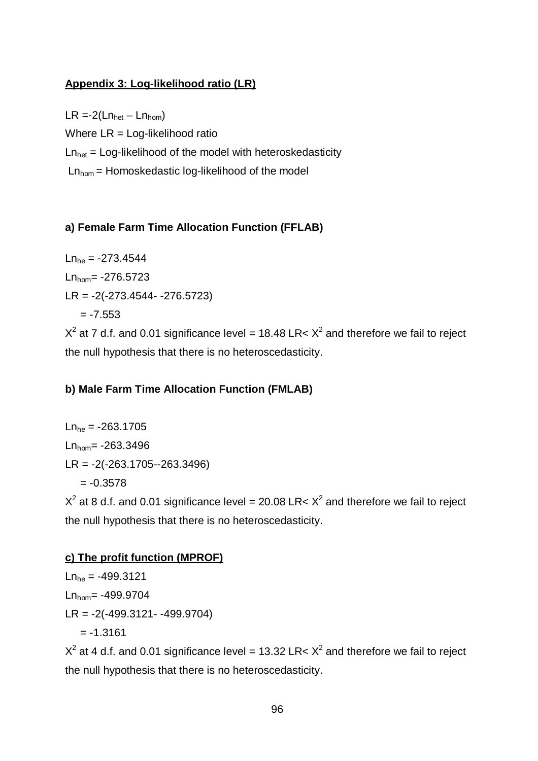## **Appendix 3: Log-likelihood ratio (LR)**

 $LR = -2(Ln_{\text{het}} - Ln_{\text{hom}})$ Where LR = Log-likelihood ratio  $Ln_{het} = Log-likelihood$  of the model with heteroskedasticity  $Ln<sub>hom</sub> = Homoskedastic log-likelihood of the model$ 

## **a) Female Farm Time Allocation Function (FFLAB)**

 $Ln<sub>he</sub> = -273.4544$  $Ln_{\text{hom}} = -276.5723$ LR = -2(-273.4544- -276.5723)  $= -7.553$ 

 $X^2$  at 7 d.f. and 0.01 significance level = 18.48 LR<  $X^2$  and therefore we fail to reject the null hypothesis that there is no heteroscedasticity.

## **b) Male Farm Time Allocation Function (FMLAB)**

 $Ln_{he} = -263.1705$  $Ln_{\text{hom}} = -263.3496$ LR = -2(-263.1705--263.3496)  $= -0.3578$ 

 $X^2$  at 8 d.f. and 0.01 significance level = 20.08 LR<  $X^2$  and therefore we fail to reject the null hypothesis that there is no heteroscedasticity.

## **c) The profit function (MPROF)**

 $Ln_{he} = -499.3121$  $Ln_{\text{hom}} = -499.9704$ LR = -2(-499.3121- -499.9704)  $= -1.3161$ 

 $X^2$  at 4 d.f. and 0.01 significance level = 13.32 LR<  $X^2$  and therefore we fail to reject the null hypothesis that there is no heteroscedasticity.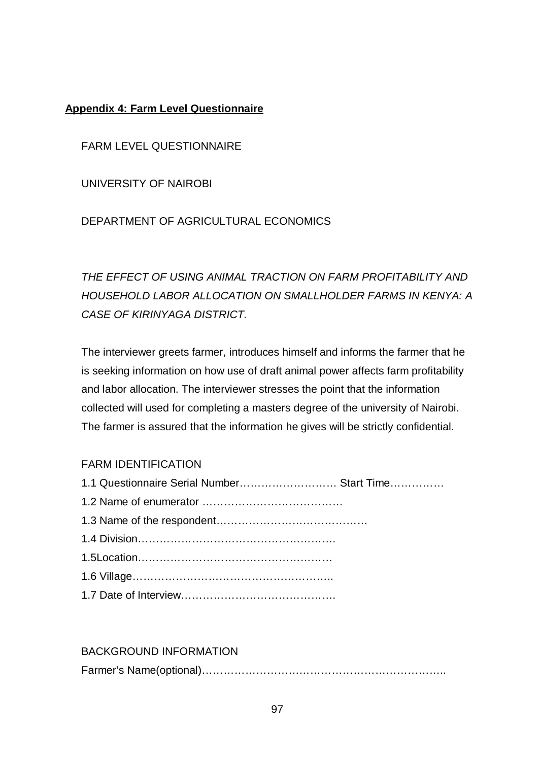### **Appendix 4: Farm Level Questionnaire**

FARM LEVEL QUESTIONNAIRE

UNIVERSITY OF NAIROBI

DEPARTMENT OF AGRICULTURAL ECONOMICS

*THE EFFECT OF USING ANIMAL TRACTION ON FARM PROFITABILITY AND HOUSEHOLD LABOR ALLOCATION ON SMALLHOLDER FARMS IN KENYA: A CASE OF KIRINYAGA DISTRICT.*

The interviewer greets farmer, introduces himself and informs the farmer that he is seeking information on how use of draft animal power affects farm profitability and labor allocation. The interviewer stresses the point that the information collected will used for completing a masters degree of the university of Nairobi. The farmer is assured that the information he gives will be strictly confidential.

#### FARM IDENTIFICATION

| 1.1 Questionnaire Serial Number Start Time |  |
|--------------------------------------------|--|
|                                            |  |
|                                            |  |
|                                            |  |
|                                            |  |
|                                            |  |
|                                            |  |

# BACKGROUND INFORMATION Farmer's Name(optional)…………………………………………………………..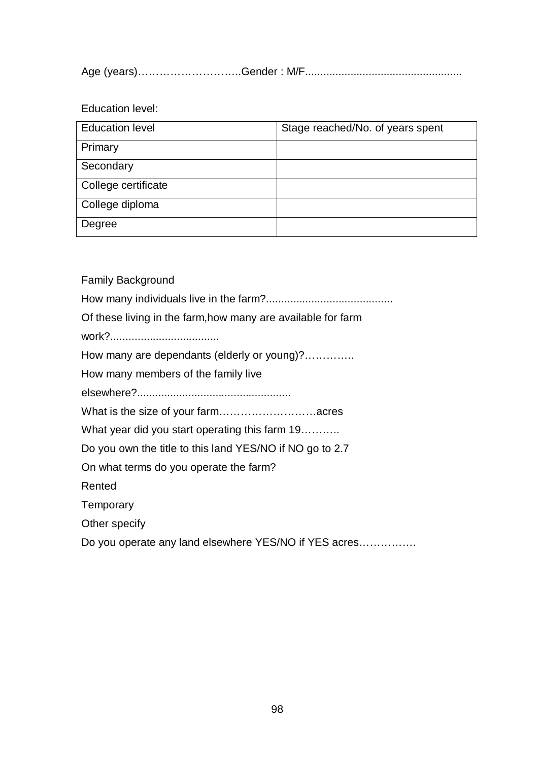Age (years)………………………..Gender : M/F....................................................

Education level:

| <b>Education level</b> | Stage reached/No. of years spent |
|------------------------|----------------------------------|
| Primary                |                                  |
| Secondary              |                                  |
| College certificate    |                                  |
| College diploma        |                                  |
| Degree                 |                                  |

Family Background

How many individuals live in the farm?..........................................

Of these living in the farm,how many are available for farm

work?....................................

How many are dependants (elderly or young)?…………..

How many members of the family live

elsewhere?...................................................

What is the size of your farm………………………acres

What year did you start operating this farm 19……….

Do you own the title to this land YES/NO if NO go to 2.7

On what terms do you operate the farm?

Rented

**Temporary** 

Other specify

Do you operate any land elsewhere YES/NO if YES acres…………….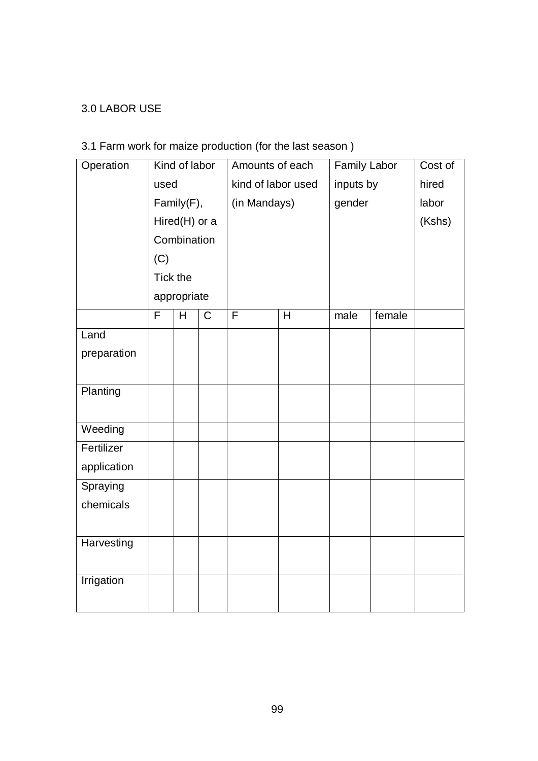## 3.0 LABOR USE

# 3.1 Farm work for maize production (for the last season )

| Operation   |          | Kind of labor |             | Amounts of each    |   | <b>Family Labor</b> |        | Cost of |
|-------------|----------|---------------|-------------|--------------------|---|---------------------|--------|---------|
|             | used     |               |             | kind of labor used |   | inputs by           |        | hired   |
|             |          | Family(F),    |             | (in Mandays)       |   | gender              |        | labor   |
|             |          | Hired(H) or a |             |                    |   |                     |        | (Kshs)  |
|             |          | Combination   |             |                    |   |                     |        |         |
|             | (C)      |               |             |                    |   |                     |        |         |
|             | Tick the |               |             |                    |   |                     |        |         |
|             |          | appropriate   |             |                    |   |                     |        |         |
|             | F        | H             | $\mathsf C$ | F                  | H | male                | female |         |
| Land        |          |               |             |                    |   |                     |        |         |
| preparation |          |               |             |                    |   |                     |        |         |
|             |          |               |             |                    |   |                     |        |         |
| Planting    |          |               |             |                    |   |                     |        |         |
|             |          |               |             |                    |   |                     |        |         |
| Weeding     |          |               |             |                    |   |                     |        |         |
| Fertilizer  |          |               |             |                    |   |                     |        |         |
| application |          |               |             |                    |   |                     |        |         |
| Spraying    |          |               |             |                    |   |                     |        |         |
| chemicals   |          |               |             |                    |   |                     |        |         |
|             |          |               |             |                    |   |                     |        |         |
| Harvesting  |          |               |             |                    |   |                     |        |         |
|             |          |               |             |                    |   |                     |        |         |
| Irrigation  |          |               |             |                    |   |                     |        |         |
|             |          |               |             |                    |   |                     |        |         |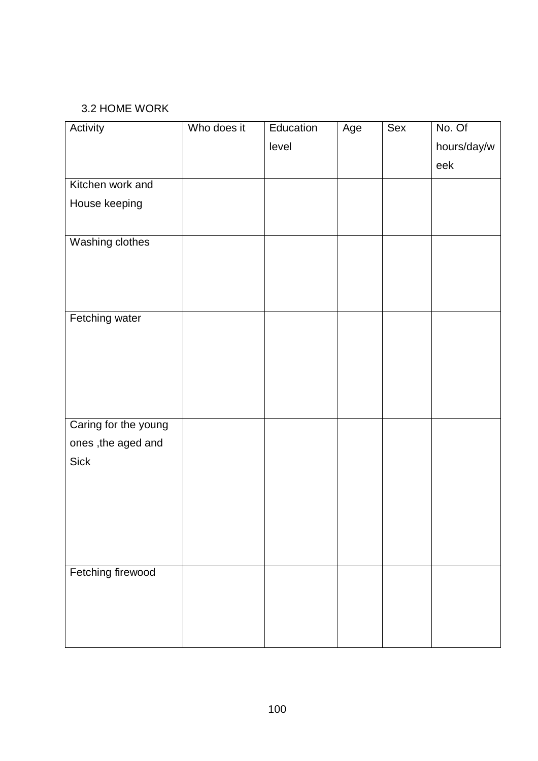### 3.2 HOME WORK

| Activity             | Who does it | Education | Age | Sex | No. Of      |
|----------------------|-------------|-----------|-----|-----|-------------|
|                      |             | level     |     |     | hours/day/w |
|                      |             |           |     |     | eek         |
| Kitchen work and     |             |           |     |     |             |
| House keeping        |             |           |     |     |             |
|                      |             |           |     |     |             |
| Washing clothes      |             |           |     |     |             |
|                      |             |           |     |     |             |
|                      |             |           |     |     |             |
|                      |             |           |     |     |             |
| Fetching water       |             |           |     |     |             |
|                      |             |           |     |     |             |
|                      |             |           |     |     |             |
|                      |             |           |     |     |             |
|                      |             |           |     |     |             |
|                      |             |           |     |     |             |
| Caring for the young |             |           |     |     |             |
| ones, the aged and   |             |           |     |     |             |
| <b>Sick</b>          |             |           |     |     |             |
|                      |             |           |     |     |             |
|                      |             |           |     |     |             |
|                      |             |           |     |     |             |
|                      |             |           |     |     |             |
|                      |             |           |     |     |             |
| Fetching firewood    |             |           |     |     |             |
|                      |             |           |     |     |             |
|                      |             |           |     |     |             |
|                      |             |           |     |     |             |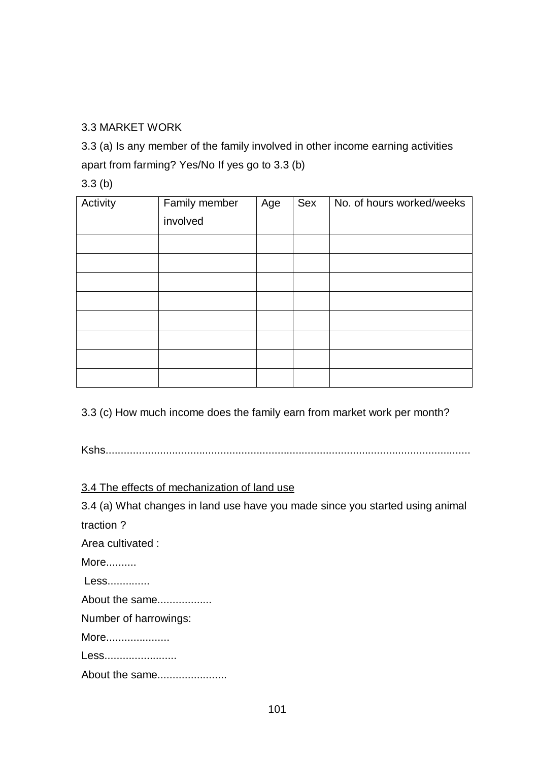### 3.3 MARKET WORK

3.3 (a) Is any member of the family involved in other income earning activities apart from farming? Yes/No If yes go to 3.3 (b)

3.3 (b)

| Activity | Family member | Age | Sex | No. of hours worked/weeks |
|----------|---------------|-----|-----|---------------------------|
|          | involved      |     |     |                           |
|          |               |     |     |                           |
|          |               |     |     |                           |
|          |               |     |     |                           |
|          |               |     |     |                           |
|          |               |     |     |                           |
|          |               |     |     |                           |
|          |               |     |     |                           |
|          |               |     |     |                           |

3.3 (c) How much income does the family earn from market work per month?

Kshs.........................................................................................................................

3.4 The effects of mechanization of land use

3.4 (a) What changes in land use have you made since you started using animal traction ?

Area cultivated :

More..........

Less..............

About the same..................

Number of harrowings:

More.....................

Less........................

About the same.......................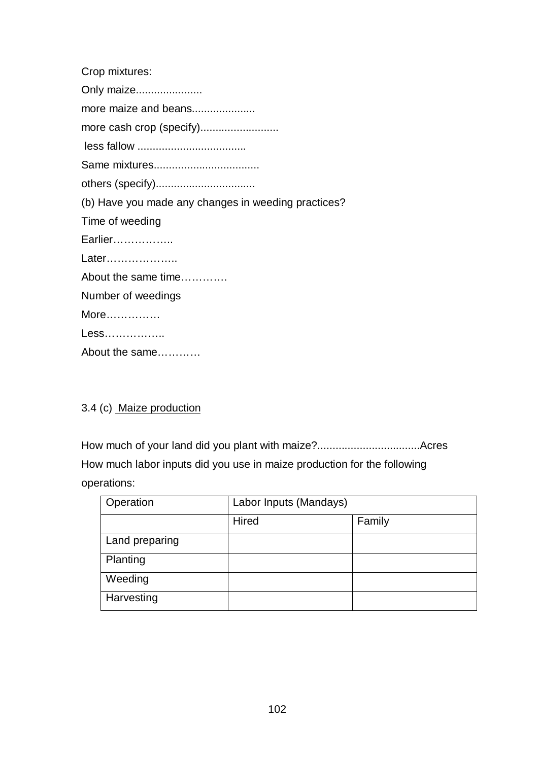Crop mixtures: Only maize...................... more maize and beans..................... more cash crop (specify)........................... less fallow .................................... Same mixtures................................... others (specify)................................. (b) Have you made any changes in weeding practices? Time of weeding Earlier…………….. Later……………….. About the same time…………. Number of weedings More…………… Less……………..

About the same…………

#### 3.4 (c) Maize production

How much of your land did you plant with maize?..................................Acres How much labor inputs did you use in maize production for the following operations:

| Operation      | Labor Inputs (Mandays) |        |  |
|----------------|------------------------|--------|--|
|                | Hired                  | Family |  |
| Land preparing |                        |        |  |
| Planting       |                        |        |  |
| Weeding        |                        |        |  |
| Harvesting     |                        |        |  |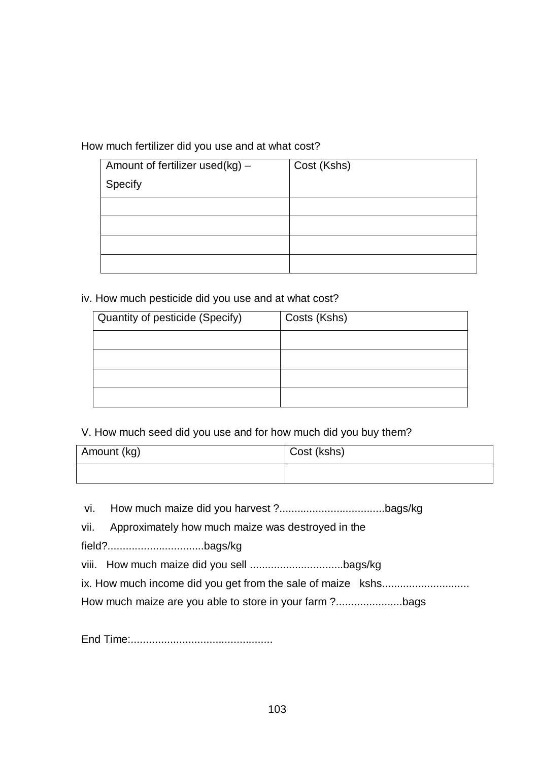How much fertilizer did you use and at what cost?

| Amount of fertilizer used( $kg$ ) – | Cost (Kshs) |
|-------------------------------------|-------------|
| Specify                             |             |
|                                     |             |
|                                     |             |
|                                     |             |
|                                     |             |

iv. How much pesticide did you use and at what cost?

| Quantity of pesticide (Specify) | Costs (Kshs) |
|---------------------------------|--------------|
|                                 |              |
|                                 |              |
|                                 |              |
|                                 |              |

V. How much seed did you use and for how much did you buy them?

| Amount (kg) | Cost (kshs) |
|-------------|-------------|
|             |             |

vi. How much maize did you harvest ?...................................bags/kg

vii. Approximately how much maize was destroyed in the

field?................................bags/kg

viii. How much maize did you sell ...............................bags/kg

ix. How much income did you get from the sale of maize kshs............................

How much maize are you able to store in your farm ?......................bags

End Time:...............................................